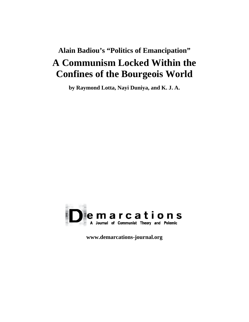# **Alain Badiou's "Politics of Emancipation" A Communism Locked Within the Confines of the Bourgeois World**

**by Raymond Lotta, Nayi Duniya, and K. J. A.** 



**www.demarcations-journal.org**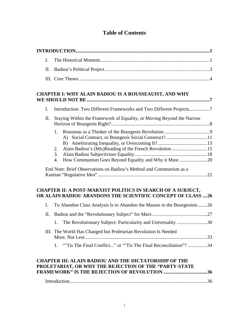# **Table of Contents**

| I.                                                                                                                    |                                                                                                                                              |  |  |
|-----------------------------------------------------------------------------------------------------------------------|----------------------------------------------------------------------------------------------------------------------------------------------|--|--|
| П.                                                                                                                    |                                                                                                                                              |  |  |
|                                                                                                                       |                                                                                                                                              |  |  |
|                                                                                                                       | <b>CHAPTER I: WHY ALAIN BADIOU IS A ROUSSEAUIST, AND WHY</b>                                                                                 |  |  |
| $\mathbf{I}$ .                                                                                                        | Introduction: Two Different Frameworks and Two Different Projects7                                                                           |  |  |
| П.                                                                                                                    | Staying Within the Framework of Equality, or Moving Beyond the Narrow                                                                        |  |  |
|                                                                                                                       | Alain Badiou's (Mis)Reading of the French Revolution 15<br>2.<br>3.<br>How Communism Goes Beyond Equality and Why it Must 20<br>4.           |  |  |
|                                                                                                                       | End Note: Brief Observations on Badiou's Method and Communism as a                                                                           |  |  |
|                                                                                                                       | <b>CHAPTER II: A POST-MARXIST POLITICS IN SEARCH OF A SUBJECT,</b><br>OR ALAIN BADIOU ABANDONS THE SCIENTIFIC CONCEPT OF CLASS 26            |  |  |
| I.                                                                                                                    | To Abandon Class Analysis Is to Abandon the Masses to the Bourgeoisie26                                                                      |  |  |
| П.                                                                                                                    |                                                                                                                                              |  |  |
|                                                                                                                       | The Revolutionary Subject: Particularity and Universality 30<br>1.                                                                           |  |  |
|                                                                                                                       | III. The World Has Changed but Proletarian Revolution Is Needed<br>"Tis The Final Conflict" or "Tis The Final Reconciliation"? 34<br>$1_{-}$ |  |  |
| <b>CHAPTER III: ALAIN BADIOU AND THE DICTATORSHIP OF THE</b><br>PROLETARIAT, OR WHY THE REJECTION OF THE "PARTY-STATE |                                                                                                                                              |  |  |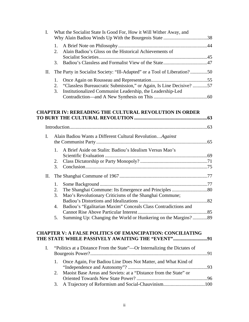|             | 1.                                                                                                                 |  |
|-------------|--------------------------------------------------------------------------------------------------------------------|--|
|             | Alain Badiou's Gloss on the Historical Achievements of<br>2.                                                       |  |
|             | 3.                                                                                                                 |  |
| П.          | The Party in Socialist Society: "Ill-Adapted" or a Tool of Liberation?50                                           |  |
|             | 1.                                                                                                                 |  |
|             | "Classless Bureaucratic Submission," or Again, Is Line Decisive? 57<br>2.                                          |  |
|             | 3.<br>Institutionalized Communist Leadership, the Leadership-Led                                                   |  |
|             |                                                                                                                    |  |
|             |                                                                                                                    |  |
|             | <b>CHAPTER IV: REREADING THE CULTURAL REVOLUTION IN ORDER</b>                                                      |  |
|             |                                                                                                                    |  |
|             |                                                                                                                    |  |
|             |                                                                                                                    |  |
| I.          | Alain Badiou Wants a Different Cultural RevolutionAgainst                                                          |  |
|             |                                                                                                                    |  |
|             | A Brief Aside on Stalin: Badiou's Idealism Versus Mao's<br>1.                                                      |  |
|             |                                                                                                                    |  |
|             | 2.                                                                                                                 |  |
|             | 3.                                                                                                                 |  |
| П.          |                                                                                                                    |  |
|             | 1.                                                                                                                 |  |
|             | 2.                                                                                                                 |  |
|             | Mao's Revolutionary Criticisms of the Shanghai Commune;<br>3.                                                      |  |
|             |                                                                                                                    |  |
|             | Badiou's "Egalitarian Maxim" Conceals Class Contradictions and<br>4.                                               |  |
|             |                                                                                                                    |  |
|             | 5. Summing Up: Changing the World or Hunkering on the Margins?89                                                   |  |
|             |                                                                                                                    |  |
|             | <b>CHAPTER V: A FALSE POLITICS OF EMANCIPATION: CONCILIATING</b><br>THE STATE WHILE PASSIVELY AWAITING THE "EVENT" |  |
|             |                                                                                                                    |  |
| $I_{\cdot}$ | "Politics at a Distance From the State"—Or Internalizing the Dictates of                                           |  |
|             | Once Again, For Badiou Line Does Not Matter, and What Kind of<br>1.                                                |  |
|             |                                                                                                                    |  |
|             | Maoist Base Areas and Soviets: at a "Distance from the State" or<br>2.                                             |  |
|             |                                                                                                                    |  |
|             | 3.                                                                                                                 |  |
|             |                                                                                                                    |  |

I. What the Socialist State Is Good For, How it Will Wither Away, and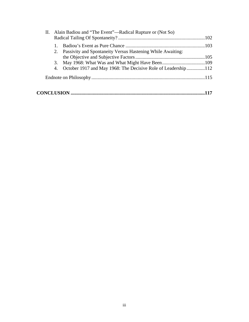| II. Alain Badiou and "The Event"—Radical Rupture or (Not So)     |  |
|------------------------------------------------------------------|--|
|                                                                  |  |
| 2. Passivity and Spontaneity Versus Hastening While Awaiting:    |  |
|                                                                  |  |
|                                                                  |  |
| 4. October 1917 and May 1968: The Decisive Role of Leadership112 |  |
|                                                                  |  |
|                                                                  |  |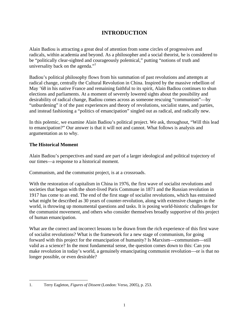# **INTRODUCTION**

Alain Badiou is attracting a great deal of attention from some circles of progressives and radicals, within academia and beyond. As a philosopher and a social theorist, he is considered to be "politically clear-sighted and courageously polemical," putting "notions of truth and universality back on the agenda."

Badiou's political philosophy flows from his summation of past revolutions and attempts at radical change, centrally the Cultural Revolution in China. Inspired by the massive rebellion of May '68 in his native France and remaining faithful to its spirit, Alain Badiou continues to shun elections and parliaments. At a moment of severely lowered sights about the possibility and desirability of radical change, Badiou comes across as someone rescuing "communism"—by "unburdening" it of the past experiences and theory of revolutions, socialist states, and parties, and instead fashioning a "politics of emancipation" singled out as radical, and radically new.

In this polemic, we examine Alain Badiou's political project. We ask, throughout, "Will this lead to emancipation?" Our answer is that it will not and cannot. What follows is analysis and argumentation as to why.

# **The Historical Moment**

Alain Badiou's perspectives and stand are part of a larger ideological and political trajectory of our times—a response to a historical moment.

Communism, and the communist project, is at a crossroads.

With the restoration of capitalism in China in 1976, the first wave of socialist revolutions and societies that began with the short-lived Paris Commune in 1871 and the Russian revolution in 1917 has come to an end. The end of the first stage of socialist revolutions, which has entrained what might be described as 30 years of counter-revolution, along with extensive changes in the world, is throwing up monumental questions and tasks. It is posing world-historic challenges for the communist movement, and others who consider themselves broadly supportive of this project of human emancipation.

What are the correct and incorrect lessons to be drawn from the rich experience of this first wave of socialist revolutions? What is the framework for a new stage of communism, for going forward with this project for the emancipation of humanity? Is Marxism—communism—still valid as a science? In the most fundamental sense, the question comes down to this: Can you make revolution in today's world, a genuinely emancipating communist revolution—or is that no longer possible, or even desirable?

 $\overline{a}$ 1. Terry Eagleton, *Figures of Dissent* (London: Verso, 2005), p. 253.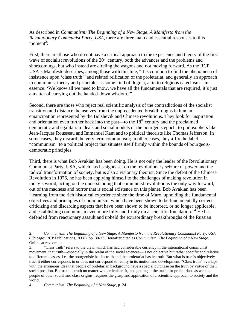As described in *Communism: The Beginning of a New Stage, A Manifesto from the Revolutionary Communist Party, USA,* there are three main and essential responses to this  $moment<sup>2</sup>$ :

First, there are those who do not have a critical approach to the experience and theory of the first wave of socialist revolutions of the  $20<sup>th</sup>$  century, both the advances and the problems and shortcomings, but who instead are circling the wagons and not moving forward. As the RCP, USA's Manifesto describes, among those with this line, "it is common to find the phenomena of insistence upon 'class truth'<sup>3</sup> and related reification of the proletariat, and generally an approach to communist theory and principles as some kind of dogma, akin to religious catechism—in essence: 'We know all we need to know, we have all the fundamentals that are required, it's just a matter of carrying out the handed-down wisdom.'"

Second, there are those who reject real scientific analysis of the contradictions of the socialist transition and distance themselves from the unprecedented breakthroughs in human emancipation represented by the Bolshevik and Chinese revolutions. They look for inspiration and orientation even further back into the past—to the  $18<sup>th</sup>$  century and the proclaimed democratic and egalitarian ideals and social models of the bourgeois epoch, to philosophers like Jean-Jacques Rousseau and Immanuel Kant and to political theorists like Thomas Jefferson. In some cases, they discard the very term communism; in other cases, they affix the label "communism" to a political project that situates itself firmly within the bounds of bourgeoisdemocratic principles.

Third, there is what Bob Avakian has been doing. He is not only the leader of the Revolutionary Communist Party, USA, which has its sights set on the revolutionary seizure of power and the radical transformation of society, but is also a visionary theorist. Since the defeat of the Chinese Revolution in 1976, he has been applying himself to the challenges of making revolution in today's world, acting on the understanding that communist revolution is the only way forward, out of the madness and horror that is social existence on this planet. Bob Avakian has been "learning from the rich historical experience since the time of Marx, upholding the fundamental objectives and principles of communism, which have been shown to be fundamentally correct, criticizing and discarding aspects that have been shown to be incorrect, or no longer applicable, and establishing communism even more fully and firmly on a scientific foundation."<sup>4</sup> He has defended from reactionary assault and upheld the extraordinary breakthroughs of the Russian

<u>.</u>

<sup>2.</sup> *Communism: The Beginning of a New Stage, A Manifesto from the Revolutionary Communist Party, USA* (Chicago: RCP Publications, 2008), pp. 30-33. Hereafter cited as *Communism: The Beginning of a New Stage*. Online at revcom.us

<sup>3. &</sup>quot;Class truth" refers to the view, which has had considerable currency in the international communist movement, that truth—especially in the realm of the social sciences—is not objective but rather specific and relative to different classes, i.e., the bourgeoisie has its truth and the proletariat has its truth. But what is true is objectively true: it either corresponds to or does not correspond to reality in its motion and development. "Class truth" overlaps with the erroneous idea that people of proletarian background have a special purchase on the truth by virtue of their social position. But truth is truth no matter who articulates it; and getting at the truth, for proletarians as well as people of other social and class origins, requires the grasp and application of a scientific approach to society and the world.

<sup>4.</sup> *Communism: The Beginning of a New Stage*, p. 24.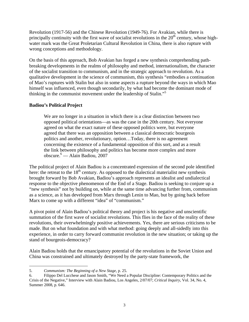Revolution (1917-56) and the Chinese Revolution (1949-76). For Avakian, while there is principally continuity with the first wave of socialist revolutions in the  $20<sup>th</sup>$  century, whose highwater mark was the Great Proletarian Cultural Revolution in China, there is also rupture with wrong conceptions and methodology.

On the basis of this approach, Bob Avakian has forged a new synthesis comprehending pathbreaking developments in the realms of philosophy and method, internationalism, the character of the socialist transition to communism, and in the strategic approach to revolution. As a qualitative development in the science of communism, this synthesis "embodies a continuation of Mao's ruptures with Stalin but also in some aspects a rupture beyond the ways in which Mao himself was influenced, even though secondarily, by what had become the dominant mode of thinking in the communist movement under the leadership of Stalin."5

# **Badiou's Political Project**

We are no longer in a situation in which there is a clear distinction between two opposed political orientations—as was the case in the 20th century. Not everyone agreed on what the exact nature of these opposed politics were, but everyone agreed that there was an opposition between a classical democratic bourgeois politics and another, revolutionary, option…Today, there is no agreement concerning the existence of a fundamental opposition of this sort, and as a result the link between philosophy and politics has become more complex and more obscure.6 — Alain Badiou, 2007

The political project of Alain Badiou is a concentrated expression of the second pole identified here: the retreat to the  $18<sup>th</sup>$  century. As opposed to the dialectical materialist new synthesis brought forward by Bob Avakian, Badiou's approach represents an idealist and undialectical response to the objective phenomenon of the End of a Stage. Badiou is seeking to conjure up a "new synthesis" not by building on, while at the same time advancing further from, communism as a science, as it has developed from Marx through Lenin to Mao, but by going back before Marx to come up with a different "idea" of "communism."

A pivot point of Alain Badiou's political theory and project is his negative and unscientific summation of the first wave of socialist revolutions. This flies in the face of the reality of these revolutions, their overwhelmingly positive achievements. Yes, there are serious criticisms to be made. But on what foundation and with what method: going deeply and all-sidedly into this experience, in order to carry forward communist revolution in the new situation; or taking up the stand of bourgeois-democracy?

Alain Badiou holds that the emancipatory potential of the revolutions in the Soviet Union and China was constrained and ultimately destroyed by the party-state framework, the

<sup>1</sup> 5. *Communism: The Beginning of a New Stage*, p. 25.

<sup>6.</sup> Filippo Del Lucchese and Jason Smith, "We Need a Popular Discipline: Contemporary Politics and the Crisis of the Negative," Interview with Alain Badiou, Los Angeles, 2/07/07; *Critical Inquiry*, Vol. 34, No. 4, Summer 2008, p. 646.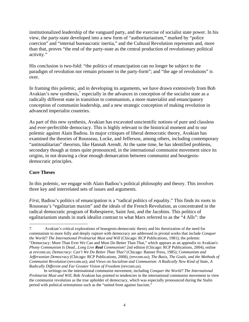institutionalized leadership of the vanguard party, and the exercise of socialist state power. In his view, the party-state developed into a new form of "authoritarianism," marked by "police coercion" and "internal bureaucratic inertia," and the Cultural Revolution represents and, more than that, proves "the end of the party-state as the central production of revolutionary political activity."

His conclusion is two-fold: "the politics of emancipation can no longer be subject to the paradigm of revolution nor remain prisoner to the party-form"; and "the age of revolutions" is over.

In framing this polemic, and in developing its arguments, we have drawn extensively from Bob Avakian's new synthesis, $\frac{7}{1}$  especially in the advances in conception of the socialist state as a radically different state in transition to communism, a more materialist and emancipatory conception of communist leadership, and a new strategic conception of making revolution in advanced imperialist countries.

As part of this new synthesis, Avakian has excavated unscientific notions of pure and classless and ever-perfectible democracy. This is highly relevant to the historical moment and to our polemic against Alain Badiou. In major critiques of liberal democratic theory, Avakian has examined the theories of Rousseau, Locke, and Jefferson, among others, including contemporary "antitotalitarian" theorists, like Hannah Arendt. At the same time, he has identified problems, secondary though at times quite pronounced, in the international communist movement since its origins, in not drawing a clear enough demarcation between communist and bourgeoisdemocratic principles.

# **Core Theses**

 $\overline{a}$ 

In this polemic, we engage with Alain Badiou's political philosophy and theory. This involves three key and interrelated sets of issues and arguments.

*First*, Badiou's politics of emancipation is a "radical politics of equality." This finds its roots in Rousseau's "egalitarian maxim" and the ideals of the French Revolution, as concentrated in the radical democratic program of Robespierre, Saint Just, and the Jacobins. This politics of egalitarianism stands in stark idealist contrast to what Marx referred to as the "4 Alls": the

<sup>7.</sup> Avakian's critical explorations of bourgeois-democratic theory and his theorization of the need for communism to more fully and deeply rupture with democracy are addressed in pivotal works that include *Conquer the World? The International Proletariat Must and Will* (Chicago: RCP Publications, 1981); the polemic "Democracy: More Than Ever We Can and Must Do Better Than That," which appears as an appendix to Avakian's *Phony Communism Is Dead...Long Live Real Communism!* 2nd edition (Chicago: RCP Publications, 2004), online at revcom.us; *Democracy: Can't We Do Better Than That?* (Chicago: Banner Press, 1985); *Communism and Jeffersonian Democracy* (Chicago: RCP Publications, 2008), (revcom.us); *The Basis, The Goals, and the Methods of Communist Revolution* (revcom.us); and *Views on Socialism and Communism: A Radically New Kind of State, A Radically Different and Far Greater Vision of Freedom* (revcom.us).

In writings on the international communist movement, including *Conquer the World? The International Proletariat Must and Will*, Bob Avakian has pointed to tendencies in the international communist movement to view the communist revolution as the true upholder of democracy, which was especially pronounced during the Stalin period with political orientations such as the "united front against fascism."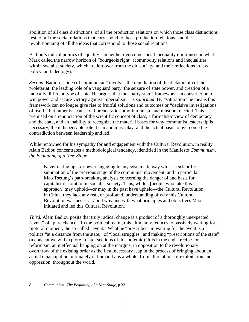abolition of all class distinctions, of all the production relations on which those class distinctions rest, of all the social relations that correspond to those production relations, and the revolutionizing of all the ideas that correspond to those social relations.

Badiou's radical politics of equality can neither overcome social inequality nor transcend what Marx called the narrow horizon of "bourgeois right" (commodity relations and inequalities within socialist society, which are left over from the old society, and their reflections in law, policy, and ideology).

*Second*, Badiou's "idea of communism" involves the repudiation of the dictatorship of the proletariat: the leading role of a vanguard party, the seizure of state power, and creation of a radically different type of state. He argues that the "party-state" framework—a construction to win power and secure victory against imperialism—is *saturated*. By "saturation" he means this framework can no longer give rise to fruitful solutions and outcomes or "decisive investigations of itself," but rather is a cause of bureaucratic authoritarianism and must be rejected. This is premised on a renunciation of the scientific concept of class, a formalistic view of democracy and the state, and an inability to recognize the material bases for why communist leadership is necessary, the indispensable role it can and must play, and the actual basis to overcome the contradiction between leadership and led.

While renowned for his sympathy for and engagement with the Cultural Revolution, in reality Alain Badiou concentrates a methodological tendency, identified in the Manifesto *Communism, the Beginning of a New Stage*:

Never taking up—or never engaging in any systematic way with—a scientific summation of the previous stage of the communist movement, and in particular Mao Tsetung's path-breaking analysis concerning the danger of and basis for capitalist restoration in socialist society. Thus, while...[people who take this approach] may uphold—or may in the past have upheld—the Cultural Revolution in China, they lack any real, or profound, understanding of why this Cultural Revolution was necessary and why and with what principles and objectives Mao initiated and led this Cultural Revolution.<sup>8</sup>

*Third*, Alain Badiou posits that truly radical change is a product of a thoroughly unexpected "event" of "pure chance." In the political realm, this ultimately reduces to passively waiting for a ruptural moment, the so-called "event." What he "prescribes" in waiting for the event is a politics "at a distance from the state," of "local struggles" and making "prescriptions of the state" (a concept we will explore in later sections of this polemic). It is in the end a recipe for reformism, an ineffectual hanging on at the margins, in opposition to the revolutionary overthrow of the existing order as the first, necessary leap in the process of bringing about an actual emancipation, ultimately of humanity as a whole, from all relations of exploitation and oppression, throughout the world.

 $\overline{a}$ 8. *Communism: The Beginning of a New Stage*, p.32.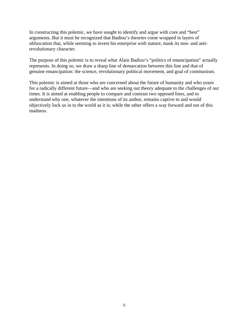In constructing this polemic, we have sought to identify and argue with core and "best" arguments. But it must be recognized that Badiou's theories come wrapped in layers of obfuscation that, while seeming to invest his enterprise with stature, mask its non- and antirevolutionary character.

The purpose of this polemic is to reveal what Alain Badiou's "politics of emancipation" actually represents. In doing so, we draw a sharp line of demarcation between this line and that of genuine emancipation: the science, revolutionary political movement, and goal of communism.

This polemic is aimed at those who are concerned about the future of humanity and who yearn for a radically different future—and who are seeking out theory adequate to the challenges of our times. It is aimed at enabling people to compare and contrast two opposed lines, and to understand why one, whatever the intentions of its author, remains captive to and would objectively lock us in to the world as it is; while the other offers a way forward and out of this madness.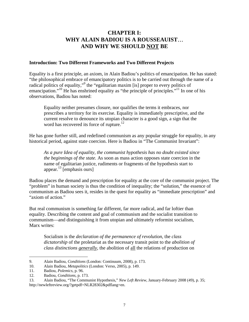# **CHAPTER I: WHY ALAIN BADIOU IS A ROUSSEAUIST**… **AND WHY WE SHOULD NOT BE**

#### **Introduction: Two Different Frameworks and Two Different Projects**

Equality is a first principle, an axiom, in Alain Badiou's politics of emancipation. He has stated: "the philosophical embrace of emancipatory politics is to be carried out through the name of a radical politics of equality,"<sup>9</sup> the "egalitarian maxim [is] proper to every politics of emancipation."<sup>10</sup> He has enshrined equality as "the principle of principles."<sup>11</sup> In one of his observations, Badiou has noted:

Equality neither presumes closure, nor qualifies the terms it embraces, nor prescribes a territory for its exercise. Equality is immediately prescriptive, and the current resolve to denounce its utopian character is a good sign, a sign that the word has recovered its force of rupture.<sup>12</sup>

He has gone further still, and redefined communism as any popular struggle for equality, in any historical period, against state coercion. Here is Badiou in "The Communist Invariant":

*As a pure Idea of equality, the communist hypothesis has no doubt existed since the beginnings of the state.* As soon as mass action opposes state coercion in the name of egalitarian justice, rudiments or fragments of the hypothesis start to appear. $^{13}$  [emphasis ours]

Badiou places the demand and prescription for equality at the core of the communist project. The "problem" in human society is thus the condition of inequality; the "solution," the essence of communism as Badiou sees it, resides in the quest for equality as "immediate prescription" and "axiom of action."

But real communism is something far different, far more radical, and far loftier than equality. Describing the content and goal of communism and the socialist transition to communism—and distinguishing it from utopian and ultimately reformist socialism, Marx writes:

Socialism is the *declaration of the permanence of revolution*, the *class dictatorship* of the proletariat as the necessary transit point to the *abolition of class distinctions generally*, the abolition of all the relations of production on

<sup>9.</sup> Alain Badiou, *Conditions* (London: Continuum, 2008), p. 173.

<sup>10.</sup> Alain Badiou, *Metapolitics* (London: Verso, 2005), p. 149.

<sup>11.</sup> Badiou, *Polemics*, p. 96.

<sup>12.</sup> Badiou, *Conditions*, p. 173.

<sup>13.</sup> Alain Badiou, "The Communist Hypothesis," *New Left Review*, January-February 2008 (49), p. 35; http://newleftreview.org/?getpdf=NLR28302&pdflang=en.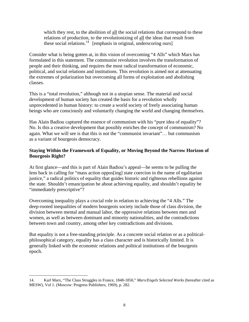which they rest, to the abolition of all the social relations that correspond to these relations of production, to the revolutionizing of all the ideas that result from these social relations.<sup>14</sup> [emphasis in original, underscoring ours]

Consider what is being gotten at, in this vision of overcoming "4 Alls" which Marx has formulated in this statement. The communist revolution involves the transformation of people and their thinking, and requires the most radical transformation of economic, political, and social relations and institutions. This revolution is aimed not at attenuating the extremes of polarization but overcoming all forms of exploitation and abolishing classes.

This is a "total revolution," although not in a utopian sense. The material and social development of human society has created the basis for a revolution wholly unprecedented in human history: to create a world society of freely associating human beings who are consciously and voluntarily changing the world and changing themselves.

Has Alain Badiou captured the essence of communism with his "pure idea of equality"? No. Is this a creative development that possibly enriches the concept of communism? No again. What we will see is that this is not the "communist invariant"… but communism as a variant of bourgeois democracy.

# **Staying Within the Framework of Equality, or Moving Beyond the Narrow Horizon of Bourgeois Right?**

At first glance—and this is part of Alain Badiou's appeal—he seems to be pulling the lens back in calling for "mass action oppos[ing] state coercion in the name of egalitarian justice," a radical politics of equality that guides historic and righteous rebellions against the state. Shouldn't emancipation be about achieving equality, and shouldn't equality be "immediately prescriptive"?

Overcoming inequality plays a crucial role in relation to achieving the "4 Alls." The deep-rooted inequalities of modern bourgeois society include those of class division, the division between mental and manual labor, the oppressive relations between men and women, as well as between dominant and minority nationalities, and the contradictions between town and country, among other key contradictions and divisions.

But equality is not a free-standing principle. As a concrete social relation or as a politicalphilosophical category, equality has a class character and is historically limited. It is generally linked with the economic relations and political institutions of the bourgeois epoch.

<sup>14.</sup> Karl Marx, "The Class Struggles in France, 1848-1850," *Marx/Engels Selected Works* (hereafter cited as MESW), Vol 1. (Moscow: Progress Publishers, 1969), p. 282.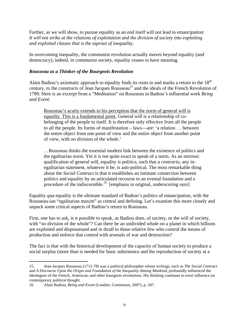Further, as we will show, to pursue equality as an end itself will not lead to emancipation: *It will not strike at the relations of exploitation and the division of society into exploiting and exploited classes that is the taproot of inequality.*

In overcoming inequality, the communist revolution actually moves beyond equality (and democracy); indeed, in communist society, equality ceases to have meaning.

#### *Rousseau as a Thinker of the Bourgeois Revolution*

Alain Badiou's axiomatic approach to equality finds its roots in and marks a return to the  $18<sup>th</sup>$ century, to the constructs of Jean Jacques Rousseau<sup>15</sup> and the ideals of the French Revolution of 1789. Here is an excerpt from a "Meditation" on Rousseau in Badiou's influential work *Being and Event*:

Rousseau's acuity extends to his perception that the norm of general will is *equality*. This is a fundamental point. General will is a relationship of cobelonging of the people to itself. It is therefore only effective from all the people to all the people. Its forms of manifestation – laws—are: 'a relation … between the entire object from one point of view and the entire object from another point of view, with no division of the whole.'

…Rousseau thinks the essential modern link between the existence of politics and the egalitarian norm. Yet it is not quite exact to speak of a norm. As an intrinsic qualification of general will, equality *is* politics, such that *a contrario*, any inegalitarian statement, whatever it be, is anti-political. The most remarkable thing about the *Social Contract* is that it establishes an intimate connection between politics and equality by an articulated recourse to an evental foundation and a procedure of the indiscernible.<sup>16</sup> [emphasis in original, underscoring ours]

Equality *qua* equality is the ultimate standard of Badiou's politics of emancipation, with the Rousseau-ian "egalitarian maxim" as central and defining. Let's examine this more closely and unpack some critical aspects of Badiou's return to Rousseau.

First, one has to ask, is it possible to speak, as Badiou does, of society, or the will of society, with "no division of the whole"? Can there be an undivided whole on a planet in which billions are exploited and dispossessed and in thrall to those relative few who control the means of production and enforce that control with arsenals of war and destruction?

The fact is that with the historical development of the capacity of human society to produce a social surplus (more than is needed for basic subsistence and the reproduction of society at a

<sup>15.</sup> Jean-Jacques Rousseau (1712-78) was a political philosopher whose writings, such as *The Social Contract* and *A Discourse Upon the Origin and Foundation of the Inequality Among Mankind*, profoundly influenced the ideologues of the French, American, and other bourgeois revolutions. His thinking continues to exert influence on contemporary political thought.

<sup>16.</sup> Alain Badiou, *Being and Event* (London: Continuum, 2007), p. 347.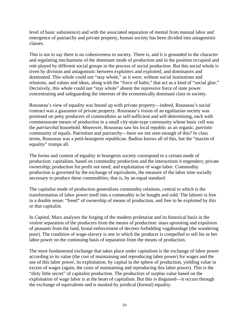level of basic subsistence) and with the associated separation of mental from manual labor and emergence of patriarchy and private property, human society has been divided into antagonistic classes.

This is not to say there is no cohesiveness to society. There is, and it is grounded in the character and regulating mechanisms of the dominant mode of production and in the position occupied and role played by different social groups in the process of social production. But this social whole is riven by division and antagonism: between exploiters and exploited, and dominators and dominated. This whole could not "stay whole," as it were, without social institutions and relations, and values and ideas, along with the "force of habit," that act as a kind of "social glue." Decisively, this whole could not "stay whole" absent the repressive force of state power concentrating and safeguarding the interests of the economically dominant class in society.

Rousseau's view of equality was bound up with private property—indeed, Rousseau's social contract was a guarantor of private property. Rousseau's vision of an egalitarian society was premised on petty producers of commodities as self-sufficient and self-determining, each with commensurate means of production in a small city-state-type community whose basic cell was the *patriarchal* household. Moreover, Rousseau saw his local republic as an organic, *patriotic* community of equals. Patriotism and patriarchy—have we not seen enough of this? In class terms, Rousseau was a petit-bourgeois republican. Badiou knows all of this, but the "maxim of equality" trumps all.

The forms and content of equality in bourgeois society correspond to a certain mode of production: capitalism, based on commodity production and the interactions it engenders; private ownership; production for profit not need; and exploitation of wage-labor. Commodity production is governed by the exchange of equivalents, the measure of the labor time socially necessary to produce these commodities; that is, by an equal standard.

The capitalist mode of production generalizes commodity relations, central to which is the transformation of labor power itself into a commodity to be bought and sold. The laborer is free in a double sense: "freed" of ownership of means of production, and free to be exploited by this or that capitalist.

In *Capital*, Marx analyzes the forging of the modern proletariat and its historical basis in the *violent* separation of the producers from the means of production: mass uprooting and expulsion of peasants from the land, brutal enforcement of decrees forbidding vagabondage (the wandering poor). The condition of wage-slavery is one in which the producer is compelled to sell his or her labor power on the continuing basis of separation from the means of production.

The most fundamental exchange that takes place under capitalism is the exchange of labor power according to its value (the cost of maintaining and reproducing labor power) for wages and the use of this labor power, its exploitation, by capital in the sphere of production, yielding value in excess of wages (again, the costs of maintaining and reproducing this labor power). This is the "dirty little secret" of capitalist production. The production of surplus value based on the exploitation of wage labor is at the heart of capitalism. But this is disguised—it occurs through the exchange of equivalents and is masked by juridical (formal) equality.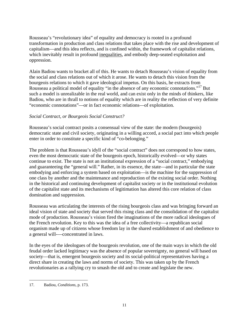Rousseau's "revolutionary idea" of equality and democracy is rooted in a profound transformation in production and class relations that takes place with the rise and development of capitalism—and this idea reflects, and is confined within, the framework of capitalist relations, which inevitably result in profound inequalities, and embody deep-seated exploitation and oppression.

Alain Badiou wants to bracket all of this. He wants to detach Rousseau's vision of equality from the social and class relations out of which it arose. He wants to detach this vision from the bourgeois relations to which it gave ideological impetus. On this basis, he extracts from Rousseau a political model of equality "in the absence of any economic connotations."17 But such a model is unrealizable in the real world, and can exist only in the minds of thinkers, like Badiou, who are in thrall to notions of equality which are in reality the reflection of very definite "economic connotations"—or in fact economic relations—of exploitation.

#### *Social Contract, or Bourgeois Social Construct?*

Rousseau's social contract posits a consensual view of the state: the modern (bourgeois) democratic state and civil society, originating in a willing accord, a social pact into which people enter in order to constitute a specific kind of "co-belonging."

The problem is that Rousseau's idyll of the "social contract" does not correspond to how states, even the most democratic state of the bourgeois epoch, historically evolved—or why states continue to exist. The state is not an institutional expression of a "social contract," embodying and guaranteeing the "general will." Rather, in its essence, the state—and in particular the state embodying and enforcing a system based on exploitation—is the machine for the suppression of one class by another and the maintenance and reproduction of the existing social order. Nothing in the historical and continuing development of capitalist society or in the institutional evolution of the capitalist state and its mechanisms of legitimation has altered this core relation of class domination and suppression.

Rousseau was articulating the interests of the rising bourgeois class and was bringing forward an ideal vision of state and society that served this rising class and the consolidation of the capitalist mode of production. Rousseau's vision fired the imaginations of the more radical ideologues of the French revolution. Key to this was the idea of a free collectivity—a republican social organism made up of citizens whose freedom lay in the shared establishment of and obedience to a general will-—concentrated in laws.

In the eyes of the ideologues of the bourgeois revolution, one of the main ways in which the old feudal order lacked legitimacy was the absence of popular sovereignty, no general will based on society—that is, emergent bourgeois society and its social-political representatives having a direct share in creating the laws and norms of society. This was taken up by the French revolutionaries as a rallying cry to smash the old and to create and legislate the new.

 $\overline{a}$ 17. Badiou, *Conditions*, p. 173.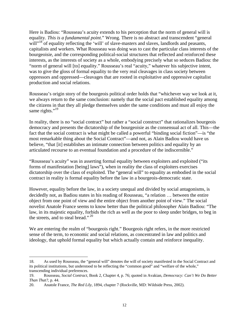Here is Badiou: "Rousseau's acuity extends to his perception that the norm of general will is equality. *This is a fundamental point*." Wrong. There is no abstract and transcendent "general will"<sup>18</sup> of equality reflecting the 'will' of slave-masters and slaves, landlords and peasants, capitalists and workers. What Rousseau was doing was to cast the particular class interests of the bourgeoisie, and the corresponding political-social structures that reflected and reinforced these interests, as the interests of society as a whole, embodying precisely what so seduces Badiou: the "norm of general will [to] equality." Rousseau's real "acuity," whatever his subjective intent, was to give the gloss of formal equality to the very real cleavages in class society between oppressors and oppressed—cleavages that are rooted in exploitative and oppressive capitalist production and social relations.

Rousseau's origin story of the bourgeois political order holds that "whichever way we look at it, we always return to the same conclusion: namely that the social pact established equality among the citizens in that they all pledge themselves under the same conditions and must all enjoy the same rights." $^{19}$ 

In reality, there is no "social contract" but rather a "social construct" that rationalizes bourgeois democracy and presents the dictatorship of the bourgeoisie as the consensual act of all. This—the fact that the social contract is what might be called a powerful "binding social fiction"—is "the most remarkable thing about the Social Contract"—and not, as Alain Badiou would have us believe, "that [it] establishes an intimate connection between politics and equality by an articulated recourse to an eventual foundation and a procedure of the indiscernible."

"Rousseau's acuity" was in asserting formal equality between exploiters and exploited ("its forms of manifestation [being] laws"), when in reality the class of exploiters exercises dictatorship over the class of exploited. The "general will" to equality as embodied in the social contract in reality is formal equality before the law in a bourgeois-democratic state.

However, equality before the law, in a society unequal and divided by social antagonisms, is decidedly not, as Badiou states in his reading of Rousseau, "a relation … between the entire object from one point of view and the entire object from another point of view." The social novelist Anatole France seems to know better than the political philosopher Alain Badiou: "The law, in its majestic equality, forbids the rich as well as the poor to sleep under bridges, to beg in the streets, and to steal bread."<sup>20</sup>

We are entering the realm of "bourgeois right." Bourgeois right refers, in the more restricted sense of the term, to economic and social relations, as concentrated in law and politics and ideology, that uphold formal equality but which actually contain and reinforce inequality.

<sup>18.</sup> As used by Rousseau, the "general will" denotes the will of society manifested in the Social Contract and its political institutions, but understood to be reflecting the "common good" and "welfare of the whole," transcending individual preferences.

<sup>19.</sup> Rousseau, *Social Contract*, Book 2, Chapter 4, p. 76; quoted in Avakian, *Democracy: Can't We Do Better Than That?*, p. 44.

<sup>20.</sup> Anatole France, *The Red Lily*, 1894, chapter 7 (Rockville, MD: Wildside Press, 2002).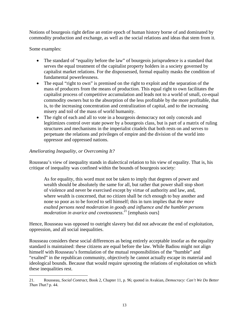Notions of bourgeois right define an entire epoch of human history borne of and dominated by commodity production and exchange, as well as the social relations and ideas that stem from it.

Some examples:

1

- The standard of "equality before the law" of bourgeois jurisprudence is a standard that serves the equal treatment of the capitalist property holders in a society governed by capitalist market relations. For the dispossessed, formal equality masks the condition of fundamental powerlessness.
- The equal "right to own" is premised on the right to exploit and the separation of the mass of producers from the means of production. This equal right to own facilitates the capitalist process of competitive accumulation and leads not to a world of small, co-equal commodity owners but to the absorption of the less profitable by the more profitable, that is, to the increasing concentration and centralization of capital, and to the increasing misery and toil of the mass of world humanity.
- The right of each and all to vote in a bourgeois democracy not only conceals and legitimizes control over state power by a bourgeois class, but is part of a matrix of ruling structures and mechanisms in the imperialist citadels that both rests on and serves to perpetuate the relations and privileges of empire and the division of the world into oppressor and oppressed nations.

# *Ameliorating Inequality, or Overcoming It?*

Rousseau's view of inequality stands in dialectical relation to his view of equality. That is, his critique of inequality was confined within the bounds of bourgeois society:

As for equality, this word must not be taken to imply that degrees of power and wealth should be absolutely the same for all, but rather that power shall stop short of violence and never be exercised except by virtue of authority and law, and, where wealth is concerned, that no citizen shall be rich enough to buy another and none so poor as to be forced to sell himself; this in turn implies that *the more exalted persons need moderation in goods and influence and the humbler persons moderation in avarice and covetousness*. 21 [emphasis ours]

Hence, Rousseau was opposed to outright slavery but did not advocate the end of exploitation, oppression, and all social inequalities.

Rousseau considers these social differences as being entirely acceptable insofar as the equality standard is maintained: these citizens are equal before the law. While Badiou might not align himself with Rousseau's formulation of the mutual responsibilities of the "humble" and "exalted" in the republican community, objectively he cannot actually escape its material and ideological bounds. Because that would require uprooting the relations of exploitation on which these inequalities rest.

<sup>21.</sup> Rousseau, *Social Contract*, Book 2, Chapter 11, p. 96; quoted in Avakian, *Democracy: Can't We Do Better Than That?* p. 44.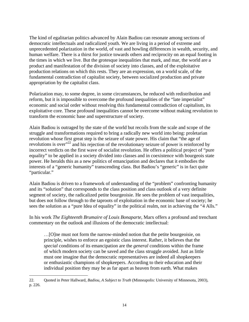The kind of egalitarian politics advanced by Alain Badiou can resonate among sections of democratic intellectuals and radicalized youth. We are living in a period of extreme and unprecedented polarization in the world, of vast and howling differences in wealth, security, and human welfare. There is a thirst for justice towards others and reciprocity on an equal footing in the times in which we live. But the grotesque inequalities that mark, and mar, the world are a product and manifestation of the division of society into classes, and of the exploitative production relations on which this rests. They are an expression, on a world scale, of the fundamental contradiction of capitalist society, between socialized production and private appropriation by the capitalist class.

Polarization may, to some degree, in some circumstances, be reduced with redistribution and reform, but it is impossible to overcome the profound inequalities of the "late imperialist" economic and social order without resolving this fundamental contradiction of capitalism, its exploitative core. These profound inequalities cannot be overcome without making revolution to transform the economic base and superstructure of society.

Alain Badiou is outraged by the state of the world but recoils from the scale and scope of the struggle and transformations required to bring a radically new world into being: proletarian revolution whose first great step is the seizure of state power. His claim that "the age of revolutions is over<sup>22</sup> and his rejection of the revolutionary seizure of power is reinforced by incorrect verdicts on the first wave of socialist revolution. He offers a political project of "pure equality" to be applied in a society divided into classes and in coexistence with bourgeois state power. He heralds this as a new politics of emancipation and declares that it embodies the interests of a "generic humanity" transcending class. But Badiou's "generic" is in fact quite "particular."

Alain Badiou is driven to a framework of understanding of the "problem" confronting humanity and its "solution" that corresponds to the class position and class outlook of a very definite segment of society, the radicalized petite bourgeoisie. He sees the problem of vast inequalities, but does not follow through to the taproots of exploitation in the economic base of society; he sees the solution as a "pure Idea of equality" in the political realm, not in achieving the "4 Alls."

In his work *The Eighteenth Brumaire of Louis Bonaparte*, Marx offers a profound and trenchant commentary on the outlook and illusions of the democratic intellectual:

…[O]ne must not form the narrow-minded notion that the petite bourgeoisie, on principle, wishes to enforce an egoistic class interest. Rather, it believes that the *special* conditions of its emancipation are the *general* conditions within the frame of which modern society can be saved and the class struggle avoided. Just as little must one imagine that the democratic representatives are indeed all shopkeepers or enthusiastic champions of shopkeepers. According to their education and their individual position they may be as far apart as heaven from earth. What makes

<sup>22.</sup> Quoted in Peter Hallward, *Badiou, A Subject to Truth* (Minneapolis: University of Minnesota, 2003), p. 226.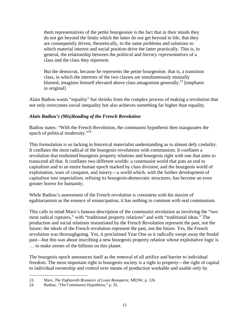them representatives of the petite bourgeoisie is the fact that in their minds they do not get beyond the limits which the latter do not get beyond in life, that they are consequently driven, theoretically, to the same problems and solutions to which material interest and social position drive the latter practically. This is, in general, the relationship between the *political* and *literary representatives* of a class and the class they represent.

But the democrat, because he represents the petite bourgeoisie, that is, a transition class, in which the interests of the two classes are simultaneously mutually blunted, imagines himself elevated above class antagonism generally.<sup>23</sup> [emphasis] in original]

Alain Badiou wants "equality" but shrinks from the complex process of making a revolution that not only overcomes social inequality but also achieves something far higher than equality.

# *Alain Badiou's (Mis)Reading of the French Revolution*

Badiou states: "With the French Revolution, the communist hypothesis then inaugurates the epoch of political modernity."<sup>24</sup>

This formulation is so lacking in historical materialist understanding as to almost defy credulity. It conflates the most radical of the bourgeois revolutions with communism. It conflates a revolution that enshrined bourgeois property relations and bourgeois right with one that aims to transcend all that. It conflates two different worlds: a communist world that puts an end to capitalism and to an entire human epoch marked by class division; and the bourgeois world of exploitation, wars of conquest, and misery—a world which, with the further development of capitalism into imperialism, refining its bourgeois-democratic structures, has become an even greater horror for humanity.

While Badiou's assessment of the French revolution is consistent with his maxim of egalitarianism as the essence of emancipation, it has nothing in common with real communism.

This calls to mind Marx's famous description of the communist revolution as involving the "two most radical ruptures," with "traditional property relations" and with "traditional ideas." The production and social relations instantiated by the French Revolution represent the past, not the future; the ideals of the French revolution represent the past, not the future. Yes, the French revolution was thoroughgoing. Yes, it proclaimed Year One as it radically swept away the feudal past—but this was about inscribing a new bourgeois property relation whose exploitative logic is … to make zeroes of the billions on this planet.

The bourgeois epoch announces itself as the removal of all artifice and barrier to individual freedom. The most important right in bourgeois society is a right to property—the right of capital to individual ownership and control over means of production workable and usable only by

<sup>1</sup> 23. Marx, *The Eighteenth Brumaire of Louis Bonaparte*, MESW, p. 126.

<sup>24.</sup> Badiou, "The Communist Hypothesis," p. 35.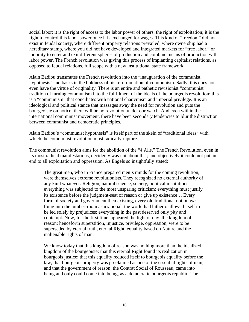social labor; it is the right of access to the labor power of others, the right of exploitation; it is the right to control this labor power once it is exchanged for wages. This kind of "freedom" did not exist in feudal society, where different property relations prevailed, where ownership had a hereditary stamp, where you did not have developed and integrated markets for "free labor," or mobility to enter and exit different spheres of production and combine means of production with labor power. The French revolution was giving this process of implanting capitalist relations, as opposed to feudal relations, full scope with a new institutional state framework.

Alain Badiou transmutes the French revolution into the "inauguration of the communist hypothesis" and basks in the boldness of his reformulation of communism. Sadly, this does not even have the virtue of originality. There is an entire and pathetic revisionist "communist" tradition of turning communism into the fulfillment of the ideals of the bourgeois revolution; this is a "communism" that conciliates with national chauvinism and imperial privilege. It is an ideological and political stance that massages away the need for revolution and puts the bourgeoisie on notice: there will be no revolution under our watch. And even within the international communist movement, there have been secondary tendencies to blur the distinction between communist and democratic principles.

Alain Badiou's "communist hypothesis" is itself part of the skein of "traditional ideas" with which the communist revolution must radically rupture.

The communist revolution aims for the abolition of the "4 Alls." The French Revolution, even in its most radical manifestations, decidedly was not about that; and objectively it could not put an end to all exploitation and oppression. As Engels so insightfully stated:

The great men, who in France prepared men's minds for the coming revolution, were themselves extreme revolutionists. They recognized no external authority of any kind whatever. Religion, natural science, society, political institutions everything was subjected to the most unsparing criticism: everything must justify its existence before the judgment-seat of reason or give up existence… Every form of society and government then existing, every old traditional notion was flung into the lumber-room as irrational; the world had hitherto allowed itself to be led solely by prejudices; everything in the past deserved only pity and contempt. Now, for the first time, appeared the light of day, the kingdom of reason; henceforth superstition, injustice, privilege, oppression, were to be superseded by eternal truth, eternal Right, equality based on Nature and the inalienable rights of man.

We know today that this kingdom of reason was nothing more than the idealized kingdom of the bourgeoisie; that this eternal Right found its realization in bourgeois justice; that this equality reduced itself to bourgeois equality before the law; that bourgeois property was proclaimed as one of the essential rights of man; and that the government of reason, the Contrat Social of Rousseau, came into being and only could come into being, as a democratic bourgeois republic. The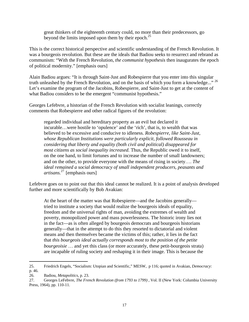great thinkers of the eighteenth century could, no more than their predecessors, go beyond the limits imposed upon them by their epoch. $^{25}$ 

This is the correct historical perspective and scientific understanding of the French Revolution. It was a bourgeois revolution. But these are the ideals that Badiou seeks to resurrect and rebrand as communism: "With the French Revolution, *the communist hypothesis* then inaugurates the epoch of political modernity." [emphasis ours]

Alain Badiou argues: "It is through Saint-Just and Robespierre that you enter into this singular truth unleashed by the French Revolution, and on the basis of which you form a knowledge..."<sup>26</sup> Let's examine the program of the Jacobins, Robespierre, and Saint-Just to get at the content of what Badiou considers to be the emergent "communist hypothesis."

Georges Lefebvre, a historian of the French Revolution with socialist leanings, correctly comments that Robespierre and other radical figures of the revolution:

regarded individual and hereditary property as an evil but declared it incurable…were hostile to 'opulence' and the 'rich', that is, to wealth that was believed to be excessive and conducive to idleness. *Robespierre, like Saint-Just, whose Republican Institutions were particularly explicit, followed Rousseau in considering that liberty and equality (both civil and political) disappeared for most citizens as social inequality increased.* Thus, the Republic owed it to itself, on the one hand, to limit fortunes and to increase the number of small landowners; and on the other, to provide everyone with the means of rising in society…. *The ideal remained a social democracy of small independent producers, peasants and artisans.*<sup>27</sup>[emphasis ours]

Lefebvre goes on to point out that this ideal cannot be realized. It is a point of analysis developed further and more scientifically by Bob Avakian:

At the heart of the matter was that Robespierre—and the Jacobins generally tried to institute a society that would realize the bourgeois ideals of equality, freedom and the universal rights of man, avoiding the extremes of wealth and poverty, monopolized power and mass powerlessness. The historic irony lies not in the fact—as is often alleged by bourgeois democrats and bourgeois historians generally—that in the attempt to do this they resorted to dictatorial and violent means and then themselves became the victims of this; rather, it lies in the fact that *this bourgeois ideal actually corresponds most to the position of the petite bourgeoisie* … and yet this class (or more accurately, these petit-bourgeois strata) are incapable of ruling society and reshaping it in their image. This is because the

 $\overline{a}$ 25. Friedrich Engels, "Socialism: Utopian and Scientific," MESW, p 116; quoted in Avakian, *Democracy*: p. 46.

<sup>26.</sup> Badiou, *Metapolitics*, p. 23.

<sup>27.</sup> Georges LeFebvre, *The French Revolution (from 1793 to 1799)* , Vol. II (New York: Columbia University Press, 1964), pp. 110-11.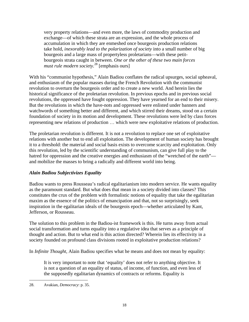very property relations—and even more, the laws of commodity production and exchange—of which these strata are an expression, and the whole process of accumulation in which they are enmeshed once bourgeois production relations take hold*, inexorably lead to the polarization of society* into a small number of big bourgeois and a large mass of propertyless proletarians—with these petitbourgeois strata caught in between. *One or the other of these two main forces must rule modern society.*<sup>28</sup> [emphasis ours]

With his "communist hypothesis," Alain Badiou conflates the radical upsurges, social upheaval, and enthusiasm of the popular masses during the French Revolution with the communist revolution to overturn the bourgeois order and to create a new world. And herein lies the historical significance of the proletarian revolution. In previous epochs and in previous social revolutions, the oppressed have fought oppression. They have yearned for an end to their misery. But the revolutions in which the have-nots and oppressed were enlisted under banners and watchwords of something better and different, and which stirred their dreams, stood on a certain foundation of society in its motion and development. These revolutions were led by class forces representing new relations of production … which were new exploitative relations of production.

The proletarian revolution is different. It is not a revolution to replace one set of exploitative relations with another but to end all exploitation. The development of human society has brought it to a threshold: the material and social basis exists to overcome scarcity and exploitation. Only this revolution, led by the scientific understanding of communism, can give full play to the hatred for oppression and the creative energies and enthusiasm of the "wretched of the earth" and mobilize the masses to bring a radically and different world into being.

# *Alain Badiou Subjectivizes Equality*

Badiou wants to press Rousseau's radical egalitarianism into modern service. He wants equality as the paramount standard. But what does that mean in a society divided into classes? This constitutes the crux of the problem with formalistic notions of equality that take the egalitarian maxim as the essence of the politics of emancipation and that, not so surprisingly, seek inspiration in the egalitarian ideals of the bourgeois epoch—whether articulated by Kant, Jefferson, or Rousseau.

The solution to this problem in the Badiou-ist framework is this. He turns away from actual social transformation and turns equality into a regulative idea that serves as a principle of thought and action. But to what end is this action directed? Wherein lies its effectivity in a society founded on profound class divisions rooted in exploitative production relations?

In *Infinite Thought*, Alain Badiou specifies what he means and does not mean by equality:

It is very important to note that 'equality' does not refer to anything objective. It is not a question of an equality of status, of income, of function, and even less of the supposedly egalitarian dynamics of contracts or reforms. Equality is

 $\overline{a}$ 28. Avakian, *Democracy*: p. 35.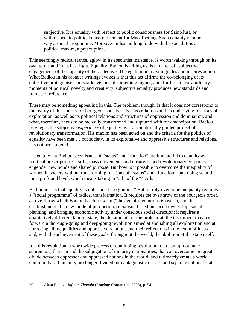subjective. It is equality with respect to public consciousness for Saint-Just, or with respect to political mass movement for Mao Tsetung. Such equality is in no way a social programme. Moreover, it has nothing to do with the social. It is a political maxim, a prescription.<sup>29</sup>

This seemingly radical stance, aglow in its absolutist insistence, is worth walking through on its own terms and in its best light. Equality, Badiou is telling us, is a matter of "subjective" engagement, of the capacity of the collective. The egalitarian maxim guides and inspires action. What Badiou in his broader writings evokes is that this act affirms the co-belonging of its collective protagonists and sparks visions of something higher; and, further, in extraordinary moments of political novelty and creativity, subjective equality produces new standards and frames of reference.

There may be something appealing in this. The problem, though, is that it does not correspond to the reality of this society, of bourgeois society—its class relations and its underlying relations of exploitation, as well as its political relations and structures of oppression and domination, and what, therefore, needs to be radically transformed and ruptured with for emancipation. Badiou privileges the subjective *experience* of equality over a scientifically guided project of revolutionary transformation. His maxim has been acted on and the criteria for the politics of equality have been met … but society, in its exploitative and oppressive structures and relations, has not been altered.

Listen to what Badiou says: issues of "status" and "function" are immaterial to equality as political prescription. Clearly, mass movements and upsurges, and revolutionary eruptions, engender new bonds and shared purpose. But how is it possible to overcome the inequality of women in society without transforming relations of "status" and "function," and doing so at the most profound level, which means taking in "all" of the "4 Alls"?

Badiou insists that equality is not "social programme." But to truly overcome inequality requires a "social programme" of radical transformation. It requires the overthrow of the bourgeois order, an overthrow which Badiou has foresworn ("the age of revolutions is over"), and the establishment of a new mode of production, socialism, based on social ownership, social planning, and bringing economic activity under conscious social direction; it requires a qualitatively different kind of state, the dictatorship of the proletariat, the instrument to carry forward a thorough-going and deep-going revolution aimed at abolishing all exploitation and at uprooting all inequalities and oppressive relations and their reflections in the realm of ideas and, with the achievement of these goals, throughout the world, the abolition of the state itself.

It is this revolution, a worldwide process of continuing revolution, that can uproot male supremacy, that can end the subjugation of minority nationalities, that can overcome the great divide between oppressor and oppressed nations in the world, and ultimately create a world community of humanity, no longer divided into antagonistic classes and separate national-states.

 $\overline{a}$ 29. Alain Badiou, *Infinite Thought* (London: Continuum, 2005), p. 54.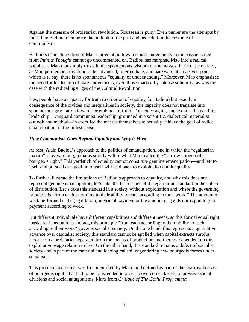Against the measure of proletarian revolution, Rousseau is puny. Even punier are the attempts by those like Badiou to embrace the outlook of the past and bedeck it in the costume of communism.

Badiou's characterization of Mao's orientation towards mass movements in the passage cited from *Infinite Thought* cannot go uncommented on. Badiou has morphed Mao into a radical populist, a Mao that simply trusts in the spontaneous wisdom of the masses. In fact, the masses, as Mao pointed out, divide into the advanced, intermediate, and backward at any given point which is to say, there is no spontaneous "equality of understanding." Moreover, Mao emphasized the need for leadership of mass movements, even those marked by intense solidarity, as was the case with the radical upsurges of the Cultural Revolution.

Yes, people have a capacity for truth (a criterion of equality for Badiou) but exactly in consequence of the divides and inequalities in society, this capacity does not translate into spontaneous gravitation towards or embrace of truth. This, once again, underscores the need for leadership—vanguard communist leadership, grounded in a scientific, dialectical materialist outlook and method—in order for the masses themselves to actually achieve the goal of radical emancipation, in the fullest sense.

# *How Communism Goes Beyond Equality and Why it Must*

At best, Alain Badiou's approach to the politics of emancipation, one in which the "egalitarian maxim" is overarching, remains strictly within what Marx called the "narrow horizon of bourgeois right." This yardstick of equality cannot constitute genuine emancipation—and left to itself and pursued as a goal unto itself will lead back to exploitation and inequality.

To further illustrate the limitations of Badiou's approach to equality, and why this does not represent genuine emancipation, let's take the far reaches of the egalitarian standard in the sphere of distribution. Let's take this standard in a society without exploitation and where the governing principle is "from each according to their ability to each according to their work." The amount of work performed is the (egalitarian) metric of payment or the amount of goods corresponding to payment according to work.

But different individuals have different capabilities and different needs, so this formal equal right masks real inequalities. In fact, this principle "from each according to their ability to each according to their work" governs socialist society. On the one hand, this represents a qualitative advance over capitalist society; this standard cannot be applied when capital extracts surplus labor from a proletariat separated from the means of production and thereby dependent on this exploitative wage relation to live. On the other hand, this standard remains a defect of socialist society and is part of the material and ideological soil engendering new bourgeois forces under socialism.

This problem and defect was first identified by Marx, and defined as part of the "narrow horizon of bourgeois right" that had to be transcended in order to overcome classes, oppressive social divisions and social antagonisms. Marx from *Critique of The Gotha Programme*: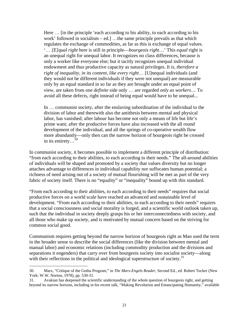Here ... [in the principle 'each according to his ability, to each according to his work' followed in socialism – ed.] …the same principle prevails as that which regulates the exchange of commodities, as far as this is exchange of equal values. '… *[E]qual right* here is still in principle—*bourgeois right*…' This *equal* right is an unequal right for unequal labor. It recognizes no class differences, because is only a worker like everyone else; but it tacitly recognizes unequal individual endowment and thus productive capacity as natural privileges. *It is, therefore a right of inequality, in its content, like every right*… [U]nequal individuals (and they would not be different individuals if they were not unequal) are measurable only by an equal standard in so far as they are brought under an equal point of view, are taken from one *definite* side only … are regarded *only as workers*.... To avoid all these defects, right instead of being equal would have to be unequal...

In … communist society, after the enslaving subordination of the individual to the division of labor and therewith also the antithesis between mental and physical labor, has vanished; after labour has become not only a means of life but life's prime want; after the productive forces have also increased with the all round development of the individual, and all the springs of co-operative wealth flow more abundantly—only then can the narrow horizon of bourgeois right be crossed in its entirety... $30$ 

In communist society, it becomes possible to implement a different principle of distribution: "from each according to their abilities, to each according to their needs." The all-around abilities of individuals will be shaped and promoted by a society that values diversity but no longer attaches advantage to differences in individual capability nor suffocates human potential; a richness of need arising out of a society of mutual flourishing will be met as part of the very fabric of society itself. There is no "equality" or "inequality" bound up with this standard.

"From each according to their abilities, to each according to their needs" requires that social productive forces on a world scale have reached an advanced and sustainable level of development. "From each according to their abilities, to each according to their needs" requires that a social consciousness and social morality is forged, and a scientific world outlook taken up, such that the individual in society deeply grasps his or her interconnectedness with society, and all those who make up society, and is motivated by mutual concern based on the striving for common social good.

Communism requires getting beyond the narrow horizon of bourgeois right as Mao used the term in the broader sense to describe the social differences (like the division between mental and manual labor) and economic relations (including commodity production and the divisions and separations it engenders) that carry over from bourgeois society into socialist society—along with their reflections in the political and ideological superstructure of society.<sup>31</sup>

1

<sup>30.</sup> Marx, "Critique of the Gotha Program," in *The Marx-Engels Reader*, Second Ed., ed. Robert Tucker (New York: W.W. Norton, 1978), pp. 530-31.

<sup>31.</sup> Avakian has deepened the scientific understanding of the whole question of bourgeois right, and getting beyond its narrow horizon, including in his recent talk, "Making Revolution and Emancipating Humanity," available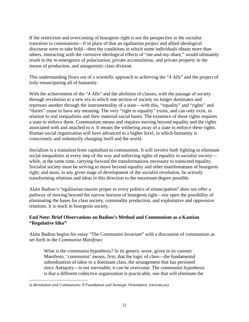If the restriction and overcoming of bourgeois right is not the perspective in the socialist transition to communism—if in place of that an egalitarian project and allied ideological discourse were to take hold—then the conditions in which some individuals obtain more than others, interacting with the corrosive ideological effects of "me-and-my-share," would ultimately result in the re-emergence of polarization, private accumulation, and private property in the means of production, and antagonistic class division.

This understanding flows out of a scientific approach to achieving the "4 Alls" and the project of truly emancipating all of humanity.

With the achievement of the "4 Alls" and the abolition of classes, with the passage of society through revolution to a new era in which one section of society no longer dominates and represses another through the instrumentality of a state—with this, "equality" and "rights" and "duties" cease to have any meaning. The very "right to equality" exists, and can only exist, in relation to real inequalities and their material-social bases. The existence of these rights requires a state to enforce them. Communism means and requires moving beyond equality and the rights associated with and attached to it. It means the withering away of a state to enforce these rights. Human social organization will have advanced to a higher level, in which humanity is consciously and voluntarily changing itself and the world.

Socialism is a transition from capitalism to communism. It will involve both fighting to eliminate social inequalities at every step of the way and enforcing rights of equality in socialist society while, at the same time, carrying forward the transformations necessary to transcend equality. Socialist society must be striving to move beyond equality and other manifestations of bourgeois right; and must, in any given stage of development of the socialist revolution, be actively transforming relations and ideas in this direction to the maximum degree possible.

Alain Badiou's "egalitarian maxim proper to every politics of emancipation" does not offer a pathway of moving beyond the narrow horizon of bourgeois right—nor open the possibility of eliminating the bases for class society, commodity production, and exploitative and oppressive relations. It is stuck in bourgeois society.

#### **End Note: Brief Observations on Badiou's Method and Communism as a Kantian "Regulative Idea"**

Alain Badiou begins his essay "The Communist Invariant" with a discussion of communism as set forth in the *Communist Manifesto*:

What is the communist hypothesis? In its generic sense, given in its canonic Manifesto, 'communist' means, first, that the logic of class—the fundamental subordination of labor to a dominant class, the arrangement that has persisted since Antiquity—is not inevitable; it can be overcome. The communist hypothesis is that a different collective organization is practicable, one that will eliminate the

 $\overline{a}$ in *Revolution and Communism: A Foundation and Strategic Orientation*. (revcom.us)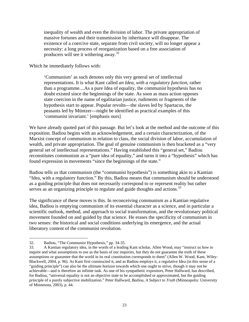inequality of wealth and even the division of labor. The private appropriation of massive fortunes and their transmission by inheritance will disappear. The existence of a coercive state, separate from civil society, will no longer appear a necessity: a long process of reorganization based on a free association of producers will see it withering away.<sup>32</sup>

Which he immediately follows with:

'Communism' as such denotes only this very general set of intellectual representations. It is what Kant called *an Idea, with a regulatory function*, rather than a programme....As a pure Idea of equality, the communist hypothesis has no doubt existed since the beginnings of the state. As soon as mass action opposes state coercion in the name of egalitarian justice, rudiments or fragments of the hypothesis start to appear. Popular revolts—the slaves led by Spartacus, the peasants led by Müntzer—might be identified as practical examples of this 'communist invariant.' [emphasis ours]

We have already quoted part of this passage. But let's look at the method and the outcome of this exposition. Badiou begins with an acknowledgement, and a certain characterization, of the Marxist concept of communism in relation to class, the social division of labor, accumulation of wealth, and private appropriation. The goal of genuine communism is then bracketed as a "very general set of intellectual representations." Having established this "general set," Badiou reconstitutes communism as a "pure idea of equality," and turns it into a "hypothesis" which has found expression in movements "since the beginnings of the state."

Badiou tells us that communism (the "communist hypothesis") is something akin to a Kantian "Idea, with a regulatory function." By this, Badiou means that communism should be understood as a guiding principle that does not necessarily correspond to or represent reality but rather serves as an organizing principle to regulate and guide thoughts and actions.<sup>33</sup>

The significance of these moves is this. In reconceiving communism as a Kantian regulative idea, Badiou is emptying communism of its essential character as a science, and in particular a scientific outlook, method, and approach to social transformation, and the revolutionary political movement founded on and guided by that science. He erases the specificity of communism in two senses: the historical and social conditions underlying its emergence, and the actual liberatory content of the communist revolution.

<sup>32.</sup> Badiou, "The Communist Hypothesis," pp. 34-35.

<sup>33.</sup> A Kantian regulatory idea, in the words of a leading Kant scholar, Allen Wood, may "instruct us how to inquire and what assumptions to use as the basis of our inquiries, but they do not guarantee the truth of these assumptions or guarantee that the world in its real constitution corresponds to them" (Allen W. Wood, Kant, Wiley-Blackwell, 2004, p. 96). As Kant first constructed it, and as Badiou employs it, a regulative Idea (in this sense of a "guiding principle") can also be the ultimate horizon towards which one ought to strive, though it may not be achievable—and is therefore an infinite task. As one of his sympathetic expositors, Peter Hallward, has described, for Badiou, "universal equality is not an objective state to be accomplished or approximated, but the guiding principle of a purely subjective mobilization." Peter Hallward, *Badiou, A Subject to Truth* (Minneapolis: University of Minnesota, 2003), p. 44.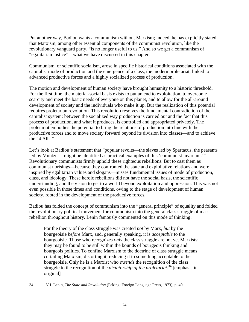Put another way, Badiou wants a communism without Marxism; indeed, he has explicitly stated that Marxism, among other essential components of the communist revolution, like the revolutionary vanguard party, "is no longer useful to us." And so we get a communism of "egalitarian justice"—what we have discussed in this chapter.

Communism, or scientific socialism, arose in specific historical conditions associated with the capitalist mode of production and the emergence of a class, the modern proletariat, linked to advanced productive forces and a highly socialized process of production.

The motion and development of human society have brought humanity to a historic threshold. For the first time, the material-social basis exists to put an end to exploitation, to overcome scarcity and meet the basic needs of everyone on this planet, and to allow for the all-around development of society and the individuals who make it up. But the realization of this potential requires proletarian revolution. This revolution resolves the fundamental contradiction of the capitalist system: between the socialized way production is carried out and the fact that this process of production, and what it produces, is controlled and appropriated privately. The proletariat embodies the potential to bring the relations of production into line with the productive forces and to move society forward beyond its division into classes—and to achieve the "4 Alls."

Let's look at Badiou's statement that "popular revolts—the slaves led by Spartacus, the peasants led by Muntzer—might be identified as practical examples of this 'communist invariant.'" Revolutionary communists firmly uphold these righteous rebellions. But to cast them as communist uprisings—because they confronted the state and exploitative relations and were inspired by egalitarian values and slogans—misses fundamental issues of mode of production, class, and ideology. These heroic rebellions did not have the social basis, the scientific understanding, and the vision to get to a world beyond exploitation and oppression. This was not even possible in those times and conditions, owing to the stage of development of human society, rooted in the development of the productive forces.

Badiou has folded the concept of communism into the "general principle" of equality and folded the revolutionary political movement for communism into the general class struggle of mass rebellion throughout history. Lenin famously commented on this mode of thinking:

For the theory of the class struggle was created *not* by Marx, *but* by the bourgeoisie *before* Marx, and, generally speaking, it is *acceptable* to the bourgeoisie. Those who recognizes *only* the class struggle are not yet Marxists; they may be found to be still within the bounds of bourgeois thinking and bourgeois politics. To confine Marxism to the doctrine of class struggle means curtailing Marxism, distorting it, reducing it to something acceptable to the bourgeoisie. Only he is a Marxist who *extends* the recognition of the class struggle to the recognition of the *dictatorship of the proletariat*. 34 [emphasis in original]

 $\overline{a}$ 34. V.I. Lenin, *The State and Revolution* (Peking: Foreign Language Press, 1973), p. 40.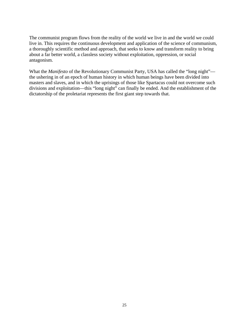The communist program flows from the reality of the world we live in and the world we could live in. This requires the continuous development and application of the science of communism, a thoroughly scientific method and approach, that seeks to know and transform reality to bring about a far better world, a classless society without exploitation, oppression, or social antagonism.

What the *Manifesto* of the Revolutionary Communist Party, USA has called the "long night"the ushering in of an epoch of human history in which human beings have been divided into masters and slaves, and in which the uprisings of those like Spartacus could not overcome such divisions and exploitation—this "long night" can finally be ended. And the establishment of the dictatorship of the proletariat represents the first giant step towards that.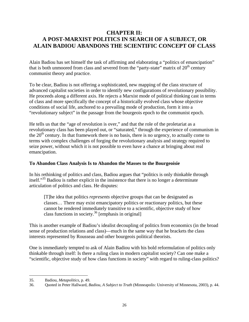# **CHAPTER II: A POST-MARXIST POLITICS IN SEARCH OF A SUBJECT, OR ALAIN BADIOU ABANDONS THE SCIENTIFIC CONCEPT OF CLASS**

Alain Badiou has set himself the task of affirming and elaborating a "politics of emancipation" that is both unmoored from class and severed from the "party-state" matrix of  $20<sup>th</sup>$  century communist theory and practice.

To be clear, Badiou is not offering a sophisticated, new mapping of the class structure of advanced capitalist societies in order to identify new configurations of revolutionary possibility. He proceeds along a different axis. He rejects a Marxist mode of political thinking cast in terms of class and more specifically the concept of a historically evolved class whose objective conditions of social life, anchored to a prevailing mode of production, form it into a "revolutionary subject" in the passage from the bourgeois epoch to the communist epoch.

He tells us that the "age of revolution is over," and that the role of the proletariat as a revolutionary class has been played out, or "saturated," through the experience of communism in the  $20<sup>th</sup>$  century. In that framework there is no basis, there is no urgency, to actually come to terms with complex challenges of forging the revolutionary analysis and strategy required to seize power, without which it is not possible to even have a chance at bringing about real emancipation.

# **To Abandon Class Analysis Is to Abandon the Masses to the Bourgeoisie**

In his rethinking of politics and class, Badiou argues that "politics is only thinkable through itself."<sup>35</sup> Badiou is rather explicit in the insistence that there is no longer a determinate articulation of politics and class. He disputes:

[T]he idea that politics *represents* objective groups that can be designated as classes… There may exist emancipatory politics or reactionary politics, but these cannot be rendered immediately transitive to a scientific, objective study of how class functions in society.<sup>36</sup> [emphasis in original]

This is another example of Badiou's idealist decoupling of politics from economics (in the broad sense of production relations and class)—much in the same way that he brackets the class interests represented by Rousseau and other bourgeois political theorists.

One is immediately tempted to ask of Alain Badiou with his bold reformulation of politics only thinkable through itself: Is there a ruling class in modern capitalist society? Can one make a "scientific, objective study of how class functions in society" with regard to ruling-class politics?

<sup>35.</sup> Badiou, *Metapolitics*, p. 49.

<sup>36.</sup> Quoted in Peter Hallward, *Badiou, A Subject to Truth* (Minneapolis: University of Minnesota, 2003), p. 44.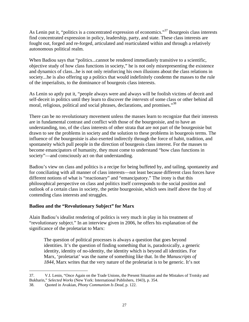As Lenin put it, "politics is a concentrated expression of economics."<sup>37</sup> Bourgeois class interests find concentrated expression in policy, leadership, party, and state. These class interests are fought out, forged and re-forged, articulated and rearticulated within and through a relatively autonomous political realm.

When Badiou says that "politics...cannot be rendered immediately transitive to a scientific, objective study of how class functions in society," he is not only misrepresenting the existence and dynamics of class...he is not only reinforcing his own illusions about the class relations in society...he is also offering up a politics that would indefinitely condemn the masses to the rule of the imperialists, to the dominance of bourgeois class interests.

As Lenin so aptly put it, "people always were and always will be foolish victims of deceit and self-deceit in politics until they learn to discover the *interests* of some class or other behind all moral, religious, political and social phrases, declarations, and promises."<sup>38</sup>

There can be no revolutionary movement unless the masses learn to recognize that their interests are in fundamental contrast and conflict with those of the bourgeoisie, and to have an understanding, too, of the class interests of other strata that are not part of the bourgeoisie but drawn to see the problems in society and the solution to these problems in bourgeois terms. The influence of the bourgeoisie is also exerted indirectly through the force of habit, tradition, and spontaneity which pull people in the direction of bourgeois class interest. For the masses to become emancipators of humanity, they must come to understand "how class functions in society"—and consciously act on that understanding.

Badiou's view on class and politics is a recipe for being buffeted by, and tailing, spontaneity and for conciliating with all manner of class interests—not least because different class forces have different notions of what is "reactionary" and "emancipatory." The irony is that this philosophical perspective on class and politics itself corresponds to the social position and outlook of a certain class in society, the petite bourgeoisie, which sees itself above the fray of contending class interests and struggles.

# **Badiou and the "Revolutionary Subject" for Marx**

Alain Badiou's idealist rendering of politics is very much in play in his treatment of "revolutionary subject." In an interview given in 2006, he offers his explanation of the significance of the proletariat to Marx:

The question of political processes is always a question that goes beyond identities. It's the question of finding something that is, paradoxically, a generic identity, identity of no-identity, the identity which is beyond all identities. For Marx, 'proletariat' was the name of something like that. In the *Manuscripts of 1844*, Marx writes that the very nature of the proletariat is to be generic. It's not

<sup>37.</sup> V.I. Lenin, "Once Again on the Trade Unions, the Present Situation and the Mistakes of Trotsky and Bukharin," *Selected Works* (New York: International Publishers, 1943), p. 354.

<sup>38.</sup> Quoted in Avakian, *Phony Communism Is Dead*, p. 122.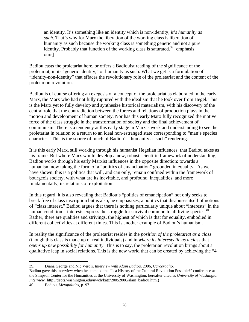an identity. It's something like an identity which is non-identity; *it's humanity as such*. That's why for Marx the liberation of the working class is liberation of humanity as such because the working class is something generic and not a pure identity. Probably that function of the working class is saturated.<sup>39</sup> [emphasis ours]

Badiou casts the proletariat here, or offers a Badiouist reading of the significance of the proletariat, in its "generic identity," or humanity as such. What we get is a formulation of "identity-non-identity" that effaces the revolutionary role of the proletariat and the content of the proletarian revolution.

Badiou is of course offering an exegesis of a concept of the proletariat as elaborated in the early Marx, the Marx who had not fully ruptured with the idealism that he took over from Hegel. This is the Marx yet to fully develop and synthesize historical materialism, with his discovery of the central role that the contradiction between the forces and relations of production plays in the motion and development of human society. Nor has this early Marx fully recognized the motive force of the class struggle in the transformation of society and the final achievement of communism. There is a tendency at this early stage in Marx's work and understanding to see the proletariat in relation to a return to an ideal non-estranged state corresponding to "man's species character." This is the source of much of Badiou's "humanity as such" rendering.

It is this early Marx, still working through his humanist Hegelian influences, that Badiou takes as his frame. But where Marx would develop a new, robust scientific framework of understanding, Badiou works through his early Marxist influences in the opposite direction: towards a humanism now taking the form of a "politics of emancipation" grounded in equality. As we have shown, this is a politics that will, and can only, remain confined within the framework of bourgeois society, with what are its inevitable, and profound, inequalities, and more fundamentally, its relations of exploitation.

In this regard, it is also revealing that Badiou's "politics of emancipation" not only seeks to break free of class inscription but is also, he emphasizes, a politics that disabuses itself of notions of "class interest." Badiou argues that there is nothing particularly unique about "interests" in the human condition—interests express the struggle for survival common to all living species. $40$ Rather, there are qualities and strivings, the highest of which is that for equality, embodied in different collectivities at different times. This is another example of Badiou's humanism.

In reality the significance of the proletariat resides in the *position of the proletariat as a class* (though this class is made up of real individuals) and in *where its interests lie as a class* that *opens up new possibility for humanity*. This is to say, the proletarian revolution brings about a qualitative leap in social relations. This is the new world that can be created by achieving the "4

 $\overline{a}$ 39. Diana George and Nic Veroli, *Interview with Alain Badiou*, 2006, *Carceraglio*.

Badiou gave this interview when he attended the "Is a History of the Cultural Revolution Possible?" conference at the Simpson Center for the Humanities at the University of Washington; hereafter cited as *University of Washington Interview*.(http://depts.washington.edu/uwch/katz/20052006/alain\_badiou.html)

<sup>40.</sup> Badiou, *Metapolitics*, p. 97.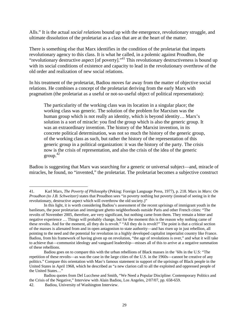Alls." It is the actual *social relations* bound up with the emergence, revolutionary struggle, and ultimate dissolution of the proletariat as a class that are at the heart of the matter.

There is something else that Marx identifies in the condition of the proletariat that imparts revolutionary agency to this class. It is what he called, in a polemic against Proudhon, the "revolutionary destructive aspect [of poverty]."41 This revolutionary destructiveness is bound up with its social conditions of existence and capacity to lead in the revolutionary overthrow of the old order and realization of new social relations.

In his treatment of the proletariat, Badiou moves far away from the matter of objective social relations. He combines a concept of the proletariat deriving from the early Marx with pragmatism (the proletariat as a useful or not-so-useful object of political representation):

The particularity of the working class was its location in a singular place; the working class was generic. The solution of the problem for Marxism was the human group which is not really an identity, which is beyond identity… Marx's solution is a sort of miracle: you find the group which is also the generic group. It was an extraordinary invention. The history of the Marxist invention, in its concrete political determination, was not so much the history of the generic group, of the working class as such, but rather the history of the representation of this generic group in a political organization: it was the history of the party. The crisis now is the crisis of representation, and also the crisis of the idea of the generic group. $42$ 

Badiou is suggesting that Marx was searching for a generic or universal subject—and, miracle of miracles, he found, no "invented," the proletariat. The proletariat becomes a subjective construct

<sup>41.</sup> Karl Marx, *The Poverty of Philosophy* (Peking: Foreign Language Press, 1977), p. 218. Marx in *Marx: On Proudhon (to J.B. Schweitzer)* states that Proudhon sees "in poverty nothing but poverty (instead of seeing in it the revolutionary, destructive aspect which will overthrow the old society.)"

In this light, it is worth considering Badiou's assessment of the recent uprisings of immigrant youth in the banlieues, the poor proletarian and immigrant ghetto neighborhoods outside Paris and other French cities: "The revolts of November 2005, therefore, are very significant, but nothing came from them. They remain a bitter and negative experience … Things will probably change, but for the moment this is the reason why nothing came of these revolts. And for the moment, all they do is revolt." "All they do is revolt?" The point is that a critical section of the masses is alienated from and in open antagonism to state authority—and has risen up in just rebellion, all pointing to the need and the potential for revolution in a highly developed capitalist imperialist country like France. Badiou, from his framework of having given up on revolution, "the age of revolutions is over," and what it will take to achieve that—communist ideology and vanguard leadership—misses all of this to arrive at a negative summation of these rebellions.

Badiou goes on to compare this with the urban rebellions of Black masses in the '60s in the U.S: "The repetition of these revolts—as was the case in the large cities of the U.S. in the 1960s—cannot be creative of any politics." Compare this orientation with Mao's famous statement in support of the uprisings of Black people in the United States in April 1968, which he described as "a new clarion call to all the exploited and oppressed people of the United States…"

Badiou quotes from Del Lucchese and Smith, "We Need a Popular Discipline: Contemporary Politics and the Crisis of the Negative," Interview with Alain Badiou, Los Angeles, 2/07/07, pp. 658-659.

<sup>42.</sup> Badiou, University of Washington Interview.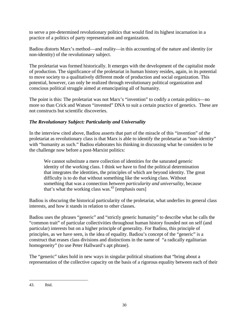to serve a pre-determined revolutionary politics that would find its highest incarnation in a practice of a politics of party representation and organization.

Badiou distorts Marx's method—and reality—in this accounting of the nature and identity (or non-identity) of the revolutionary subject.

The proletariat was formed historically. It emerges with the development of the capitalist mode of production. The significance of the proletariat in human history resides, again, in its potential to move society to a qualitatively different mode of production and social organization. This potential, however, can only be realized through revolutionary political organization and conscious political struggle aimed at emancipating all of humanity.

The point is this: The proletariat was not Marx's "invention" to codify a certain politics—no more so than Crick and Watson "invented" DNA to suit a certain practice of genetics. These are not constructs but scientific discoveries.

# *The Revolutionary Subject: Particularity and Universality*

In the interview cited above, Badiou asserts that part of the miracle of this "invention" of the proletariat as revolutionary class is that Marx is able to identify the proletariat as "non-identity" with "humanity as such." Badiou elaborates his thinking in discussing what he considers to be the challenge now before a post-Marxist politics:

We cannot substitute a mere collection of identities for the saturated generic identity of the working class. I think we have to find the political determination that integrates the identities, the principles of which are beyond identity. The great difficulty is to do that without something like the working class. Without something that was a connection *between particularity and universality*, because that's what the working class was. $43$  [emphasis ours]

Badiou is obscuring the historical particularity of the proletariat, what underlies its general class interests, and how it stands in relation to other classes.

Badiou uses the phrases "generic" and "strictly generic humanity" to describe what he calls the "common trait" of particular collectivities throughout human history founded not on self (and particular) interests but on a higher principle of generality. For Badiou, this principle of principles, as we have seen, is the idea of equality. Badiou's concept of the "generic" is a construct that erases class divisions and distinctions in the name of "a radically egalitarian homogeneity" (to use Peter Hallward's apt phrase).

The "generic" takes hold in new ways in singular political situations that "bring about a representation of the collective capacity on the basis of a rigorous equality between each of their

<sup>43.</sup> Ibid.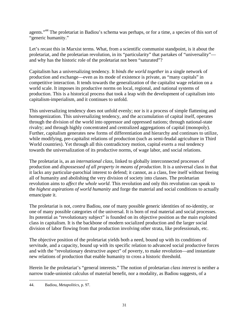agents."44 The proletariat in Badiou's schema was perhaps, or for a time, a species of this sort of "generic humanity."

Let's recast this in Marxist terms. What, from a scientific communist standpoint, is it about the proletariat, and the proletarian revolution, in its "particularity" that partakes of "universality" and why has the historic role of the proletariat not been "saturated"?

Capitalism has a universalizing tendency. It *binds the world together* in a single network of production and exchange—even as its mode of existence is private, as "many capitals" in competitive interaction. It tends towards the generalization of the capitalist wage relation on a world scale. It imposes its productive norms on local, regional, and national systems of production. This is a historical process that took a leap with the development of capitalism into capitalism-imperialism, and it continues to unfold.

This universalizing tendency does not unfold evenly; nor is it a process of simple flattening and homogenization. This universalizing tendency, and the accumulation of capital itself, operates through the division of the world into oppressor and oppressed nations; through national-state rivalry; and through highly concentrated and centralized aggregations of capital (monopoly). Further, capitalism generates new forms of differentiation and hierarchy and continues to utilize, while modifying, pre-capitalist relations of production (such as semi-feudal agriculture in Third World countries). Yet through all this contradictory motion, capital exerts a real tendency towards the universalization of its productive norms, of wage labor, and social relations.

The proletariat is, as an *international class*, linked to globally interconnected processes of production and *dispossessed of all property in means of production*. It is a universal class in that it lacks any particular-parochial interest to defend; it cannot, as a class, free itself without freeing all of humanity and abolishing the very division of society into classes. The proletarian revolution aims to *affect the whole world*. This revolution and only this revolution can speak to the *highest aspirations of world humanity* and forge the material and social conditions to actually emancipate it.

The proletariat is not, *contra* Badiou, one of many possible generic identities of no-identity, or one of many possible categories of the universal. It is born of real material and social processes. Its potential as "revolutionary subject" is founded on its objective position as the main exploited class in capitalism. It is the backbone of modern socialized production and the larger social division of labor flowing from that production involving other strata, like professionals, etc.

The objective position of the proletariat yields both a need, bound up with its conditions of servitude, and a capacity, bound up with its specific relation to advanced social productive forces and with the "revolutionary destructive aspect" of poverty, to make revolution—and instantiate new relations of production that enable humanity to cross a historic threshold.

Herein lie the proletariat's "general interests." The notion of proletarian *class interest* is neither a narrow trade-unionist calculus of material benefit, nor a modality, as Badiou suggests, of a

 $\overline{a}$ 44. Badiou, *Metapolitics*, p. 97.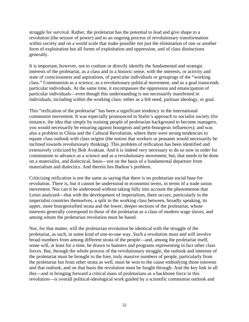struggle for survival. Rather, the proletariat has the potential to lead and give shape to a revolution (the seizure of power) and to an ongoing process of revolutionary transformation within society and on a world scale that make possible not just the elimination of one or another form of exploitation but all forms of exploitation and oppression, and of class distinctions generally.

It is important, however, not to confuse or directly identify the fundamental and strategic interests of the proletariat, as a class and in a historic sense, with the interests, or activity and state of consciousness and aspirations, of particular individuals or groupings of the "working class." Communism as a science, as a revolutionary political movement, and as a goal transcends particular individuals. At the same time, it encompasses the oppression and emancipation of particular individuals—even though this understanding is not necessarily manifested in individuals, including within the working class: either as a felt need, partisan ideology, or goal.

This "reification of the proletariat" has been a significant tendency in the international communist movement. It was especially pronounced in Stalin's approach to socialist society (for instance, the idea that simply by training people of proletarian background to become managers, you would necessarily be ensuring against bourgeois and petit-bourgeois influences); and was also a problem in China and the Cultural Revolution, where there were strong tendencies to equate class outlook with class origins (the notion that workers or peasants would necessarily be inclined towards revolutionary thinking). This problem of reification has been identified and extensively criticized by Bob Avakian. And it is indeed very necessary to do so now in order for communism to advance as a science and as a revolutionary movement; but, that needs to be done on a materialist, and dialectical, basis—not on the basis of a fundamental departure from materialism and dialectics. And therein lies Badiou's problem.

Criticizing reification is not the same as saying that there is no proletarian social base for revolution. There is, but it cannot be understood in economist terms, in terms of a trade union movement. Nor can it be understood without taking fully into account the phenomenon that Lenin analyzed—that with the development of imperialism, there occurs, particularly in the imperialist countries themselves, a split in the working class between, broadly speaking, its upper, more bourgeoisified strata and the lower, deeper sections of the proletariat, whose interests generally correspond to those of the proletariat as a class of modern wage slaves, and among whom the proletarian revolution must be based.

Nor, for that matter, will the proletarian revolution be identical with the struggle of the proletariat, as such, in some kind of one-to-one way. Such a revolution must and will involve broad numbers from among different strata of the people—and, among the proletariat itself, some will, at least for a time, be drawn to banners and programs representing in fact other class forces. But, through the whole process of the revolutionary struggle, the outlook and interests of the proletariat must be brought to the fore, truly massive numbers of people, particularly from the proletariat but from other strata as well, must be won to the cause embodying those interests and that outlook, and on that basis the revolution must be fought through. And the key link in all this—and in bringing forward a critical mass of proletarians as a backbone force in this revolution—is overall political-ideological work guided by a scientific communist outlook and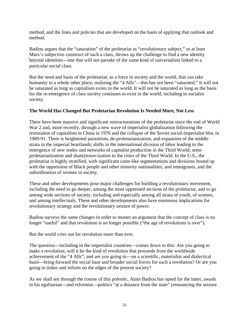method, and the lines and policies that are developed on the basis of applying that outlook and method.

Badiou argues that the "saturation" of the proletariat as "revolutionary subject," or at least Marx's subjective construct of such a class, throws up the challenge to find a new identity beyond identities—one that will not partake of the same kind of universalism linked to a particular social class.

But the need and basis of the proletariat, as a force in society and the world, that can take humanity to a whole other place, realizing the "4 Alls"—this has not been "saturated." It will not be saturated as long as capitalism exists in the world. It will not be saturated as long as the basis for the re-emergence of class society continues to exist in the world, including in socialist society.

# **The World Has Changed But Proletarian Revolution Is Needed More, Not Less**

There have been massive and significant restructurations of the proletariat since the end of World War 2 and, more recently, through a new wave of imperialist globalization following the restoration of capitalism in China in 1976 and the collapse of the Soviet social-imperialist bloc in 1989-91. There is heightened parasitism, de-proletarianization, and expansion of the middle strata in the imperial heartlands; shifts in the international division of labor leading to the emergence of new nodes and networks of capitalist production in the Third World; semiproletarianization and shantytown-ization in the cities of the Third World. In the U.S., the proletariat is highly stratified, with significant caste-like segmentations and divisions bound up with the oppression of Black people and other minority nationalities, and immigrants, and the subordination of women in society.

These and other developments pose major challenges for building a revolutionary movement, including the need to go deeper, among the most oppressed sections of the proletariat, and to go among wide sections of society, including and especially among all strata of youth, of women, and among intellectuals. These and other developments also have enormous implications for revolutionary strategy and the revolutionary seizure of power.

Badiou surveys the same changes in order to muster an argument that the concept of class is no longer "useful" and that revolution is no longer possible ("the age of revolutions is over").

But the world cries out for revolution more than ever.

The question—including in the imperialist countries—comes down to this: Are you going to make a revolution; will it be the kind of revolution that proceeds from the worldwide achievement of the "4 Alls"; and are you going to—on a scientific, materialist and dialectical basis—bring forward the social base and broader social forces for such a revolution? Or are you going to tinker and reform on the edges of the present society?

As we shall see through the course of this polemic, Alain Badiou has opted for the latter, awash in his egalitarian—and reformist—politics "at a distance from the state" (renouncing the seizure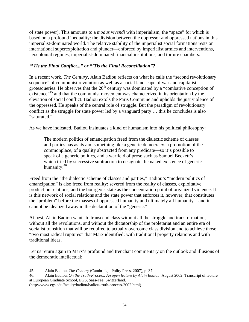of state power). This amounts to a *modus vivendi* with imperialism, the "space" for which is based on a profound inequality: the division between the oppressor and oppressed nations in this imperialist-dominated world. The relative stability of the imperialist social formations rests on international superexploitation and plunder—enforced by imperialist armies and interventions, neocolonial regimes, imperialist-dominated financial institutions, and torture chambers.

#### *"'Tis the Final Conflict..." or "'Tis the Final Reconciliation"?*

In a recent work, *The Century*, Alain Badiou reflects on what he calls the "second revolutionary sequence" of communist revolution as well as a social landscape of war and capitalist grotesqueries. He observes that the  $20<sup>th</sup>$  century was dominated by a "combative conception of existence"<sup>45</sup> and that the communist movement was characterized in its orientation by the elevation of social conflict. Badiou extols the Paris Commune and upholds the just violence of the oppressed. He speaks of the central role of struggle. But the paradigm of revolutionary conflict as the struggle for state power led by a vanguard party … this he concludes is also "saturated."

As we have indicated, Badiou insinuates a kind of humanism into his political philosophy:

The modern politics of emancipation freed from the dialectic scheme of classes and parties has as its aim something like a generic democracy, a promotion of the commonplace, of a quality abstracted from any predicate—so it's possible to speak of a generic politics, and a warfield of prose such as Samuel Beckett's, which tried by successive subtraction to designate the naked existence of generic humanity.<sup>46</sup>

Freed from the "the dialectic scheme of classes and parties," Badiou's "modern politics of emancipation" is also freed from reality: severed from the reality of classes, exploitative production relations, and the bourgeois state as the concentration point of organized violence. It is this network of social relations and the state power that enforces it, however, that constitutes the "problem" before the masses of oppressed humanity and ultimately all humanity—and it cannot be idealized away in the declaration of the "generic."

At best, Alain Badiou wants to transcend class without all the struggle and transformation, without all the revolutions, and without the dictatorship of the proletariat and an entire era of socialist transition that will be required to actually overcome class division and to achieve those "two most radical ruptures" that Marx identified: with traditional property relations and with traditional ideas.

Let us return again to Marx's profound and trenchant commentary on the outlook and illusions of the democratic intellectual:

46. Alain Badiou, *On the Truth-Process: An open lecture by Alain Badiou*, August 2002. Transcript of lecture at European Graduate School, EGS, Saas-Fee, Switzerland.

(http://www.egs.edu/faculty/badiou/badiou-truth-process-2002.html)

 $\overline{a}$ 45. Alain Badiou, *The Century* (Cambridge: Polity Press, 2007), p. 37.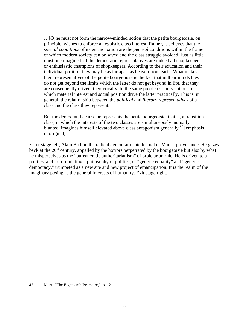…[O]ne must not form the narrow-minded notion that the petite bourgeoisie, on principle, wishes to enforce an egoistic class interest. Rather, it believes that the *special conditions* of its emancipation are the *general* conditions within the frame of which modern society can be saved and the class struggle avoided. Just as little must one imagine that the democratic representatives are indeed all shopkeepers or enthusiastic champions of shopkeepers. According to their education and their individual position they may be as far apart as heaven from earth. What makes them representatives of the petite bourgeoisie is the fact that in their minds they do not get beyond the limits which the latter do not get beyond in life, that they are consequently driven, theoretically, to the same problems and solutions to which material interest and social position drive the latter practically. This is, in general, the relationship between the *political* and *literary representatives* of a class and the class they represent.

But the democrat, because he represents the petite bourgeoisie, that is, a transition class, in which the interests of the two classes are simultaneously mutually blunted, imagines himself elevated above class antagonism generally.<sup>47</sup> [emphasis] in original]

Enter stage left, Alain Badiou the radical democratic intellectual of Maoist provenance. He gazes back at the  $20<sup>th</sup>$  century, appalled by the horrors perpetrated by the bourgeoisie but also by what he misperceives as the "bureaucratic authoritarianism" of proletarian rule. He is driven to a politics, and to formulating a philosophy of politics, of "generic equality" and "generic democracy," trumpeted as a new site and new project of emancipation. It is the realm of the imaginary posing as the general interests of humanity. Exit stage right.

1

<sup>47.</sup> Marx, "The Eighteenth Brumaire," p. 121.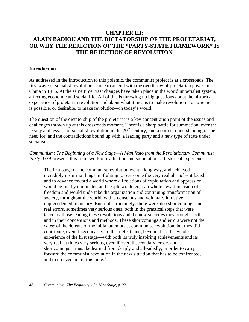# **CHAPTER III: ALAIN BADIOU AND THE DICTATORSHIP OF THE PROLETARIAT, OR WHY THE REJECTION OF THE "PARTY-STATE FRAMEWORK" IS THE REJECTION OF REVOLUTION**

#### **Introduction**

As addressed in the Introduction to this polemic, the communist project is at a crossroads. The first wave of socialist revolutions came to an end with the overthrow of proletarian power in China in 1976. At the same time, vast changes have taken place in the world imperialist system, affecting economic and social life. All of this is throwing up big questions about the historical experience of proletarian revolution and about what it means to make revolution—or whether it is possible, or desirable, to make revolution—in today's world.

The question of the dictatorship of the proletariat is a key concentration point of the issues and challenges thrown up at this crossroads moment. There is a sharp battle for summation: over the legacy and lessons of socialist revolution in the  $20<sup>th</sup>$  century; and a correct understanding of the need for, and the contradictions bound up with, a leading party and a new type of state under socialism.

*Communism: The Beginning of a New Stage—A Manifesto from the Revolutionary Communist Party, USA* presents this framework of evaluation and summation of historical experience:

The first stage of the communist revolution went a long way, and achieved incredibly inspiring things, in fighting to overcome the very real obstacles it faced and to advance toward a world where all relations of exploitation and oppression would be finally eliminated and people would enjoy a whole new dimension of freedom and would undertake the organization and continuing transformation of society, throughout the world, with a conscious and voluntary initiative unprecedented in history. But, not surprisingly, there were also shortcomings and real errors, sometimes very serious ones, both in the practical steps that were taken by those leading these revolutions and the new societies they brought forth, and in their conceptions and methods. These shortcomings and errors were not the *cause* of the defeats of the initial attempts at communist revolution, but they did contribute, even if secondarily, to that defeat; and, beyond that, this whole experience of the first stage—with both its truly inspiring achievements and its very real, at times very serious, even if overall secondary, errors and shortcomings—must be learned from deeply and all-sidedly, in order to carry forward the communist revolution in the new situation that has to be confronted, and to do even better this time.<sup>48</sup>

 $\overline{a}$ 48. *Communism: The Beginning of a New Stage*, p. 22.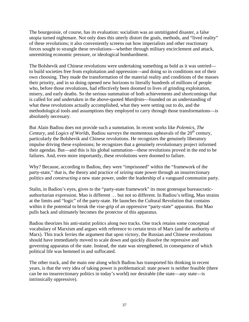The bourgeoisie, of course, has its evaluation: socialism was an unmitigated disaster, a false utopia turned nightmare. Not only does this utterly distort the goals, methods, and "lived reality" of these revolutions; it also conveniently screens out how imperialists and other reactionary forces sought to strangle these revolutions—whether through military encirclement and attack, unremitting economic pressure, or ideological bombardment.

The Bolshevik and Chinese revolutions were undertaking something as bold as it was untried to build societies free from exploitation and oppression—and doing so in conditions not of their own choosing. They made the transformation of the material reality and conditions of the masses their priority, and in so doing opened new horizons to literally hundreds of millions of people who, before those revolutions, had effectively been doomed to lives of grinding exploitation, misery, and early deaths. So the serious summation of both achievements and shortcomings that is called for and undertaken in the above-quoted *Manifesto*—founded on an understanding of what these revolutions actually accomplished, what they were setting out to do, and the methodological tools and assumptions they employed to carry through those transformations—is absolutely necessary.

But Alain Badiou does not provide such a summation. In recent works like *Polemics*, *The Century*, and *Logics of Worlds*, Badiou surveys the momentous upheavals of the 20<sup>th</sup> century, particularly the Bolshevik and Chinese revolutions. He recognizes the genuinely liberatory impulse driving these explosions; he recognizes that a genuinely revolutionary project informed their agendas. But—and this is his global summation—these revolutions proved in the end to be failures. And, even more importantly, these revolutions were doomed to failure.

Why? Because, according to Badiou, they were "imprisoned" within the "framework of the party-state," that is, the theory and practice of *seizing* state power through an insurrectionary politics and *constructing* a new state power, under the leadership of a vanguard communist party.

Stalin, in Badiou's eyes, gives to the "party-state framework" its most grotesque bureaucraticauthoritarian expression. Mao is different … but not so different. In Badiou's telling, Mao strains at the limits and "logic" of the party-state. He launches the Cultural Revolution that contains within it the potential to break the vise-grip of an oppressive "party-state" apparatus. But Mao pulls back and ultimately becomes the protector of this apparatus.

Badiou theorizes his anti-statist politics along two tracks. One track retains some conceptual vocabulary of Marxism and argues with reference to certain texts of Marx (and the authority of Marx). This track ferries the argument that upon victory, the Russian and Chinese revolutions should have immediately moved to scale down and quickly dissolve the repressive and governing apparatus of the state. Instead, the state was strengthened, in consequence of which political life was hemmed in and suffocated.

The other track, and the main one along which Badiou has transported his thinking in recent years, is that the very idea of taking power is problematical: state power is neither feasible (there can be no insurrectionary politics in today's world) nor desirable (the state—any state—is intrinsically oppressive).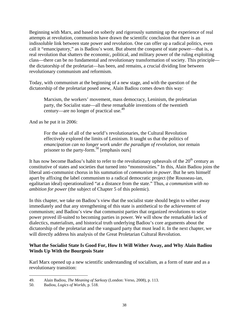Beginning with Marx, and based on soberly and rigorously summing up the experience of real attempts at revolution, communists have drawn the scientific conclusion that there is an indissoluble link between state power and revolution. One can offer up a radical politics, even call it "emancipatory," as is Badiou's wont. But absent the conquest of state power—that is, a real revolution that shatters the economic, political, and military power of the ruling exploiting class—there can be no fundamental and revolutionary transformation of society. This principle the dictatorship of the proletariat—has been, and remains, a crucial dividing line between revolutionary communism and reformism.

Today, with communism at the beginning of a new stage, and with the question of the dictatorship of the proletariat posed anew, Alain Badiou comes down this way:

Marxism, the workers' movement, mass democracy, Leninism, the proletarian party, the Socialist state—all these remarkable inventions of the twentieth century—are no longer of practical use. $49$ 

And as he put it in 2006:

For the sake of all of the world's revolutionaries, the Cultural Revolution effectively explored the limits of Leninism. It taught us that the politics of *emancipation can no longer work under the paradigm of revolution*, nor remain prisoner to the party-form.<sup>50</sup> [emphasis ours]

It has now become Badiou's habit to refer to the revolutionary upheavals of the  $20<sup>th</sup>$  century as constitutive of states and societies that turned into "monstrosities." In this, Alain Badiou joins the liberal anti-communist chorus in his summation of *communism in power*. But he sets himself apart by affixing the label communism to a radical democratic project (the Rousseau-ian, egalitarian ideal) operationalized "at a distance from the state." Thus, *a communism with no ambition for power* (the subject of Chapter 5 of this polemic).

In this chapter, we take on Badiou's view that the socialist state should begin to wither away immediately and that any strengthening of this state is antithetical to the achievement of communism; and Badiou's view that communist parties that organized revolutions to seize power proved ill-suited to becoming parties in power. We will show the remarkable lack of dialectics, materialism, and historical truth underlying Badiou's core arguments about the dictatorship of the proletariat and the vanguard party that must lead it. In the next chapter, we will directly address his analysis of the Great Proletarian Cultural Revolution.

### **What the Socialist State Is Good For, How It Will Wither Away, and Why Alain Badiou Winds Up With the Bourgeois State**

Karl Marx opened up a new scientific understanding of socialism, as a form of state and as a revolutionary transition:

<sup>49.</sup> Alain Badiou, *The Meaning of Sarkozy* (London: Verso, 2008), p. 113.

<sup>50.</sup> Badiou, *Logics of Worlds*, p. 518.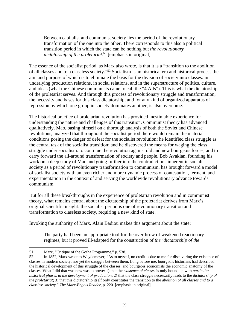Between capitalist and communist society lies the period of the revolutionary transformation of the one into the other. There corresponds to this also a political transition period in which the state can be nothing but *the revolutionary dictatorship of the proletariat*. 51 [emphasis in original]

The essence of the socialist period, as Marx also wrote, is that it is a "transition to the abolition of all classes and to a classless society."52 Socialism is an historical era and historical process the aim and purpose of which is to eliminate the basis for the division of society into classes: in underlying production relations, in social relations, and in the superstructure of politics, culture, and ideas (what the Chinese communists came to call the "4 Alls"). This is what the dictatorship of the proletariat serves. And through this process of revolutionary struggle and transformation, the necessity and bases for this class dictatorship, and for any kind of organized apparatus of repression by which one group in society dominates another, is also overcome.

The historical practice of proletarian revolution has provided inestimable experience for understanding the nature and challenges of this transition. Communist theory has advanced qualitatively. Mao, basing himself on a thorough analysis of both the Soviet and Chinese revolutions, analyzed that throughout the socialist period there would remain the material conditions posing the danger of defeat for the socialist revolution; he identified class struggle as the central task of the socialist transition; and he discovered the means for waging the class struggle under socialism: to continue the revolution against old and new bourgeois forces, and to carry forward the all-around transformation of society and people. Bob Avakian, founding his work on a deep study of Mao and going further into the contradictions inherent in socialist society as a period of revolutionary transformation to communism, has brought forward a model of socialist society with an even richer and more dynamic process of contestation, ferment, and experimentation in the context of and serving the worldwide revolutionary advance towards communism.

But for all these breakthroughs in the experience of proletarian revolution and in communist theory, what remains central about the dictatorship of the proletariat derives from Marx's original scientific insight: the socialist period is one of revolutionary transition and transformation to classless society, requiring a new kind of state.

Invoking the authority of Marx, Alain Badiou makes this argument about the state:

The party had been an appropriate tool for the overthrow of weakened reactionary regimes, but it proved ill-adapted for the construction of *the 'dictatorship of the* 

 $\overline{a}$ 51. Marx, "Critique of the Gotha Programme," p. 538.

<sup>52.</sup> In 1852, Marx wrote to Weydemeyer, "As to myself, no credit is due to me for discovering the existence of classes in modern society, nor yet the struggle between them. Long before me, bourgeois historians had described the historical development of this struggle of the classes, and bourgeois economists the economic anatomy of the classes. What I did that was new was to prove: 1) that the *existence of classes* is only bound up with *particular historical phases in the development of production*; 2) that the class struggle necessarily leads to the *dictatorship of the proletariat*; 3) that this dictatorship itself only constitutes the transition to the *abolition of all classes and to a classless society*." *The Marx-Engels Reader*, p. 220. [emphasis in original]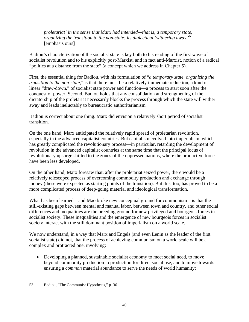*proletariat' in the sense that Marx had intended—that is, a temporary state, organizing the transition to the non-state: its dialectical 'withering away.*' 53 [emphasis ours]

Badiou's characterization of the socialist state is key both to his reading of the first wave of socialist revolution and to his explicitly post-Marxist, and in fact anti-Marxist, notion of a radical "politics at a distance from the state" (a concept which we address in Chapter 5).

First, the essential thing for Badiou, with his formulation of "*a temporary state, organizing the transition to the non-state,*" is that there must be a relatively immediate reduction, a kind of linear "draw-down," of socialist state power and function—a process to start soon after the conquest of power. Second, Badiou holds that any consolidation and strengthening of the dictatorship of the proletariat necessarily blocks the process through which the state will wither away and leads ineluctably to bureaucratic authoritarianism.

Badiou is correct about one thing. Marx did envision a relatively short period of socialist transition.

On the one hand, Marx anticipated the relatively rapid spread of proletarian revolution, especially in the advanced capitalist countries. But capitalism evolved into imperialism, which has greatly complicated the revolutionary process—in particular, retarding the development of revolution in the advanced capitalist countries at the same time that the principal locus of revolutionary upsurge shifted to the zones of the oppressed nations, where the productive forces have been less developed.

On the other hand, Marx foresaw that, after the proletariat seized power, there would be a relatively telescoped process of overcoming commodity production and exchange through money (these were expected as starting points of the transition). But this, too, has proved to be a more complicated process of deep-going material and ideological transformation.

What has been learned—and Mao broke new conceptual ground for communism—is that the still-existing gaps between mental and manual labor, between town and country, and other social differences and inequalities are the breeding ground for new privileged and bourgeois forces in socialist society. These inequalities and the emergence of new bourgeois forces in socialist society interact with the still dominant position of imperialism on a world scale.

We now understand, in a way that Marx and Engels (and even Lenin as the leader of the first socialist state) did not, that the process of achieving communism on a world scale will be a complex and protracted one, involving:

• Developing a planned, sustainable socialist economy to meet social need, to move beyond commodity production to production for direct social use, and to move towards ensuring a *common* material abundance to serve the needs of world humanity;

 $\overline{a}$ 53. Badiou, "The Communist Hypothesis," p. 36.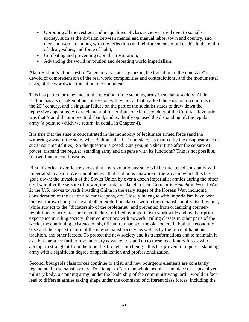- Uprooting all the vestiges and inequalities of class society carried over to socialist society, such as the division between mental and manual labor, town and country, and men and women—along with the reflections and reinforcements of all of this in the realm of ideas, values, and force of habit;
- Combating and preventing capitalist restoration;
- Advancing the world revolution and defeating world imperialism.

Alain Badiou's litmus test of "a temporary state organizing the transition to the non-state" is devoid of comprehension of the real world complexities and contradictions, and the monumental tasks, of the worldwide transition to communism.

This has particular relevance to the question of the standing army in socialist society. Alain Badiou has also spoken of an "obsession with victory" that marked the socialist revolutions of the  $20<sup>th</sup>$  century, and a singular failure on the part of the socialist states to draw down the repressive apparatus. A core element of his critique of Mao's conduct of the Cultural Revolution was that Mao did not move to disband, and explicitly opposed the disbanding of, the regular army (a point to which we return, in detail, in Chapter 4).

It is true that the state is concentrated in the monopoly of legitimate armed force (and the withering away of the state, what Badiou calls the "non-state," is marked by the disappearance of such instrumentalities). So the question is posed: Can you, in a short time after the seizure of power, disband the regular, standing army and dispense with its functions? This is not possible, for two fundamental reasons:

First, historical experience shows that any revolutionary state will be threatened constantly with imperialist invasion. We cannot believe that Badiou is unaware of the ways in which this has gone down: the invasion of the Soviet Union by over a dozen imperialist armies during the bitter civil war after the seizure of power; the brutal onslaught of the German *Wermacht* in World War 2; the U.S. moves towards invading China in the early stages of the Korean War, including consideration of the use of nuclear weapons, etc. Closely in league with imperialism have been the overthrown bourgeoisie and other exploiting classes within the socialist country itself, which, while subject to the "dictatorship of the proletariat" and prevented from organizing counterrevolutionary activities, are nevertheless fortified by imperialism worldwide and by their prior experience in ruling society, their connections with powerful ruling classes in other parts of the world, the continuing existence of significant remnants of the old society in both the economic base and the superstructure of the new socialist society, as well as by the force of habit and tradition, and other factors. To protect the new society and its transformations and to maintain it as a base area for further revolutionary advance, to stand up to these reactionary forces who attempt to strangle it from the time it is brought into being—this has proven to require a standing army with a significant degree of specialization and professionalization.

Second, bourgeois class forces continue to exist, and new bourgeois elements are constantly regenerated in socialist society. To attempt to "arm the whole people"—in place of a specialized military body, a standing army, under the leadership of the communist vanguard—would in fact lead to different armies taking shape under the command of different class forces, including the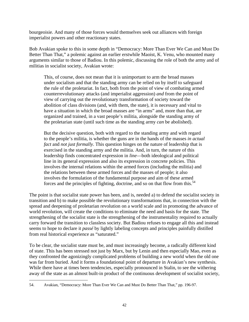bourgeoisie. And many of those forces would themselves seek out alliances with foreign imperialist powers and other reactionary states.

Bob Avakian spoke to this in some depth in "Democracy: More Than Ever We Can and Must Do Better Than That," a polemic against an earlier erstwhile Maoist, K. Venu, who mounted many arguments similar to those of Badiou. In this polemic, discussing the role of both the army and of militias in socialist society, Avakian wrote:

This, of course, does not mean that it is unimportant to arm the broad masses under socialism and that the standing army can be relied on by itself to safeguard the rule of the proletariat. In fact, both from the point of view of combating armed counterrevolutionary attacks (and imperialist aggression) *and* from the point of view of carrying out the revolutionary transformation of society toward the abolition of class divisions (and, with them, the state), it is necessary and vital to have a situation in which the broad masses are "in arms" and, more than that, are organized and trained, in a vast people's militia, alongside the standing army of the proletarian state (until such time as the standing army *can* be abolished).

But the decisive question, both with regard to the standing army and with regard to the people's militia, is whether the guns are in the hands of the masses *in actual fact* and *not just formally*. This question hinges on the nature of leadership that is exercised in the standing army and the militia. And, in turn, the nature of this leadership finds concentrated expression in *line*—both ideological and political line in its general expression and also its expression in concrete policies. This involves the internal relations within the armed forces (including the militia) and the relations between these armed forces and the masses of people; it also involves the formulation of the fundamental purpose and aim of these armed forces and the principles of fighting, doctrine, and so on that flow from this.<sup>54</sup>

The point is that socialist state power has been, and is, needed a) to defend the socialist society in transition and b) to make possible the revolutionary transformations that, in connection with the spread and deepening of proletarian revolution on a world scale and in promoting the advance of world revolution, will create the conditions to eliminate the need and basis for the state. The strengthening of the socialist state is the strengthening of the instrumentality required to actually carry forward the transition to classless society. But Badiou refuses to engage all this and instead seems to hope to declare it *passé* by lightly labeling concepts and principles painfully distilled from real historical experience as "saturated."

To be clear, the socialist state must be, and must increasingly become, a radically different kind of state. This has been stressed not just by Marx, but by Lenin and then especially Mao, even as they confronted the agonizingly complicated problems of building a new world when the old one was far from buried. And it forms a foundational point of departure in Avakian's new synthesis. While there have at times been tendencies, especially pronounced in Stalin, to see the withering away of the state as an almost built-in product of the continuous development of socialist society,

 $\overline{a}$ 54. Avakian, "Democracy: More Than Ever We Can and Must Do Better Than That," pp. 196-97.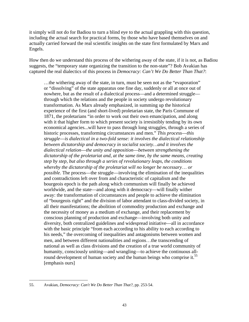it simply will not do for Badiou to turn a blind eye to the actual grappling with this question, including the actual search for practical forms, by those who have based themselves on and actually carried forward the real scientific insights on the state first formulated by Marx and Engels.

How then do we understand this process of the withering away of the state, if it is not, as Badiou suggests, the "temporary state organizing the transition to the non-state"? Bob Avakian has captured the real dialectics of this process in *Democracy: Can't We Do Better Than That?*:

…the withering away of the state, in turn, must be seen not as the "evaporation" or "dissolving" of the state apparatus one fine day, suddenly or all at once out of nowhere, but as the result of a dialectical process—and a determined struggle through which the relations and the people in society undergo revolutionary transformation. As Marx already emphasized, in summing up the historical experience of the first (and short-lived) proletarian state, the Paris Commune of 1871, the proletarians "in order to work out their own emancipation, and along with it that higher form to which present society is irresistibly tending by its own economical agencies...will have to pass through long struggles, through a series of historic processes, transforming circumstances and men." *This process*—*this struggle*—*is dialectical in a two-fold sense: it involves the dialectical relationship between dictatorship and democracy in socialist society…and it involves the dialectical relation*—*the unity and opposition*—*between strengthening the dictatorship of the proletariat and, at the same time, by the same means, creating step by step, but also through a series of revolutionary leaps, the conditions whereby the dictatorship of the proletariat will no longer be necessary*… *or possible.* The process—the struggle—involving the elimination of the inequalities and contradictions left over from and characteristic of capitalism and the bourgeois epoch is the path along which communism will finally be achieved worldwide, and the state—and along with it democracy—will finally wither away: the transformation of circumstances and people to achieve the elimination of "bourgeois right" and the division of labor attendant to class-divided society, in all their manifestations; the abolition of commodity production and exchange and the necessity of money as a medium of exchange, and their replacement by conscious planning of production and exchange—involving both unity and diversity, both centralized guidelines and widespread initiative—all in accordance with the basic principle "from each according to his ability to each according to his needs," the overcoming of inequalities and antagonisms between women and men, and between different nationalities and regions…the transcending of national as well as class divisions and the creation of a true world community of humanity, consciously uniting—and wrangling—to achieve the continuous allround development of human society and the human beings who comprise it.<sup>55</sup> [emphasis ours]

 $\overline{a}$ 55. Avakian, *Democracy: Can't We Do Better Than That?*, pp. 253-54.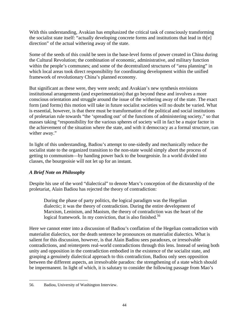With this understanding, Avakian has emphasized the critical task of consciously transforming the socialist state itself: "actually developing concrete forms and institutions that lead in th[e] direction" of the actual withering away of the state.

Some of the seeds of this could be seen in the base-level forms of power created in China during the Cultural Revolution; the combination of economic, administrative, and military function within the people's communes; and some of the decentralized structures of "area planning" in which local areas took direct responsibility for coordinating development within the unified framework of revolutionary China's planned economy.

But significant as these were, they were *seeds*; and Avakian's new synthesis envisions institutional arrangements (and experimentation) that go beyond these and involves a more conscious orientation and struggle around the issue of the withering away of the state. The exact form (and forms) this motion will take in future socialist societies will no doubt be varied. What is essential, however, is that there must be transformation of the political and social institutions of proletarian rule towards "the 'spreading out' of the functions of administering society," so that masses taking "responsibility for the various spheres of society will in fact be a major factor in the achievement of the situation where the state, and with it democracy as a formal structure, can wither away."

In light of this understanding, Badiou's attempt to one-sidedly and mechanically reduce the socialist state to the organized transition to the non-state would simply abort the process of getting to communism—by handing power back to the bourgeoisie. In a world divided into classes, the bourgeoisie will not let up for an instant.

# *A Brief Note on Philosophy*

Despite his use of the word "dialectical" to denote Marx's conception of the dictatorship of the proletariat, Alain Badiou has rejected the theory of contradiction:

During the phase of party politics, the logical paradigm was the Hegelian dialectic; it was the theory of contradiction. During the entire development of Marxism, Leninism, and Maoism, the theory of contradiction was the heart of the logical framework. In my conviction, that is also finished.<sup>56</sup>

Here we cannot enter into a discussion of Badiou's conflation of the Hegelian contradiction with materialist dialectics, nor the death sentence he pronounces on materialist dialectics. What is salient for this discussion, however, is that Alain Badiou sees paradoxes, or irresolvable contradictions, and reinterprets real-world contradictions through this lens. Instead of seeing both unity and opposition in the contradiction embodied in the existence of the socialist state, and grasping a genuinely dialectical approach to this contradiction, Badiou only sees opposition between the different aspects, an irresolvable paradox: the strengthening of a state which should be impermanent. In light of which, it is salutary to consider the following passage from Mao's

 $\overline{a}$ 56. Badiou, University of Washington Interview.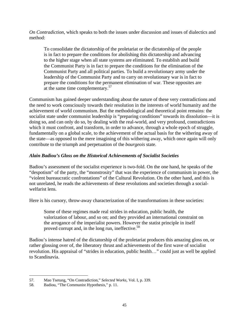*On Contradiction*, which speaks to both the issues under discussion and issues of dialectics and method:

To consolidate the dictatorship of the proletariat or the dictatorship of the people is in fact to prepare the conditions for abolishing this dictatorship and advancing to the higher stage when all state systems are eliminated. To establish and build the Communist Party is in fact to prepare the conditions for the elimination of the Communist Party and all political parties. To build a revolutionary army under the leadership of the Communist Party and to carry on revolutionary war is in fact to prepare the conditions for the permanent elimination of war. These opposites are at the same time complementary.<sup>57</sup>

Communism has gained deeper understanding about the nature of these very contradictions and the need to work consciously towards their resolution in the interests of world humanity and the achievement of world communism. But the methodological and theoretical point remains: the socialist state under communist leadership is "preparing conditions" towards its dissolution—it is doing so, and can only do so, by dealing with the real-world, and very profound, contradictions which it must confront, and transform, in order to advance, through a whole epoch of struggle, fundamentally on a global scale, to the achievement of the actual basis for the withering away of the state—as opposed to the mere imagining of this withering away, which once again will only contribute to the triumph and perpetuation of the *bourgeois* state.

# *Alain Badiou's Gloss on the Historical Achievements of Socialist Societies*

Badiou's assessment of the socialist experience is two-fold. On the one hand, he speaks of the "despotism" of the party, the "monstrosity" that was the experience of communism in power, the "violent bureaucratic confrontations" of the Cultural Revolution. On the other hand, and this is not unrelated, he reads the achievements of these revolutions and societies through a socialwelfarist lens.

Here is his cursory, throw-away characterization of the transformations in these societies:

Some of these regimes made real strides in education, public health, the valorization of labour, and so on; and they provided an international constraint on the arrogance of the imperialist powers. However the statist principle in itself proved corrupt and, in the long run, ineffective.<sup>58</sup>

Badiou's intense hatred of the dictatorship of the proletariat produces this amazing gloss on, or rather glossing over of, the liberatory thrust and achievements of the first wave of socialist revolution. His appraisal of "strides in education, public health…" could just as well be applied to Scandinavia.

 $\overline{a}$ 57. Mao Tsetung, "On Contradiction," *Selected Works*, Vol. I, p. 339.

<sup>58.</sup> Badiou, "The Communist Hypothesis," p. 11.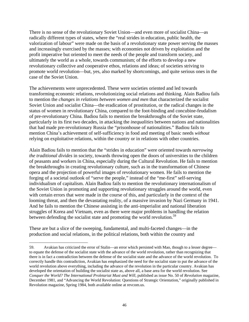There is no sense of the revolutionary Soviet Union—and even more of socialist China—as radically different types of states, where the "real strides in education, public health, the valorization of labour" were made on the basis of a revolutionary state power serving the masses and increasingly exercised by the masses; with economies not driven by exploitation and the profit imperative but oriented to meet the needs of the people and transform society, and ultimately the world as a whole, towards communism; of the efforts to develop a new revolutionary collective and cooperative ethos, relations and ideas; of societies striving to promote world revolution—but, yes, also marked by shortcomings, and quite serious ones in the case of the Soviet Union.

The achievements were unprecedented. These were societies oriented and led towards transforming economic relations, revolutionizing social relations and thinking. Alain Badiou fails to mention the *changes in relations between women and men* that characterized the socialist Soviet Union and socialist China—the eradication of prostitution, or the radical changes in the status of women in revolutionary China, compared to the foot-binding and concubine-feudalism of pre-revolutionary China. Badiou fails to mention the breakthroughs of the Soviet state, particularly in its first two decades, in attacking the *inequalities* between nations and nationalities that had made pre-revolutionary Russia the "prisonhouse of nationalities." Badiou fails to mention China's achievement of self-sufficiency in food and meeting of basic needs *without* relying on exploitative relations, within the country or in relations with other countries.

Alain Badiou fails to mention that the "strides in education" were oriented towards *narrowing the traditional divides* in society, towards throwing open the doors of universities to the children of peasants and workers in China, especially during the Cultural Revolution. He fails to mention the breakthroughs in creating revolutionary culture, such as in the transformation of Chinese opera and the projection of powerful images of revolutionary women. He fails to mention the forging of a societal outlook of "serve the people," instead of the "me-first" self-serving individualism of capitalism. Alain Badiou fails to mention the revolutionary internationalism of the Soviet Union in promoting and supporting revolutionary struggles around the world, even with certain errors that were made in the course of this, and particularly in the context of the looming threat, and then the devastating reality, of a massive invasion by Nazi Germany in 1941. And he fails to mention the Chinese assisting in the anti-imperialist and national liberation struggles of Korea and Vietnam, even as there were major problems in handling the relation between defending the socialist state and promoting the world revolution.<sup>59</sup>

These are but a slice of the sweeping, fundamental, and multi-faceted changes—in the production and social relations, in the political relations, both within the country and

<sup>59.</sup> Avakian has criticized the error of Stalin—an error which persisted with Mao, though to a lesser degree to equate the defense of the socialist state with the advance of the world revolution, rather than recognizing that there is in fact a contradiction between the defense of the socialist state and the advance of the world revolution. To correctly handle this contradiction, Avakian has emphasized the need for the socialist state to put the advance of the world revolution above everything, including the advance of the revolution in the particular country. Avakian has developed the orientation of building the socialist state as, above all, a base area for the world revolution. See *Conquer the World? The International Proletariat Must and Will*, published as issue No. 50 of *Revolution* magazine, December 1981, and "Advancing the World Revolution: Questions of Strategic Orientation," originally published in Revolution magazine, Spring 1984, both available online at revcom.us.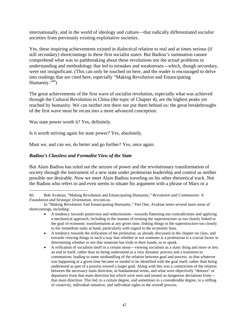internationally, and in the world of ideology and culture—that radically differentiated socialist societies from previously existing exploitative societies.

Yes, these inspiring achievements existed in dialectical relation to real and at times serious (if still secondary) shortcomings in these first socialist states. But Badiou's summation cannot comprehend what was so pathbreaking about these revolutions nor the actual problems in understanding and methodology that led to mistakes and weaknesses—which, though secondary, were not insignificant. (This can only be touched on here, and the reader is encouraged to delve into readings that are cited here, especially "Making Revolution and Emancipating Humanity. $\cdot$ <sup>60</sup>)

The great achievements of the first wave of socialist revolution, especially what was achieved through the Cultural Revolution in China (the topic of Chapter 4), are the highest peaks yet reached by humanity. We can neither rest there nor put them behind us: the great breakthroughs of the first wave must be recast into a more advanced conception.

Was state power worth it? Yes, definitely.

<u>.</u>

Is it worth striving again for state power? Yes, absolutely.

Must we, and can we, do better and go further? Yes, once again.

### *Badiou's Classless and Formalist View of the State*

But Alain Badiou has ruled out the seizure of power and the revolutionary transformation of society through the instrument of a new state under proletarian leadership and control as neither possible nor desirable. Now we meet Alain Badiou traveling on his other theoretical track. Not the Badiou who refers to and even seems to situate his argument with a phrase of Marx or a

<sup>60.</sup> Bob Avakian, "Making Revolution and Emancipating Humanity," *Revolution and Communism: A Foundation and Strategic Orientation*, revcom.us.

In "Making Revolution And Emancipating Humanity," Part One, Avakian notes several main areas of shortcomings, including:

<sup>•</sup> A tendency towards positivism and reductionism—towards flattening out contradictions and applying a mechanical approach, including in the manner of treating the superstructure as too closely linked to the goal of economic transformation at any given time, linking things in the superstructure too closely to the immediate tasks at hand, particularly with regard to the economic base.

<sup>•</sup> A tendency towards the reification of the proletariat, as already discussed in the chapter on class, and towards viewing things in such a way that whether or not someone is a proletarian is a crucial factor in determining whether or not that someone has truth in their hands, so to speak.

<sup>•</sup> A reification of socialism itself in a certain sense—viewing socialism as a static thing and more or less an end in itself, rather than its being understood as a very dynamic process and a transition to communism, leading to some mishandling of the relation between goal and process, so that whatever was happening at a given time became or tended to be identified with the goal itself, rather than being understood as part of a process toward a larger goal. Along with this was a constriction of the relation between the necessary main direction, in fundamental terms, and what were objectively "detours" or departures from that main direction but which were seen and treated as dangerous deviations from that main direction. This led, to a certain degree, and sometimes to a considerable degree, to a stifling of creativity, individual initiative, and individual rights in the overall process.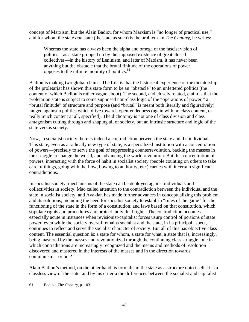concept of Marxism, but the Alain Badiou for whom Marxism is "no longer of practical use," and for whom the state *qua* state (the state as such) is the problem. In *The Century*, he writes:

Whereas the state has always been the alpha and omega of the fascist vision of politics—as a state propped up by the supposed existence of great closed collectives—in the history of Leninism, and later of Maoism, it has never been anything but the obstacle that the brutal finitude of the operations of power opposes to the infinite mobility of politics.<sup>61</sup>

Badiou is making two global claims. The first is that the historical experience of the dictatorship of the proletariat has shown this state form to be an "obstacle" to an unfettered politics (the content of which Badiou is rather vague about). The second, and closely related, claim is that the proletarian state is subject to some supposed non-class logic of the "operations of power," a "brutal finitude" of structure and purpose (and "brutal" is meant both literally and figuratively) ranged against a politics which drive towards open-endedness (again with no class content, or really much content at all, specified). The dichotomy is not one of class division and class antagonism cutting through and shaping all of society, but an intrinsic structure and logic of the state versus society.

Now, in socialist society there is indeed a contradiction between the state and the individual. This state, even as a radically new type of state, is a specialized institution with a concentration of powers—precisely to serve the goal of suppressing counterrevolution, backing the masses in the struggle to change the world, and advancing the world revolution. But this concentration of powers, interacting with the force of habit in socialist society (people counting on others to take care of things, going with the flow, bowing to authority, etc.) carries with it certain significant contradictions.

In socialist society, mechanisms of the state can be deployed against individuals and collectivities in society. Mao called attention to the contradiction between the individual and the state in socialist society, and Avakian has made further advances in conceptualizing this problem and its solutions, including the need for socialist society to establish "rules of the game" for the functioning of the state in the form of a constitution, and laws based on that constitution, which stipulate rights and procedures and protect individual rights. The contradiction becomes especially acute in instances when revisionist-capitalist forces usurp control of portions of state power, even while the society overall remains socialist and the state, in its principal aspect, continues to reflect and serve the socialist character of society. But all of this has objective class content. The essential question is: a state for whom, a state for what, a state that is, increasingly, being mastered by the masses and revolutionized through the continuing class struggle, one in which contradictions are increasingly recognized and the means and methods of resolution discovered and mastered in the interests of the masses and in the direction towards communism—or not?

Alain Badiou's method, on the other hand, is formalism: the state as a structure unto itself. It is a classless view of the state; and by his criteria the differences between the socialist and capitalist

<sup>1</sup> 61. Badiou, *The Century*, p. 103.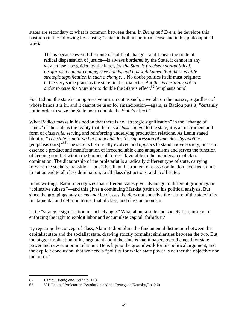states are secondary to what is common between them. In *Being and Event*, he develops this position (in the following he is using "state" in both its political sense and in his philosophical way):

This is because even if the route of political change—and I mean the route of radical dispensation of justice—is always bordered by the State, it cannot in any way let itself be guided by the latter, *for the State is precisely non-political, insofar as it cannot change, save hands, and it is well known that there is little strategic signification in such a change*… No doubt politics itself must originate in the very same place as the state: in that dialectic. But *this is certainly not in order to seize the State* nor to double the State's effect.<sup>62</sup> [emphasis ours]

For Badiou, the state is an oppressive instrument as such, a weight on the masses, regardless of whose hands it is in, and it cannot be used for emancipation—again, as Badiou puts it, "certainly not in order to seize the State nor to double the State's effect."

What Badiou masks in his notion that there is no "strategic signification" in the "change of hands" of the state is the reality that there is a *class content* to the state; it is an instrument and form of *class rule*, serving and reinforcing underlying production relations. As Lenin stated bluntly, *"The state is nothing but a machine for the suppression of one class by another.*  [emphasis ours]*"*63 The state is historically evolved and *appears* to stand above society, but is in essence a product and manifestation of irreconcilable class antagonisms and serves the function of keeping conflict within the bounds of "order" favorable to the maintenance of class domination. The dictatorship of the proletariat is a radically different type of state, carrying forward the socialist transition—but it is still an instrument of class domination, even as it aims to put an end to all class domination, to all class distinctions, and to all states.

In his writings, Badiou recognizes that different states give advantage to different groupings or "collective subsets"—and this gives a continuing Marxist patina to his political analysis. But since the groupings may or *may not* be classes, he does not conceive the nature of the state in its fundamental and defining terms: that of class, and class antagonism.

Little "strategic signification in such change?" What about a state and society that, instead of enforcing the right to exploit labor and accumulate capital, forbids it?

By rejecting the concept of class, Alain Badiou blurs the fundamental distinction between the capitalist state and the socialist state, drawing strictly formalist similarities between the two. But the bigger implication of his argument about the state is that it papers over the need for state power and new economic relations. He is laying the groundwork for his political argument, and the explicit conclusion, that we need a "politics for which state power is neither the objective nor the norm."

<sup>62.</sup> Badiou, *Being and Event*, p. 110.

<sup>63.</sup> V.I. Lenin, "Proletarian Revolution and the Renegade Kautsky," p. 260.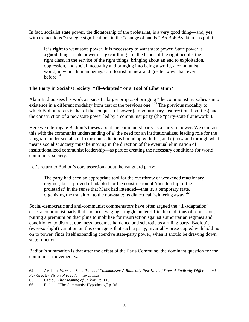In fact, socialist state power, the dictatorship of the proletariat, is a very good thing—and, yes, with tremendous "strategic signification" in the "change of hands." As Bob Avakian has put it:

It is **right** to want state power. It is **necessary** to want state power. State power is a **good** thing—state power is a **great** thing—in the hands of the right people, the right class, in the service of the right things: bringing about an end to exploitation, oppression, and social inequality and bringing into being a world, a communist world, in which human beings can flourish in new and greater ways than ever before. $64$ 

# **The Party in Socialist Society: "Ill-Adapted" or a Tool of Liberation?**

Alain Badiou sees his work as part of a larger project of bringing "the communist hypothesis into existence in a different modality from that of the previous one."<sup>65</sup> The previous modality to which Badiou refers is that of the conquest of power (a revolutionary insurrectional politics) and the construction of a new state power led by a communist party (the "party-state framework").

Here we interrogate Badiou's theses about the communist party as a party in power. We contrast this with the communist understanding of a) the need for an institutionalized leading role for the vanguard under socialism, b) the contradictions bound up with this, and c) how and through what means socialist society must be moving in the direction of the eventual elimination of institutionalized communist leadership—as part of creating the necessary conditions for world communist society.

Let's return to Badiou's core assertion about the vanguard party:

The party had been an appropriate tool for the overthrow of weakened reactionary regimes, but it proved ill-adapted for the construction of 'dictatorship of the proletariat' in the sense that Marx had intended—that is, a temporary state, organizing the transition to the non-state: its dialectical 'withering away.'66

Social-democratic and anti-communist commentators have often argued the "ill-adaptation" case: a communist party that had been waging struggle under difficult conditions of repression, putting a premium on discipline to mobilize for insurrection against authoritarian regimes and conditioned to distrust openness, becomes hardened and sclerotic as a ruling party. Badiou's (ever-so slight) variation on this coinage is that such a party, invariably preoccupied with holding on to power, finds itself expanding coercive state-party power, when it should be drawing down state function.

Badiou's summation is that after the defeat of the Paris Commune, the dominant question for the communist movement was:

 $\overline{a}$ 64. Avakian, *Views on Socialism and Communism: A Radically New Kind of State, A Radically Different and Far Greater Vision of Freedom*, revcom.us.

<sup>65.</sup> Badiou, *The Meaning of Sarkozy*, p. 115.

<sup>66.</sup> Badiou, "The Communist Hypothesis," p. 36.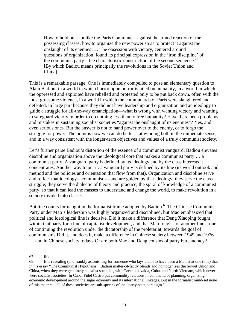How to hold out—unlike the Paris Commune—against the armed reaction of the possessing classes; how to organize the new power so as to protect it against the onslaught of its enemies?… The obsession with victory, centered around questions of organization, found its principal expression in the 'iron discipline' of the communist party—the characteristic construction of the second sequence.<sup>67</sup> [By which Badiou means principally the revolutions in the Soviet Union and China].

This is a remarkable passage. One is immediately compelled to pose an elementary question to Alain Badiou: in a world in which horror upon horror is piled on humanity, in a world in which the oppressed and exploited have rebelled and protested only to be put back down, often with the most gruesome violence, in a world in which the communards of Paris were slaughtered and defeated, in large part because they did not have leadership and organization and an ideology to guide a struggle for all-the-way emancipation—what is wrong with wanting victory and wanting to safeguard victory in order to do nothing less than to free humanity? Have there been problems and mistakes in sustaining socialist societies "against the onslaught of its enemies"? Yes, and even serious ones. But the answer is not to hand power over to the enemy, or to forgo the struggle for power. The point is how we can do better—at winning both in the immediate sense, and in a way consistent with the longer-term objectives and values of a truly communist society.

Let's further parse Badiou's distortion of the essence of a communist vanguard. Badiou elevates discipline and organization above the ideological core that makes a communist party … a communist party. A vanguard party is defined by its ideology and by the class interests it concentrates. Another way to put it: a vanguard party is defined by its line (its world outlook and method and the policies and orientation that flow from that). Organization and discipline serve and reflect that ideology—communism—and are guided by that ideology; they serve the class struggle; they serve the dialectic of theory and practice, the spiral of knowledge of a communist party, so that it can lead the masses to understand and change the world, to make revolution in a society divided into classes.

But line counts for naught in the formalist frame adopted by Badiou.<sup>68</sup> The Chinese Communist Party under Mao's leadership was highly organized and disciplined, but Mao emphasized that political and ideological line is decisive. Did it make a difference that Deng Xiaoping fought within that party for a line of capitalist development, and that Mao fought for another line—one of continuing the revolution under the dictatorship of the proletariat, towards the goal of communism? Did it, and does it, make a difference in Chinese society between 1949 and 1976 … and in Chinese society today? Or are both Mao and Deng cousins of party bureaucracy?

<sup>67.</sup> Ibid.

<sup>68.</sup> It is revealing (and frankly astonishing for someone who lays claim to have been a Maoist at one time) that in his essay "The Communist Hypothesis," Badiou matter-of-factly blends and homogenizes the Soviet Union and China, when they were genuinely socialist societies, with Czechoslovakia, Cuba, and North Vietnam, which never were socialist societies. In Cuba, Fidel Castro put commodity relations in command of planning, organizing economic development around the sugar economy and its international linkages. But in the formalist mind-set none of this matters—all of these societies are sub-species of the "party-state paradigm."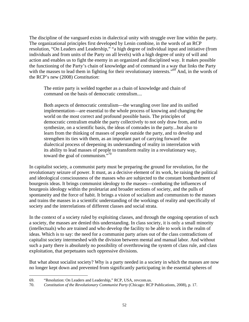The discipline of the vanguard exists in dialectical unity with struggle over line within the party. The organizational principles first developed by Lenin combine, in the words of an RCP resolution, "On Leaders and Leadership," "a high degree of individual input and initiative (from individuals and from units of the Party on all levels) with a high degree of unity of will and action and enables us to fight the enemy in an organized and disciplined way. It makes possible the functioning of the Party's chain of knowledge and of command in a way that links the Party with the masses to lead them in fighting for their revolutionary interests."<sup>69</sup> And, in the words of the RCP's new (2008) *Constitution*:

The entire party is welded together as a chain of knowledge and chain of command on the basis of democratic centralism....

Both aspects of democratic centralism—the wrangling over line and its unified implementation—are essential to the whole process of knowing and changing the world on the most correct and profound possible basis. The principles of democratic centralism enable the party collectively to not only draw from, and to synthesize, on a scientific basis, the ideas of comrades in the party...but also to learn from the thinking of masses of people outside the party, and to develop and strengthen its ties with them, as an important part of carrying forward the dialectical process of deepening its understanding of reality in interrelation with its ability to lead masses of people to transform reality in a revolutionary way, toward the goal of communism. $\cdot$ <sup>70</sup>

In capitalist society, a communist party must be preparing the ground for revolution, for the revolutionary seizure of power. It must, as a decisive element of its work, be raising the political and ideological consciousness of the masses who are subjected to the constant bombardment of bourgeois ideas. It brings communist ideology to the masses—combating the influences of bourgeois ideology within the proletariat and broader sections of society, and the pulls of spontaneity and the force of habit. It brings a vision of socialism and communism to the masses and trains the masses in a scientific understanding of the workings of reality and specifically of society and the interrelations of different classes and social strata.

In the context of a society ruled by exploiting classes, and through the ongoing operation of such a society, the masses are denied this understanding. In class society, it is only a small minority (intellectuals) who are trained and who develop the facility to be able to work in the realm of ideas. Which is to say: the need for a communist party arises out of the class contradictions of capitalist society intermeshed with the division between mental and manual labor. And without such a party there is absolutely no possibility of overthrowing the system of class rule, and class exploitation, that perpetuates such oppressive divisions.

But what about socialist society? Why is a party needed in a society in which the masses are now no longer kept down and prevented from significantly participating in the essential spheres of

<sup>69. &</sup>quot;Resolution: On Leaders and Leadership," RCP, USA, revcom.us.

<sup>70.</sup> *Constitution of the Revolutionary Communist Party* (Chicago: RCP Publications, 2008), p. 17.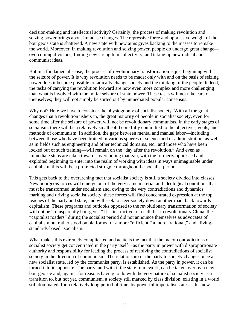decision-making and intellectual activity? Certainly, the process of making revolution and seizing power brings about immense changes. The repressive force and oppressive weight of the bourgeois state is shattered. A new state with new aims gives backing to the masses to remake the world. Moreover, in making revolution and seizing power, people do undergo great change overcoming divisions, finding new strength in collectivity, and taking up new radical and communist ideas.

But in a fundamental sense, the process of revolutionary transformation is just beginning with the seizure of power. It is why revolution needs to be made: only with and on the basis of seizing power does it become possible to radically change society and the thinking of the people. Indeed, the tasks of carrying the revolution forward are now even more complex and more challenging than what is involved with the initial seizure of state power. These tasks will not take care of themselves; they will not simply be sorted out by unmediated popular consensus.

Why not? Here we have to consider the physiognomy of socialist society. With all the great changes that a revolution ushers in, the great majority of people in socialist society, even for some time after the seizure of power, will not be revolutionary communists. In the early stages of socialism, there will be a relatively small solid core fully committed to the objectives, goals, and methods of communism. In addition, the gaps between mental and manual labor—including between those who have been trained in various spheres of science and of administration, as well as in fields such as engineering and other technical domains, etc., and those who have been locked out of such training—will remain on the "day after the revolution." And even as immediate steps are taken towards overcoming that gap, with the formerly oppressed and exploited beginning to enter into the realm of working with ideas in ways unimaginable under capitalism, this will be a protracted struggle throughout the socialist period.

This gets back to the overarching fact that socialist society is still a society divided into classes. New bourgeois forces will emerge out of the very same material and ideological conditions that must be transformed under socialism and, owing to the very contradictions and dynamics marking and driving socialist society, these forces will find concentrated expression at the top reaches of the party and state, and will seek to steer society down another road, back towards capitalism. These programs and outlooks opposed to the revolutionary transformation of society will not be "transparently bourgeois." It is instructive to recall that in revolutionary China, the "capitalist roaders" during the socialist period did not announce themselves as advocates of capitalism but rather stood on platforms for a more "efficient," a more "rational," and "livingstandards-based" socialism.

What makes this extremely complicated and acute is the fact that the major contradictions of socialist society get concentrated in the party itself—as the party in power with disproportionate authority and responsibility for leading the process of resolving the contradictions of socialist society in the direction of communism. The relationship of the party to society changes once a new socialist state, led by the communist party, is established. As the party in power, it can be turned into its opposite. The party, and with it the state framework, can be taken over by a new bourgeoisie and, again—for reasons having to do with the very nature of socialist society as a transition to, but not yet, communism, a society still marked by class division, existing in a world still dominated, for a relatively long period of time, by powerful imperialist states—this new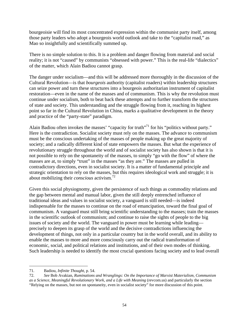bourgeoisie will find its most concentrated expression within the communist party itself, among those party leaders who adopt a bourgeois world outlook and take to the "capitalist road," as Mao so insightfully and scientifically summed up.

There is no simple solution to this. It is a problem and danger flowing from material and social reality; it is not "caused" by communists "obsessed with power." This is the real-life "dialectics" of the matter, which Alain Badiou cannot grasp.

The danger under socialism—and this will be addressed more thoroughly in the discussion of the Cultural Revolution—is that *bourgeois* authority (capitalist roaders) within leadership structures can seize power and turn these structures into a bourgeois authoritarian instrument of capitalist restoration—even in the name of the masses and of communism. This is why the revolution must continue under socialism, both to beat back these attempts and to further transform the structures of state and society. This understanding and the struggle flowing from it, reaching its highest point so far in the Cultural Revolution in China, marks a qualitative development in the theory and practice of the "party-state" paradigm.

Alain Badiou often invokes the masses' "capacity for truth"<sup>71</sup> for his "politics without party." Here is the contradiction. Socialist society must rely on the masses. The advance to communism must be the conscious undertaking of the masses of people making up the great majority of society; and a radically different kind of state empowers the masses. But what the experience of revolutionary struggle throughout the world and of socialist society has also shown is that it is not possible to rely on the spontaneity of the masses, to simply "go with the flow" of where the masses are at, to simply "trust" in the masses "as they are." The masses are pulled in contradictory directions, even in socialist society. It is a matter of fundamental principle and strategic orientation to rely on the masses, but this requires ideological work and struggle; it is about mobilizing their *conscious* activism.<sup>72</sup>

Given this social physiognomy, given the persistence of such things as commodity relations and the gap between mental and manual labor, given the still deeply entrenched influence of traditional ideas and values in socialist society, a vanguard is still needed—is indeed indispensable for the masses to continue on the road of emancipation, toward the final goal of communism. A vanguard must still bring scientific understanding to the masses; train the masses in the scientific outlook of communism; and continue to raise the sights of people to the big issues of society and the world. The vanguard in power must be learning while leading precisely to deepen its grasp of the world and the decisive contradictions influencing the development of things, not only in a particular country but in the world overall, and its ability to enable the masses to more and more consciously carry out the radical transformation of economic, social, and political relations and institutions, and of their own modes of thinking. Such leadership is needed to identify the most crucial questions facing society and to lead overall

 $\overline{a}$ 71. Badiou, *Infinite Thought*, p. 54.

<sup>72.</sup> *See* Bob Avakian, *Ruminations and Wranglings: On the Importance of Marxist Materialism, Communism as a Science, Meaningful Revolutionary Work, and a Life with Meaning* (revcom.us) and particularly the section "Relying on the masses, but not on spontaneity, even in socialist society" for more discussion of this point.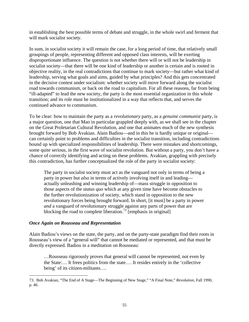in establishing the best possible terms of debate and struggle, in the whole swirl and ferment that will mark socialist society.

In sum, in socialist society it will remain the case, for a long period of time, that relatively small groupings of people, representing different and opposed class interests, will be exerting disproportionate influence. The question is not whether there will or will not be leadership in socialist society—that there will be one kind of leadership or another is certain and is rooted in objective reality, in the real contradictions that continue to mark society—but rather what kind of leadership, serving what goals and aims, guided by what principles? And this gets concentrated in the decisive contest under socialism: whether society will move forward along the socialist road towards communism, or back on the road to capitalism. For all these reasons, far from being "ill-adapted" to lead the new society, the party is the most essential organization in this whole transition; and its role must be institutionalized in a way that reflects that, and serves the continued advance to communism.

To be clear: how to maintain the party as a *revolutionary* party, as a *genuine communist* party, is a major question, one that Mao in particular grappled deeply with, as we shall see in the chapter on the Great Proletarian Cultural Revolution, and one that animates much of the new synthesis brought forward by Bob Avakian. Alain Badiou—and in this he is hardly unique or original can certainly point to problems and difficulties in the socialist transition, including contradictions bound up with specialized responsibilities of leadership. There were mistakes and shortcomings, some quite serious, in the first wave of socialist revolution. But without a party, you don't have a chance of correctly identifying and acting on these problems. Avakian, grappling with precisely this contradiction, has further conceptualized the role of the party in socialist society:

The party in socialist society must act as the vanguard not only in terms of being a party in power but *also* in terms of actively involving itself in and leading actually unleashing and winning leadership of—mass struggle in opposition to those aspects of the *status quo* which at any given time have become obstacles to the further revolutionization of society, which stand in opposition to the new revolutionary forces being brought forward. In short, [it must] be a party in power *and* a vanguard of revolutionary struggle against any parts of power that are blocking the road to complete liberation.<sup>73</sup> [emphasis in original]

#### *Once Again on Rousseau and Representation*

 $\overline{a}$ 

Alain Badiou's views on the state, the party, and on the party-state paradigm find their roots in Rousseau's view of a "general will" that cannot be mediated or represented, and that must be directly expressed. Badiou in a meditation on Rousseau:

…Rousseau rigorously proves that general will cannot be represented, not even by the State:… It frees politics from the state…. It resides entirely in the 'collective being' of its citizen-militants….

<sup>73.</sup> Bob Avakian, "The End of A Stage—The Beginning of New Stage," "A Final Note," *Revolution*, Fall 1990, p. 46.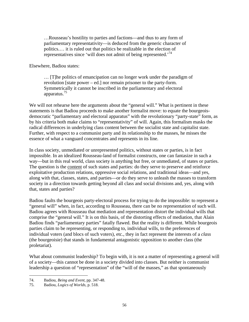…Rousseau's hostility to parties and factions—and thus to any form of parliamentary representativity—is deduced from the generic character of politics.… it is ruled out that politics be realizable in the election of representatives since 'will does not admit of being represented.<sup>74</sup>

Elsewhere, Badiou states:

… [T]he politics of emancipation can no longer work under the paradigm of revolution [state power – ed.] nor remain prisoner to the party-form. Symmetrically it cannot be inscribed in the parliamentary and electoral apparatus.75

We will not rehearse here the arguments about the "general will." What is pertinent in these statements is that Badiou proceeds to make another formalist move: to equate the bourgeoisdemocratic "parliamentary and electoral apparatus" with the revolutionary "party-state" form, as by his criteria both make claims to "representativity" of will. Again, this formalism masks the radical differences in underlying class content between the socialist state and capitalist state. Further, with respect to a communist party and its relationship to the masses, he misses the essence of what a vanguard concentrates and represents in its line.

In class society, unmediated or unrepresented politics, without states or parties, is in fact impossible. In an idealized Rousseau-land of formalist constructs, one can fantasize in such a way—but in this real world, class society is anything but free, or unmediated, of states or parties. The question is the content of such states and parties: do they serve to preserve and reinforce exploitative production relations, oppressive social relations, and traditional ideas—and yes, along with that, classes, states, and parties—or do they serve to unleash the masses to transform society in a direction towards getting beyond all class and social divisions and, yes, along with that, states and parties?

Badiou faults the bourgeois party-electoral process for trying to do the impossible: to represent a "general will" when, in fact, according to Rousseau, there can be no representation of such will. Badiou agrees with Rousseau that mediation and representation distort the individual wills that comprise the "general will." It is on this basis, of the distorting effects of mediation, that Alain Badiou finds "parliamentary parties" fatally flawed. But the reality is different. While bourgeois parties claim to be representing, or responding to, individual wills, to the preferences of individual voters (and blocs of such voters), etc., they in fact represent the interests of a *class* (the bourgeoisie) that stands in fundamental antagonistic opposition to another class (the proletariat).

What about communist leadership? To begin with, it is not a matter of representing a general will of a society—this cannot be done in a society divided into classes. But neither is communist leadership a question of "representation" of the "will of the masses," as that spontaneously

<sup>74.</sup> Badiou, *Being and Event*, pp. 347-48.

<sup>75.</sup> Badiou, *Logics of Worlds*, p. 518.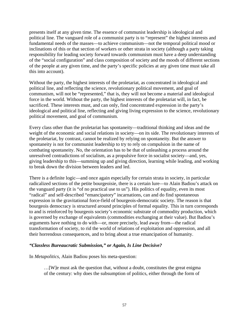presents itself at any given time. The essence of communist leadership is ideological and political line. The vanguard role of a communist party is to "represent" the highest interests and fundamental needs of the masses—to achieve communism—not the temporal political mood or inclinations of this or that section of workers or other strata in society (although a party taking responsibility for leading society forward towards communism must have a deep understanding of the "social configuration" and class composition of society and the moods of different sections of the people at any given time, and the party's specific policies at any given time must take all this into account).

Without the party, the highest interests of the proletariat, as concentrated in ideological and political line, and reflecting the science, revolutionary political movement, and goal of communism, will not be "represented," that is, they will not become a material and ideological force in the world. Without the party, the highest interests of the proletariat will, in fact, be sacrificed. These interests must, and can only, find concentrated expression in the party's ideological and political line, reflecting and giving living expression to the science, revolutionary political movement, and goal of communism.

Every class other than the proletariat has spontaneity—traditional thinking and ideas and the weight of the economic and social relations in society—on its side. The revolutionary interests of the proletariat, by contrast, cannot be realized by relying on spontaneity. But the answer to spontaneity is not for communist leadership to try to rely on compulsion in the name of combating spontaneity. No, the orientation has to be that of unleashing a process around the unresolved contradictions of socialism, as a propulsive force in socialist society—and, yes, giving leadership to this—summing up and giving direction, learning while leading, and working to break down the division between leaders and led.

There is a definite logic—and once again especially for certain strata in society, in particular radicalized sections of the petite bourgeoisie, there is a certain lure—to Alain Badiou's attack on the vanguard party (it is "of no practical use to us"). His politics of equality, even its most "radical" and self-described "emancipatory" incarnations, can and do find spontaneous expression in the gravitational force-field of bourgeois-democratic society. The reason is that bourgeois democracy is structured around principles of formal equality. This in turn corresponds to and is reinforced by bourgeois society's economic substrate of commodity production, which is governed by exchange of equivalents (commodities exchanging at their value). But Badiou's arguments have nothing to do with—or, more precisely, lead away from—the radical transformation of society, to rid the world of relations of exploitation and oppression, and all their horrendous consequences, and to bring about a true emancipation of humanity.

### *"Classless Bureaucratic Submission," or Again, Is Line Decisive?*

In *Metapolitics*, Alain Badiou poses his meta-question:

…[W]e must ask the question that, without a doubt, constitutes the great enigma of the century: why does the subsumption of politics, either through the form of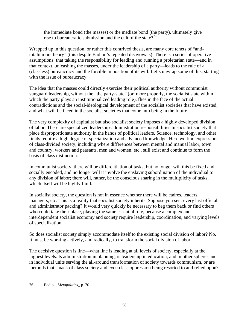the immediate bond (the masses) or the mediate bond (the party), ultimately give rise to bureaucratic submission and the cult of the state?<sup>76</sup>

Wrapped up in this question, or rather this contrived thesis, are many core tenets of "antitotalitarian theory" (this despite Badiou's repeated disavowals). There is a series of operative assumptions: that taking the responsibility for leading and running a proletarian state—and in that context, unleashing the masses, under the leadership of a party—leads to the rule of a (classless) bureaucracy and the forcible imposition of its will. Let's unwrap some of this, starting with the issue of bureaucracy.

The idea that the masses could directly exercise their political authority without communist vanguard leadership, without the "the party-state" (or, more properly, the socialist state within which the party plays an institutionalized leading role), flies in the face of the actual contradictions and the social-ideological development of the socialist societies that have existed, and what will be faced in the socialist societies that come into being in the future.

The very complexity of capitalist but also socialist society imposes a highly developed division of labor. There are specialized leadership-administration responsibilities in socialist society that place disproportionate authority in the hands of political leaders. Science, technology, and other fields require a high degree of specialization and advanced knowledge. Here we find expressions of class-divided society, including where differences between mental and manual labor, town and country, workers and peasants, men and women, etc., still exist and continue to form the basis of class distinction.

In communist society, there will be differentiation of tasks, but no longer will this be fixed and socially encoded, and no longer will it involve the enslaving subordination of the individual to any division of labor; there will, rather, be the conscious sharing in the multiplicity of tasks, which itself will be highly fluid.

In socialist society, the question is not in essence whether there will be cadres, leaders, managers, etc. This is a reality that socialist society inherits. Suppose you sent every last official and administrator packing? It would very quickly be necessary to beg them back or find others who could take their place, playing the same essential role, because a complex and interdependent socialist economy and society require leadership, coordination, and varying levels of specialization.

So does socialist society simply accommodate itself to the existing social division of labor? No. It must be working actively, and radically, to transform the social division of labor.

The decisive question is line—what line is leading at all levels of society, especially at the highest levels. Is administration in planning, is leadership in education, and in other spheres and in individual units serving the all-around transformation of society towards communism, or are methods that smack of class society and even class oppression being resorted to and relied upon?

 $\overline{a}$ 76. Badiou, *Metapolitics*,, p. 70.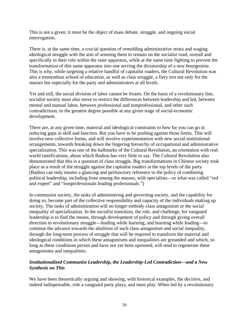This is not a given; it must be the object of mass debate, struggle, and ongoing social interrogation.

There is, at the same time, a crucial question of remolding administrative strata and waging ideological struggle with the aim of winning them to remain on the socialist road, overall and specifically in their role within the state apparatus, while at the same time fighting to prevent the transformation of this same apparatus into one serving the dictatorship of a new bourgeoisie. This is why, while targeting a relative handful of capitalist roaders, the Cultural Revolution was also a tremendous school of education, as well as class struggle, a fiery test not only for the masses but especially for the party and administrators at all levels.

Yet and still, the social division of labor cannot be frozen. On the basis of a revolutionary line, socialist society must also move to restrict the differences between leadership and led, between mental and manual labor, between professional and nonprofessional, and other such contradictions, to the greatest degree possible at any given stage of social-economic development.

There are, at any given time, material and ideological constraints to how far you can go in reducing gaps in skill and function. But you have to be pushing against those limits. This will involve new collective forms, and will involve experimentation with new social-institutional arrangements, towards breaking down the lingering hierarchy of occupational and administrative specialization. This was one of the hallmarks of the Cultural Revolution, an orientation with realworld ramifications, about which Badiou has very little to say. The Cultural Revolution also demonstrated that this is a question of class struggle. Big transformations in Chinese society took place as a result of the struggle against the capitalist roaders at the top levels of the party. (Badiou can only muster a glancing and perfunctory reference to the policy of combining political leadership, including from among the masses, with specialists—or what was called "red and expert" and "nonprofessionals leading professionals.")

In communist society, the tasks of administering and governing society, and the capability for doing so, become part of the collective responsibility and capacity of the individuals making up society. The tasks of administration will no longer embody class antagonism or the social inequality of specialization. In the socialist transition, the role, and challenge, for vanguard leadership is to find the means, through development of policy and through giving overall direction to revolutionary struggle—leading while learning, and learning while leading—to continue the advance towards the abolition of such class antagonism and social inequality, through the long-term process of struggle that will be required to transform the material and ideological conditions in which these antagonisms and inequalities are grounded and which, so long as these conditions persist and have not yet been uprooted, will tend to regenerate these antagonisms and inequalities.

# *Institutionalized Communist Leadership, the Leadership-Led Contradiction—and a New Synthesis on This*

We have been theoretically arguing and showing, with historical examples, the decisive, and indeed indispensable, role a vanguard party plays, and must play. When led by a revolutionary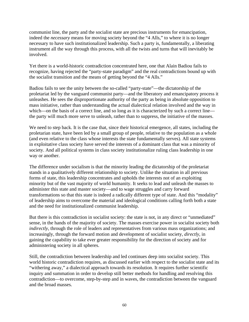communist line, the party and the socialist state are precious instruments for emancipation, indeed the *necessary* means for moving society beyond the "4 Alls," to where it is no longer necessary to have such institutionalized leadership. Such a party is, fundamentally, a liberating instrument all the way through this process, with all the twists and turns that will inevitably be involved.

Yet there is a world-historic contradiction concentrated here, one that Alain Badiou fails to recognize, having rejected the "party-state paradigm" and the real contradictions bound up with the socialist transition and the means of getting beyond the "4 Alls."

Badiou fails to see the unity between the so-called "party-state"—the dictatorship of the proletariat led by the vanguard communist party—and the liberatory and emancipatory process it unleashes. He sees the disproportionate authority of the party as being in absolute opposition to mass initiative, rather than understanding the actual dialectical relation involved and the way in which—on the basis of a correct line, and so long as it is characterized by such a correct line the party will much more serve to unleash, rather than to suppress, the initiative of the masses.

We need to step back. It is the case that, since their historical emergence, all states, including the proletarian state, have been led by a small group of people, relative to the population as a whole (and even relative to the class whose interests the state fundamentally serves). All state systems in exploitative class society have served the interests of a dominant class that was a minority of society. And all political systems in class society institutionalize ruling class leadership in one way or another.

The difference under socialism is that the minority leading the dictatorship of the proletariat stands in a qualitatively different relationship to society. Unlike the situation in all previous forms of state, this leadership concentrates and upholds the interests not of an exploiting minority but of the vast majority of world humanity. It seeks to lead and unleash the masses to administer this state and master society—and to wage struggles and carry forward transformations so that this state is indeed a radically different type of state. And this "modality" of leadership aims to overcome the material and ideological conditions calling forth both a state and the need for institutionalized communist leadership.

But there is this contradiction in socialist society: the state is not, in any direct or "unmediated" sense, in the hands of the majority of society. The masses exercise power in socialist society both *indirectly*, through the role of leaders and representatives from various mass organizations; and increasingly, through the forward motion and development of socialist society, *directly*, in gaining the capability to take ever greater responsibility for the direction of society and for administering society in all spheres.

Still, the contradiction between leadership and led continues deep into socialist society. This world historic contradiction requires, as discussed earlier with respect to the socialist state and its "withering away," a dialectical approach towards its resolution. It requires further scientific inquiry and summation in order to develop still better methods for handling and resolving this contradiction—to overcome, step-by-step and in waves, the contradiction between the vanguard and the broad masses.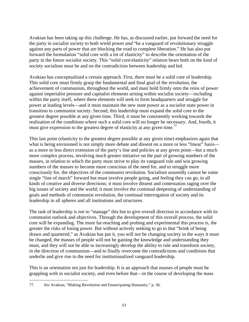Avakian has been taking up this challenge. He has, as discussed earlier, put forward the need for the party in socialist society to both wield power *and* "be a vanguard of revolutionary struggle against any parts of power that are blocking the road to complete liberation." He has also put forward the formulation "solid core with a lot of elasticity" to describe the orientation of the party in the future socialist society. This "solid core/elasticity" relation bears both on the kind of society socialism must be and on the contradiction between leadership and led.

Avakian has conceptualized a certain approach. First, there must be a solid core of leadership. This solid core must firmly grasp the fundamental and final goal of the revolution, the achievement of communism, throughout the world, and must hold firmly onto the reins of power against imperialist pressure and capitalist elements arising within socialist society—including within the party itself, where these elements will seek to form headquarters and struggle for power at leading levels—and it must maintain the new state power as a *socialist* state power in transition to communist society. Second, this leadership must expand the solid core to the greatest degree possible at any given time. Third, it must be consistently working towards the realization of the conditions where such a solid core will no longer be necessary. And, fourth, it must give expression to the greatest degree of elasticity at any given time.<sup>77</sup>

This last point (elasticity to the greatest degree possible at any given time) emphasizes again that what is being envisioned is not simply more debate and dissent on a more or less "linear" basis as a more or less direct extension of the party's line and policies at any given point—but a much more complex process, involving much greater initiative on the part of growing numbers of the masses, in relation to which the party must strive to play its vanguard role and win growing numbers of the masses to become more conscious of the need for, and to struggle more consciously for, the objectives of the communist revolution. Socialism assuredly cannot be some single "line of march" forward but must involve people going, and feeling they can go, in all kinds of creative and diverse directions; it must involve dissent and contestation raging over the big issues of society and the world; it must involve the continual deepening of understanding of goals and methods of communist revolution, the continual interrogation of society and its leadership in all spheres and all institutions and structures.

The task of leadership is not to "manage" this but to give overall direction in accordance with its communist outlook and objectives. Through the development of this overall process, the solid core will be expanding. The more far-reaching and probing and experimental this process is, the greater the risks of losing power. But without actively seeking to go to that "brink of being drawn and quartered," as Avakian has put it, you will not be changing society in the ways it must be changed, the masses of people will not be gaining the knowledge and understanding they must, and they will not be able to increasingly develop the ability to rule and transform society, in the direction of communism—and to finally overcome the contradictions and conditions that underlie and give rise to the need for institutionalized vanguard leadership.

This is an orientation not just for leadership. It is an approach that masses of people must be grappling with in socialist society, and even before that—in the course of developing the mass

<sup>77.</sup> *See* Avakian, "Making Revolution and Emancipating Humanity," p. 36.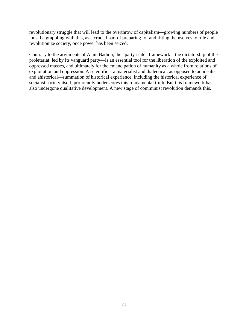revolutionary struggle that will lead to the overthrow of capitalism—growing numbers of people must be grappling with this, as a crucial part of preparing for and fitting themselves to rule and revolutionize society, once power has been seized.

Contrary to the arguments of Alain Badiou, the "party-state" framework—the dictatorship of the proletariat, led by its vanguard party—is an essential tool for the liberation of the exploited and oppressed masses, and ultimately for the emancipation of humanity as a whole from relations of exploitation and oppression. A scientific—a materialist and dialectical, as opposed to an idealist and ahistorical—summation of historical experience, including the historical experience of socialist society itself, profoundly underscores this fundamental truth. But this framework has also undergone qualitative development. A new stage of communist revolution demands this.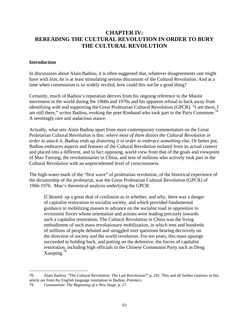# **CHAPTER IV: REREADING THE CULTURAL REVOLUTION IN ORDER TO BURY THE CULTURAL REVOLUTION**

#### **Introduction**

In discussions about Alain Badiou, it is often suggested that, whatever disagreements one might have with him, he is at least stimulating serious discussion of the Cultural Revolution. And at a time when communism is so widely reviled, how could this not be a good thing?

Certainly, much of Badiou's reputation derives from his ongoing reference to the Maoist movement in the world during the 1960s and 1970s and his apparent refusal to back away from identifying with and supporting the Great Proletarian Cultural Revolution (GPCR). "I am there, I am still there," writes Badiou, evoking the poet Rimbaud who took part in the Paris Commune.<sup>78</sup> A seemingly rare and audacious stance.

Actually, what sets Alain Badiou apart from most contemporary commentators on the Great Proletarian Cultural Revolution is this: *where most of them distort the Cultural Revolution in order to attack it, Badiou ends up distorting it in order to embrace something else*. Or better put, Badiou embraces aspects and features of the Cultural Revolution isolated from its actual context and placed into a different, and in fact opposing, world view from that of the goals and viewpoint of Mao Tsetung, the revolutionaries in China, and tens of millions who actively took part in the Cultural Revolution with an unprecedented level of consciousness.

The high-water mark of the "first wave" of proletarian revolution, of the historical experience of the dictatorship of the proletariat, was the Great Proletarian Cultural Revolution (GPCR) of 1966-1976. Mao's theoretical analysis underlying the GPCR:

[C]leared up a great deal of confusion as to whether, and why, there was a danger of capitalist restoration in socialist society, and which provided fundamental guidance in mobilizing masses to advance on the socialist road in opposition to revisionist forces whose orientation and actions were leading precisely towards such a capitalist restoration. The Cultural Revolution in China was the living embodiment of such mass revolutionary mobilization, in which tens and hundreds of millions of people debated and struggled over questions bearing decisively on the direction of society and the world revolution. For ten years, this mass upsurge succeeded in holding back, and putting on the defensive, the forces of capitalist restoration, including high officials in the Chinese Communist Party such as Deng Xiaoping.79

<sup>78.</sup> Alain Badiou, "The Cultural Revolution: The Last Revolution?" p. 291. This and all further citations to this article are from the English language translation in Badiou, *Polemics*.

<sup>79.</sup> *Communism: The Beginning of a New Stage*, p. 17.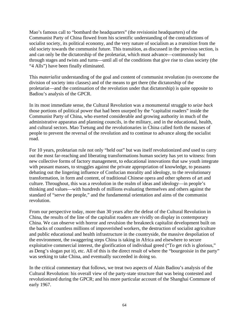Mao's famous call to "bombard the headquarters" (the revisionist headquarters) of the Communist Party of China flowed from his scientific understanding of the contradictions of socialist society, its political economy, and the very nature of socialism as a *transition* from the old society towards the communist future. This transition, as discussed in the previous section, is and can only be the dictatorship of the proletariat, which must advance—continuously but through stages and twists and turns—until all of the conditions that give rise to class society (the "4 Alls") have been finally eliminated.

This *materialist* understanding of the goal and content of communist revolution (to overcome the division of society into classes) and of the means to get there (the dictatorship of the proletariat—and the continuation of the revolution under that dictatorship) is quite opposite to Badiou's analysis of the GPCR.

In its most immediate sense, the Cultural Revolution was a monumental struggle to *seize back* those portions of political power that had been usurped by the "capitalist roaders" inside the Communist Party of China, who exerted considerable and growing authority in much of the administrative apparatus and planning councils, in the military, and in the educational, health, and cultural sectors. Mao Tsetung and the revolutionaries in China called forth the masses of people to prevent the reversal of the revolution and to continue to advance along the socialist road.

For 10 years, proletarian rule not only "held out" but was itself revolutionized *and* used to carry out the most far-reaching and liberating transformations human society has yet to witness: from new collective forms of factory management, to educational innovations that saw youth integrate with peasant masses, to struggles against the private appropriation of knowledge, to peasants debating out the lingering influence of Confucian morality and ideology, to the revolutionary transformation, in form and content, of traditional Chinese opera and other spheres of art and culture. Throughout, this was a revolution in the realm of ideas and ideology—in people's thinking and values—with hundreds of millions evaluating themselves and others against the standard of "serve the people," and the fundamental orientation and aims of the communist revolution.

From our perspective today, more than 30 years after the defeat of the Cultural Revolution in China, the results of the line of the capitalist roaders are vividly on display in contemporary China. We can observe with horror and revulsion the breakneck capitalist development built on the backs of countless millions of impoverished workers, the destruction of socialist agriculture and public educational and health infrastructure in the countryside, the massive despoliation of the environment, the swaggering steps China is taking in Africa and elsewhere to secure exploitative commercial interest, the glorification of individual greed ("To get rich is glorious," as Deng's slogan put it), etc. All of this is the direct result of where the "bourgeoisie in the party" was seeking to take China, and eventually succeeded in doing so.

In the critical commentary that follows, we treat two aspects of Alain Badiou's analysis of the Cultural Revolution: his overall view of the party-state structure that was being contested and revolutionized during the GPCR; and his more particular account of the Shanghai Commune of early 1967.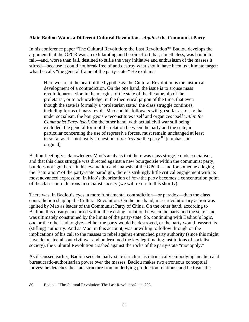#### **Alain Badiou Wants a Different Cultural Revolution…***Against* **the Communist Party**

In his conference paper "The Cultural Revolution: the Last Revolution?" Badiou develops the argument that the GPCR was an exhilarating and heroic effort that, nonetheless, was bound to fail—and, worse than fail, destined to stifle the very initiative and enthusiasm of the masses it stirred—because it could not break free of and destroy what should have been its ultimate target: what he calls "the general frame of the party-state." He explains:

Here we are at the heart of the hypothesis: the Cultural Revolution is the historical development of a contradiction. On the one hand, the issue is to arouse mass revolutionary action in the margins of the state of the dictatorship of the proletariat, or to acknowledge, in the theoretical jargon of the time, that even though the state is formally a 'proletarian state,' the class struggle continues, including forms of mass revolt. Mao and his followers will go so far as to say that under socialism, the bourgeoisie reconstitutes itself and organizes itself *within the Communist Party itself.* On the other hand, with actual civil war still being excluded, the general form of the relation between the party and the state, in particular concerning the use of repressive forces, must remain unchanged at least in so far as it is not really a question of *destroying* the party.<sup>80</sup> [emphasis in original]

Badiou fleetingly acknowledges Mao's analysis that there was class struggle under socialism, and that this class struggle was directed against a new bourgeoisie within the communist party, but does not "go there" in his evaluation and analysis of the GPCR—and for someone alleging the "saturation" of the party-state paradigm, there is strikingly little critical engagement with its most advanced expression, in Mao's theorization of *how* the party becomes a concentration point of the class contradictions in socialist society (we will return to this shortly).

There was, in Badiou's eyes, a more fundamental contradiction—or paradox—than the class contradiction shaping the Cultural Revolution. On the one hand, mass revolutionary action was ignited by Mao as leader of the Communist Party of China. On the other hand, according to Badiou, this upsurge occurred within the existing "relation between the party and the state" and was ultimately constrained by the limits of the party-state. So, continuing with Badiou's logic, one or the other had to give—either the party would be destroyed, or the party would reassert its (stifling) authority. And as Mao, in this account, was unwilling to follow through on the implications of his call to the masses to rebel against entrenched party authority (since this might have detonated all-out civil war and undermined the key legitimating institutions of socialist society), the Cultural Revolution crashed against the rocks of the party-state "monopoly."

As discussed earlier, Badiou sees the party-state structure as intrinsically embodying an alien and bureaucratic-authoritarian power *over* the masses. Badiou makes two erroneous conceptual moves: he detaches the state structure from underlying production relations; and he treats the

<sup>1</sup> 80. Badiou, "The Cultural Revolution: The Last Revolution?," p. 298.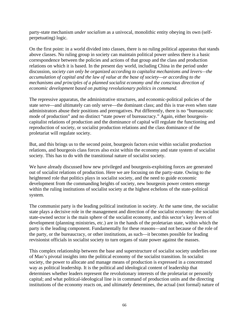party-state mechanism *under socialism* as a univocal, monolithic entity obeying its own (selfperpetuating) logic.

On the first point: in a world divided into classes, there is no ruling political apparatus that stands above classes. No ruling group in society can maintain political power unless there is a basic correspondence between the policies and actions of that group and the class and production relations on which it is based. In the present day world, including China in the period under discussion*, society can only be organized according to capitalist mechanisms and levers—the accumulation of capital and the law of value at the base of society—or according to the mechanisms and principles of a planned socialist economy and the conscious direction of economic development based on putting revolutionary politics in command.* 

The repressive apparatus, the administrative structures, and economic-political policies of the state serve—and ultimately can only serve—the dominant class; and this is true even when state administrators abuse their positions and prerogatives. Put differently, there is no "bureaucratic mode of production" and no distinct "state power of bureaucracy." Again, either bourgeoiscapitalist relations of production and the dominance of capital will regulate the functioning and reproduction of society, or socialist production relations and the class dominance of the proletariat will regulate society.

But, and this brings us to the second point, bourgeois factors exist within socialist production relations, and bourgeois class forces also exist within the economy and state system of socialist society. This has to do with the transitional nature of socialist society.

We have already discussed how new privileged and bourgeois-exploiting forces are generated out of socialist relations of production. Here we are focusing on the party-state. Owing to the heightened role that politics plays in socialist society, and the need to guide economic development from the commanding heights of society, new bourgeois power centers emerge within the ruling institutions of socialist society at the highest echelons of the state-political system.

The communist party is the leading political institution in society. At the same time, the socialist state plays a decisive role in the management and direction of the socialist economy: the socialist state-owned sector is the main sphere of the socialist economy, and this sector's key levers of development (planning ministries, etc.) are in the hands of the proletarian state, within which the party is the leading component. Fundamentally for these reasons—and not because of the role of the party, or the bureaucracy, or other institutions, as such—it becomes possible for leading revisionist officials in socialist society to turn organs of state power against the masses.

This complex relationship between the base and superstructure of socialist society underlies one of Mao's pivotal insights into the political economy of the socialist transition. In socialist society, the power to allocate and manage means of production is expressed in a concentrated way as political leadership. It is the political and ideological content of leadership that determines whether leaders represent the revolutionary interests of the proletariat or personify capital; and what political-ideological line is in command of production units and the directing institutions of the economy reacts on, and ultimately determines, the actual (not formal) nature of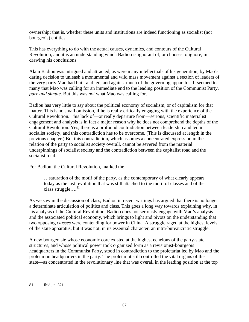ownership; that is, whether these units and institutions are indeed functioning as socialist (not bourgeois) entities.

This has everything to do with the actual causes, dynamics, and contours of the Cultural Revolution, and it is an understanding which Badiou is ignorant of, or chooses to ignore, in drawing his conclusions.

Alain Badiou was intrigued and attracted, as were many intellectuals of his generation, by Mao's daring decision to unleash a monumental and wild mass movement against a section of leaders of the very party Mao had built and led, and against much of the governing apparatus. It seemed to many that Mao was calling for an immediate end to the leading position of the Communist Party, *pure and simple*. But this was *not* what Mao was calling for.

Badiou has very little to say about the political economy of socialism, or of capitalism for that matter. This is no small omission, if he is really critically engaging with the experience of the Cultural Revolution. This lack of—or really departure from—serious, scientific materialist engagement and analysis is in fact a major reason why he does not comprehend the depths of the Cultural Revolution. Yes, there is a profound contradiction between leadership and led in socialist society, and this contradiction has to be overcome. (This is discussed at length in the previous chapter.) But this contradiction, which assumes a concentrated expression in the relation of the party to socialist society overall, cannot be severed from the material underpinnings of socialist society and the contradiction between the capitalist road and the socialist road.

For Badiou, the Cultural Revolution, marked the

…saturation of the motif of the party, as the contemporary of what clearly appears today as the last revolution that was still attached to the motif of classes and of the class struggle.... $^{81}$ 

As we saw in the discussion of class, Badiou in recent writings has argued that there is no longer a determinate articulation of politics and class. This goes a long way towards explaining why, in his analysis of the Cultural Revolution, Badiou does not seriously engage with Mao's analysis and the associated political economy, which brings to light and pivots on the understanding that two opposing *classes* were contending for power in China. A struggle raged at the highest levels of the state apparatus, but it was not, in its essential character, an intra-bureaucratic struggle.

A new bourgeoisie whose economic core existed at the highest echelons of the party-state structures, and whose political power took organized form as a revisionist-bourgeois headquarters in the Communist Party, stood in contradiction to the proletariat led by Mao and the proletarian headquarters in the party. The proletariat still controlled the vital organs of the state—as concentrated in the revolutionary line that was overall in the leading position at the top

<sup>81.</sup> Ibid., p. 321.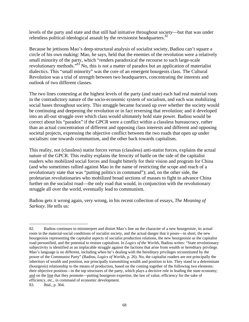levels of the party and state and that still had initiative throughout society—but that was under relentless political-ideological assault by the revisionist headquarters. $82$ 

Because he jettisons Mao's deep-structural analysis of socialist society, Badiou can't square a circle of his own making: Mao, he says, held that the enemies of the revolution were a relatively small minority of the party, which "renders paradoxical the recourse to such large-scale revolutionary methods."83 No, this is not a matter of paradox but an application of materialist dialectics. This "small minority" was the core of an emergent bourgeois class. The Cultural Revolution was a trial of strength between two headquarters, concentrating the interests and outlook of two different classes.

The two lines contesting at the highest levels of the party (and state) each had real material roots in the contradictory nature of the socio-economic system of socialism, and each was mobilizing social bases throughout society. This struggle became focused up over whether the society would be continuing and deepening the revolution or in fact reversing that revolution; and it developed into an all-out struggle over which class would ultimately hold state power. Badiou would be correct about his "paradox" if the GPCR were a conflict within a classless bureaucracy, rather than an actual concentration of different and opposing class interests and different and opposing societal projects, expressing the objective conflict between the two roads that open up under socialism: one towards communism, and the other back towards capitalism.

This reality, not (classless) statist forces versus (classless) anti-statist forces, explains the actual nature of the GPCR. This reality explains the ferocity of battle on the side of the capitalist roaders who mobilized social forces and fought bitterly for their vision and program for China (and who sometimes rallied against Mao in the name of restricting the scope and reach of a revolutionary state that was "putting politics in command"); and, on the other side, the proletarian revolutionaries who mobilized broad sections of masses to fight to advance China further on the socialist road—the only road that would, in conjunction with the revolutionary struggle all over the world, eventually lead to communism.

Badiou gets it wrong again, very wrong, in his recent collection of essays, *The Meaning of Sarkozy*. He tells us:

<sup>82.</sup> Badiou continues to misinterpret and distort Mao's line on the character of a new bourgeoisie, its actual roots in the material-social conditions of socialist society, and the actual danger that it poses—in short, the new bourgeoisie representing the capitalist aspects of socialist production relations, the new bourgeoisie as the capitalist road personified, and the potential to restore capitalism. In *Logics of the Worlds*, Badiou writes: "State revolutionary subjectivity is identified as an implacable struggle against the factions that arise from wealth or hereditary privilege. Mao's language is no different, including when he's dealing with the hereditary privileges reconstituted by the power of the Communist Party" (Badiou, *Logics of Worlds*, p. 26). No, the capitalist roaders are not principally the inheritors of wealth and position, nor principally transmitting wealth and position to kin. They stand in a determinate (bourgeois) relationship to the means of production, based on the coming together of the following two elements: their objective position—in the top structures of the party, which plays a decisive role in leading the state economy; and on the line that they promote—putting bourgeois expertise, the law of value, efficiency for the sake of efficiency, etc., in command of economic development.

<sup>83.</sup> Ibid., p. 304.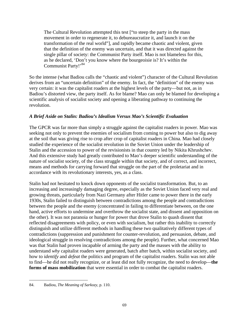The Cultural Revolution attempted this test ["to steep the party in the mass movement in order to regenerate it, to debureaucratize it, and launch it on the transformation of the real world"], and rapidly became chaotic and violent, given that the definition of the enemy was uncertain, and that it was directed against the single pillar of society: the Communist Party itself. Mao is not blameless for this, as he declared, 'Don't you know where the bourgeoisie is? It's within the Communist Party!'<sup>84</sup>

So the intense (what Badiou calls the "chaotic and violent") character of the Cultural Revolution derives from an "uncertain definition" of the enemy. In fact, the "definition" of the enemy was very certain: it was the capitalist roaders at the highest levels of the party—but not, as in Badiou's distorted view, the party itself. As for blame? Mao can only be blamed for developing a scientific analysis of socialist society and opening a liberating pathway to continuing the revolution.

# *A Brief Aside on Stalin: Badiou's Idealism Versus Mao's Scientific Evaluation*

The GPCR was far more than simply a struggle against the capitalist roaders in power. Mao was seeking not only to prevent the enemies of socialism from coming to power but also to dig away at the soil that was giving rise to crop after crop of capitalist roaders in China. Mao had closely studied the experience of the socialist revolution in the Soviet Union under the leadership of Stalin and the accession to power of the revisionists in that country led by Nikita Khrushchev. And this extensive study had greatly contributed to Mao's deeper scientific understanding of the nature of socialist society, of the class struggle within that society, and of correct, and incorrect, means and methods for carrying forward that struggle on the part of the proletariat and in accordance with its revolutionary interests, yes, as a class.

Stalin had not hesitated to knock down opponents of the socialist transformation. But, to an increasing and increasingly damaging degree, especially as the Soviet Union faced very real and growing threats, particularly from Nazi Germany after Hitler came to power there in the early 1930s, Stalin failed to distinguish between contradictions among the people and contradictions between the people and the enemy (concentrated in failing to differentiate between, on the one hand, active efforts to undermine and overthrow the socialist state, and dissent and opposition on the other). It was not paranoia or hunger for power that drove Stalin to quash dissent that reflected disagreements with policy, or even with socialism, but rather this inability to correctly distinguish and utilize different methods in handling these two qualitatively different types of contradictions (suppression and punishment for counter-revolution, and persuasion, debate, and ideological struggle in resolving contradictions among the people). Further, what concerned Mao was that Stalin had proven incapable of arming the party and the masses with the ability to understand *why* capitalist roaders were generated, batch after batch, within socialist society, and how to *identify* and *defeat* the politics and program of the capitalist roaders. Stalin was not able to find—he did not really recognize, or at least did not fully recognize, the need to develop—**the forms of mass mobilization** that were essential in order to combat the capitalist roaders.

 $\overline{a}$ 84. Badiou, *The Meaning of Sarkozy*, p. 110.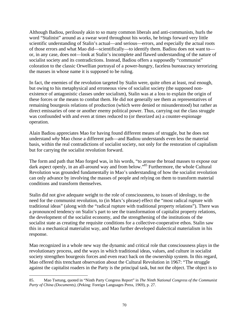Although Badiou, perilously akin to so many common liberals and anti-communists, hurls the word "Stalinist" around as a swear word throughout his works, he brings forward very little scientific understanding of Stalin's actual—and serious—errors, and especially the actual roots of those errors and what Mao did—scientifically—to identify them. Badiou does not want to or, in any case, does not—look at Stalin's incomplete and flawed understanding of the nature of socialist society and its contradictions. Instead, Badiou offers a supposedly "communist" coloration to the classic Orwellian portrayal of a power-hungry, faceless bureaucracy terrorizing the masses in whose name it is supposed to be ruling.

In fact, the enemies of the revolution targeted by Stalin were, quite often at least, real enough, but owing to his metaphysical and erroneous view of socialist society (the supposed nonexistence of antagonistic classes under socialism), Stalin was at a loss to explain the origin of these forces or the means to combat them. He did not generally see them as representatives of remaining bourgeois relations of production (which were denied or misunderstood) but rather as direct emissaries of one or another enemy political power. Thus, carrying out the class struggle was confounded with and even at times reduced to (or theorized as) a counter-espionage operation.

Alain Badiou appreciates Mao for having found different means of struggle, but he does not understand *why* Mao chose a different path—and Badiou understands even less the material basis, within the real contradictions of socialist society, not only for the restoration of capitalism but for carrying the socialist revolution forward.

The form and path that Mao forged was, in his words, "to arouse the broad masses to expose our dark aspect openly, in an all-around way and from below."<sup>85</sup> Furthermore, the whole Cultural Revolution was grounded fundamentally in Mao's understanding of how the socialist revolution can only advance by involving the masses of people and relying on them to transform material conditions and transform themselves.

Stalin did not give adequate weight to the role of consciousness, to issues of ideology, to the need for the communist revolution, to (in Marx's phrase) effect the "most radical rupture with traditional ideas" (along with the "radical rupture with traditional property relations"). There was a pronounced tendency on Stalin's part to see the transformation of capitalist property relations, the development of the socialist economy, and the strengthening of the institutions of the socialist state as creating the requisite conditions for a collective-cooperative ethos. Stalin saw this in a mechanical materialist way, and Mao further developed dialectical materialism in his response.

Mao recognized in a whole new way the dynamic and critical role that consciousness plays in the revolutionary process, and the ways in which traditional ideas, values, and culture in socialist society strengthen bourgeois forces and even react back on the ownership system. In this regard, Mao offered this trenchant observation about the Cultural Revolution in 1967: "The struggle against the capitalist roaders in the Party is the principal task, but not the object. The object is to

 $\overline{a}$ 85. Mao Tsetung, quoted in "Ninth Party Congress Report" in *The Ninth National Congress of the Communist Party of China (Documents)*, (Peking: Foreign Languages Press, 1969), p. 27.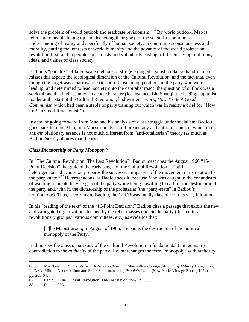solve the problem of world outlook and eradicate revisionism."86 By world outlook, Mao is referring to people taking up and deepening their grasp of the scientific communist understanding of reality and specifically of human society; to communist consciousness and morality, putting the interests of world humanity and the advance of the world proletarian revolution first; and to people consciously and voluntarily casting off the enslaving traditions, ideas, and values of class society.

Badiou's "paradox" of large-scale methods of struggle ranged against a relative handful also misses this aspect: the ideological dimension of the Cultural Revolution, and the fact that, even though the target was a narrow one (in short, those in top positions in the party who were leading, and determined to lead, society onto the capitalist road), the question of outlook was a societal one that had assumed an acute character (for instance, Liu Shaoqi, the leading capitalist roader at the start of the Cultural Revolution, had written a work, *How To Be A Good Communist,* which had been a staple of party training but which was in reality a brief for "How to Be a Good Revisionist!").

Instead of going forward from Mao and his analysis of class struggle under socialism, Badiou goes back to a pre-Mao, non-Marxist analysis of bureaucracy and authoritarianism, which in its anti-revolutionary essence is not much different from "anti-totalitarian" theory (as much as Badiou formally abjures that theory).

# *Class Dictatorship or Party Monopoly?*

In "The Cultural Revolution: The Last Revolution?" Badiou describes the August 1966 "16- Point Decision" that guided the early stages of the Cultural Revolution as "still heterogeneous...because...it prepares the successive impasses of the movement in its relation to the party-state."<sup>87</sup> Heterogeneous, as Badiou sees it, because Mao was caught in the conundrum of wanting to break the vise-grip of the party while being unwilling to call for the destruction of the party and, with it, the dictatorship of the proletariat (the "party-state" in Badiou's terminology). Thus, according to Badiou, the GPCR was fatally flawed from its very initiation.

In his "reading of the text" of the "16-Point Decision," Badiou cites a passage that extols the new and variegated organizations formed by the rebel masses *outside* the party (the "cultural revolutionary groups," various committees, etc.) as evidence that:

[T]he Maoist group, in August of 1966, envisions the destruction of the political monopoly of the Party.<sup>88</sup>

Badiou sees the *mass democracy* of the Cultural Revolution in fundamental (antagonistic) contradiction to the *authority* of the party. He interchanges the term "monopoly" with authority,

 $\overline{a}$ 86. Mao Tsetung, "Excerpts from *A Talk by Chairman Mao with a Foreign [Albanian] Military Delegation*," in David Milton, Nancy Milton and Franz Schurman, eds., *People's China* (New York: Vintage Books, 1974), pp. 263-64.

<sup>87.</sup> Badiou, "The Cultural Revolution: The Last Revolution?" p. 305.

<sup>88.</sup> Ibid., p. 303.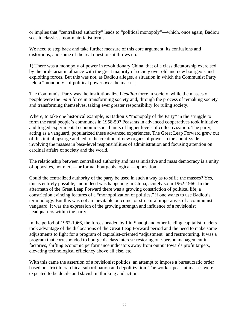or implies that "centralized authority" leads to "political monopoly"—which, once again, Badiou sees in classless, non-materialist terms.

We need to step back and take further measure of this core argument, its confusions and distortions, and some of the real questions it throws up.

1) There was a monopoly of power in revolutionary China, that of a class dictatorship exercised by the proletariat in alliance with the great majority of society over old and new bourgeois and exploiting forces. But this was not, as Badiou alleges, a situation in which the Communist Party held a "monopoly" of political power *over* the masses.

The Communist Party was the institutionalized *leading* force in society, while the masses of people were the *main* force in transforming society and, through the process of remaking society and transforming themselves, taking ever greater responsibility for ruling society.

Where, to take one historical example, is Badiou's "monopoly of the Party" in the struggle to form the rural people's communes in 1958-59? Peasants in advanced cooperatives took initiative and forged experimental economic-social units of higher levels of collectivization. The party, acting as a vanguard, popularized these advanced experiences. The Great Leap Forward grew out of this initial upsurge and led to the creation of new organs of power in the countryside, involving the masses in base-level responsibilities of administration and focusing attention on cardinal affairs of society and the world.

The relationship between centralized authority and mass initiative and mass democracy is a unity of opposites, not mere—or formal bourgeois logical—opposition.

Could the centralized authority of the party be used in such a way as to stifle the masses? Yes, this is entirely possible, and indeed was happening in China, acutely so in 1962-1966. In the aftermath of the Great Leap Forward there was a growing constriction of political life, a constriction evincing features of a "monopolization of politics," if one wants to use Badiou's terminology. But this was not an inevitable outcome, or structural imperative, of a communist vanguard. It was the expression of the growing strength and influence of a revisionist headquarters within the party.

In the period of 1962-1966, the forces headed by Liu Shaoqi and other leading capitalist roaders took advantage of the dislocations of the Great Leap Forward period and the need to make some adjustments to fight for a program of capitalist-oriented "adjustment" and restructuring. It was a program that corresponded to bourgeois class interest: restoring one-person management in factories, shifting economic performance indicators away from output towards profit targets, elevating technological efficiency above all else, etc.

With this came the assertion of a revisionist politics: an attempt to impose a bureaucratic order based on strict hierarchical subordination and depolitization. The worker-peasant masses were expected to be docile and slavish in thinking and action.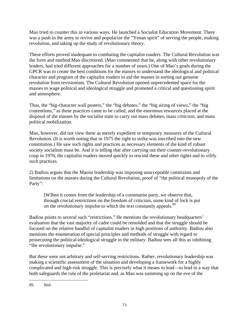Mao tried to counter this in various ways. He launched a Socialist Education Movement. There was a push in the army to revive and popularize the "Yenan spirit" of serving the people, making revolution, and taking up the study of revolutionary theory.

These efforts proved inadequate to combating the capitalist roaders. The Cultural Revolution was the form and method Mao discovered. (Mao commented that he, along with other revolutionary leaders, had tried different approaches for a number of years.) One of Mao's goals during the GPCR was to create the best conditions for the masses to understand the ideological and political character and program of the capitalist roaders to aid the masses in sorting out genuine revolution from revisionism. The Cultural Revolution opened unprecedented space for the masses to wage political and ideological struggle and promoted a critical and questioning spirit and atmosphere.

Thus, the "big-character wall posters," the "big debates," the "big airing of views," the "big contentions," as these practices came to be called, and the enormous resources placed at the disposal of the masses by the socialist state to carry out mass debates, mass criticism, and mass political mobilization.

Mao, however, did not view these as merely expedient or temporary measures of the Cultural Revolution. (It is worth noting that in 1975 the right to strike was inscribed into the new constitution.) He saw such rights and practices as necessary elements of the kind of robust society socialism must be. And it is telling that after carrying out their counter-revolutionary coup in 1976, the capitalist roaders moved quickly to rescind these and other rights and to vilify such practices.

2) Badiou argues that the Maoist leadership was imposing unacceptable constraints and limitations on the masses during the Cultural Revolution, proof of "the political monopoly of the Party":

[W]hen it comes from the leadership of a communist party, we observe that, through crucial restrictions on the freedom of criticism, some kind of lock is put on the revolutionary impulse to which the text constantly appeals.<sup>89</sup>

Badiou points to several such "restrictions." He mentions the revolutionary headquarters' evaluation that the vast majority of cadre could be remolded and that the struggle should be focused on the relative handful of capitalist roaders in high positions of authority. Badiou also mentions the enumeration of special principles and methods of struggle with regard to prosecuting the political-ideological struggle in the military. Badiou sees all this as inhibiting "the revolutionary impulse."

But these were not arbitrary and self-serving restrictions. Rather, revolutionary leadership was making a scientific assessment of the situation and developing a framework for a highly complicated and high-risk struggle. This is precisely what it means to lead—to lead in a way that both safeguards the rule of the proletariat and, as Mao was summing up on the eve of the

 $\overline{a}$ 89. Ibid.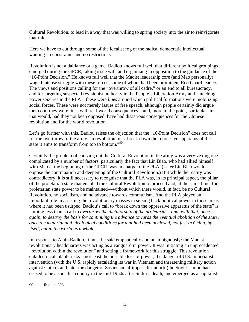Cultural Revolution, to lead in a way that was willing to spring society into the air to reinvigorate that rule.

Here we have to cut through some of the idealist fog of the radical democratic intellectual wanting no constraints and no restrictions.

Revolution is not a dalliance or a game. Badiou knows full well that different political groupings emerged during the GPCR, taking issue with and organizing in opposition to the guidance of the "16-Point Decision." He knows full well that the Maoist leadership core (and Mao personally) waged intense struggle with these forces, some of whom had been prominent Red Guard leaders. The views and positions calling for the "overthrow of all cadre," or an end to all bureaucracy, and for targeting suspected revisionist authority in the People's Liberation Army and launching power seizures in the PLA—these were *lines* around which political formations were mobilizing social forces. These were not merely issues of free speech, although people certainly did argue them out; they were lines with real-world consequences—and, more to the point, particular lines that would, had they not been opposed, have had disastrous consequences for the Chinese revolution and for the world revolution.

Let's go further with this. Badiou raises the objection that the "16-Point Decision" does not call for the overthrow of the army: "a revolution must break down the repressive apparatus of the state it aims to transform from top to bottom."90

Certainly the problem of carrying out the Cultural Revolution in the army was a very vexing one complicated by a number of factors, particularly the fact that Lin Biao, who had allied himself with Mao at the beginning of the GPCR, was in charge of the PLA. (Later Lin Biao would oppose the continuation and deepening of the Cultural Revolution.) But while the reality was contradictory, it is still necessary to recognize that the PLA was, in its principal aspect, the pillar of the proletarian state that enabled the Cultural Revolution to proceed and, at the same time, for proletarian state power to be maintained—without which there would, in fact, be no Cultural Revolution, no socialism, and no advance towards communism. And the PLA played an important role in assisting the revolutionary masses in seizing back political power in those areas where it had been usurped. Badiou's call to "break down the oppressive apparatus of the state" is nothing less than a call to *overthrow the dictatorship of the proletariat—and, with that, once again, to destroy the basis for continuing the advance towards the eventual abolition of the state, once the material and ideological conditions for that had been achieved, not just in China, by itself, but in the world as a whole.*

In response to Alain Badiou, it must be said emphatically and unambiguously: the Maoist revolutionary headquarters was acting as a vanguard in power. It was initiating an unprecedented "revolution within the revolution" and setting a framework for this struggle. This revolution entailed incalculable risks—not least the possible loss of power, the danger of U.S. imperialist intervention (with the U.S. rapidly escalating its war in Vietnam and threatening military action against China), and later the danger of Soviet social-imperialist attack (the Soviet Union had ceased to be a socialist country in the mid-1950s after Stalin's death, and emerged as a capitalist-

 $\overline{a}$ 90. Ibid., p. 305.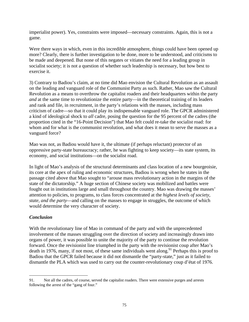imperialist power). Yes, constraints were imposed—necessary constraints. Again, this is not a game.

Were there ways in which, even in this incredible atmosphere, things could have been opened up more? Clearly, there is further investigation to be done, more to be understood, and criticisms to be made and deepened. But none of this negates or vitiates the need for a leading group in socialist society; it is not a question of whether such leadership is necessary, but how best to exercise it.

3) Contrary to Badiou's claim, at no time did Mao envision the Cultural Revolution as an assault on the leading and vanguard role of the Communist Party as such. Rather, Mao saw the Cultural Revolution as a means to overthrow the capitalist roaders and their headquarters within the party *and* at the same time to revolutionize the entire party—in the theoretical training of its leaders and rank and file, in recruitment, in the party's relations with the masses, including mass criticism of cadre—so that it could play its indispensable vanguard role. The GPCR administered a kind of ideological shock to *all* cadre, posing the question for the 95 percent of the cadres (the proportion cited in the "16-Point Decision") that Mao felt could re-take the socialist road: for whom and for what is the communist revolution, and what does it mean to serve the masses as a vanguard force?

Mao was not, as Badiou would have it, the ultimate (if perhaps reluctant) protector of an oppressive party-state bureaucracy; rather, he was fighting to keep society—its state system, its economy, and social institutions—on the socialist road.

In light of Mao's analysis of the structural determinants and class location of a new bourgeoisie, its core at the apex of ruling and economic structures, Badiou is wrong when he states in the passage cited above that Mao sought to "arouse mass revolutionary action in the margins of the state of the dictatorship." A huge section of Chinese society was mobilized and battles were fought out in institutions large and small throughout the country. Mao was drawing the masses' attention to policies, to programs, to class forces concentrated at the *highest levels of society, state, and the party*—and calling on the masses to engage in struggles, the outcome of which would determine the very character of society.

## *Conclusion*

With the revolutionary line of Mao in command of the party and with the unprecedented involvement of the masses struggling over the direction of society and increasingly drawn into organs of power, it was possible to unite the majority of the party to continue the revolution forward. Once the revisionist line triumphed in the party with the revisionist coup after Mao's death in 1976, many, if not most, of these same individuals went along.<sup>91</sup> Perhaps this is proof to Badiou that the GPCR failed because it did not dismantle the "party-state," just as it failed to dismantle the PLA which was used to carry out the counter-revolutionary coup d'état of 1976.

 $\overline{a}$ 91. Not all the cadres, of course, served the capitalist roaders. There were extensive purges and arrests following the arrest of the "gang of four."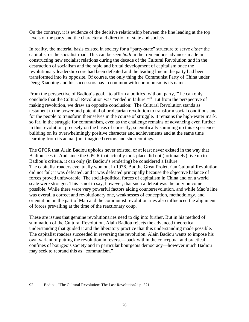On the contrary, it is evidence of the decisive relationship between the line leading at the top levels of the party and the character and direction of state and society.

In reality, the material basis existed in society for a "party-state" structure to serve *either* the capitalist or the socialist road. This can be seen *both* in the tremendous advances made in constructing new socialist relations during the decade of the Cultural Revolution *and* in the destruction of socialism and the rapid and brutal development of capitalism once the revolutionary leadership core had been defeated and the leading line in the party had been transformed into its opposite. Of course, the only thing the Communist Party of China under Deng Xiaoping and his successors has in common with communism is its name.

From the perspective of Badiou's goal, "to affirm a politics 'without party,'" he can only conclude that the Cultural Revolution was "ended in failure."<sup>92</sup> But from the perspective of making revolution, we draw an opposite conclusion: The Cultural Revolution stands as testament to the power and potential of proletarian revolution to transform social conditions and for the people to transform themselves in the course of struggle. It remains the high-water mark, so far, in the struggle for communism, even as the challenge remains of advancing even further in this revolution, precisely on the basis of correctly, scientifically summing up this experience building on its overwhelmingly positive character and achievements and at the same time learning from its actual (not imagined) errors and shortcomings.

The GPCR that Alain Badiou upholds never existed, or at least never existed in the way that Badiou sees it. And since the GPCR that actually took place did not (fortunately) live up to Badiou's criteria, it can only (in Badiou's rendering) be considered a failure. The capitalist roaders eventually won out in 1976. But the Great Proletarian Cultural Revolution did not fail; it was defeated, and it was defeated principally because the objective balance of forces proved unfavorable. The social-political forces of capitalism in China and on a world scale were stronger. This is not to say, however, that such a defeat was the only outcome possible. While there were very powerful factors aiding counterrevolution, and while Mao's line was overall a correct and revolutionary one, weaknesses of conception, methodology, and orientation on the part of Mao and the communist revolutionaries also influenced the alignment of forces prevailing at the time of the reactionary coup.

These are issues that genuine revolutionaries need to dig into further. But in his method of summation of the Cultural Revolution, Alain Badiou rejects the advanced theoretical understanding that guided it and the liberatory practice that this understanding made possible. The capitalist roaders succeeded in reversing the revolution. Alain Badiou wants to impose his own variant of putting the revolution in reverse—back within the conceptual and practical confines of bourgeois society and in particular bourgeois democracy—however much Badiou may seek to rebrand this as "communism."

 $\overline{a}$ 92. Badiou, "The Cultural Revolution: The Last Revolution?" p. 321.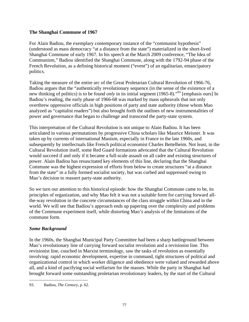### **The Shanghai Commune of 1967**

For Alain Badiou, the exemplary contemporary instance of the "communist hypothesis" (understood as mass democracy "at a distance from the state") materialized in the short-lived Shanghai Commune of early 1967. In his speech at the March 2009 conference, "The Idea of Communism," Badiou identified the Shanghai Commune, along with the 1792-94 phase of the French Revolution, as a defining historical moment ("event") of an egalitarian, emancipatory politics.

Taking the measure of the entire arc of the Great Proletarian Cultural Revolution of 1966-76, Badiou argues that the "authentically revolutionary sequence (in the sense of the existence of a new thinking of politics) is to be found *only* in its initial segment (1965-8)."<sup>93</sup> [emphasis ours] In Badiou's reading, the early phase of 1966-68 was marked by mass upheavals that not only overthrew oppressive officials in high positions of party and state authority (those whom Mao analyzed as "capitalist roaders") but also brought forth the outlines of new instrumentalities of power and governance that began to challenge and transcend the party-state system.

This interpretation of the Cultural Revolution is not unique to Alain Badiou. It has been articulated in various permutations by progressive China scholars like Maurice Meisner. It was taken up by currents of international Maoism, especially in France in the late 1960s, and subsequently by intellectuals like French political economist Charles Bettelheim. Not least, in the Cultural Revolution itself, some Red Guard formations advocated that the Cultural Revolution would succeed if and only if it became a full-scale assault on all cadre and existing structures of power. Alain Badiou has resuscitated key elements of this line, declaring that the Shanghai Commune was the highest expression of efforts from below to create structures "at a distance from the state" in a fully formed socialist society, but was curbed and suppressed owing to Mao's decision to reassert party-state authority.

So we turn our attention to this historical episode: how the Shanghai Commune came to be, its principles of organization, and why Mao felt it was not a suitable form for carrying forward allthe-way revolution in the concrete circumstances of the class struggle within China and in the world. We will see that Badiou's approach ends up papering over the complexity and problems of the Commune experiment itself, while distorting Mao's analysis of the limitations of the commune form.

## *Some Background*

In the 1960s, the Shanghai Municipal Party Committee had been a sharp battleground between Mao's revolutionary line of carrying forward socialist revolution and a revisionist line. This revisionist line, couched in Marxist terminology, saw the tasks of revolution as essentially involving: rapid economic development, expertise in command, tight structures of political and organizational control in which worker diligence and obedience were valued and rewarded above all, and a kind of pacifying social welfarism for the masses. While the party in Shanghai had brought forward some outstanding proletarian revolutionary leaders, by the start of the Cultural

 $\overline{a}$ 93. Badiou, *The Century*, p. 62.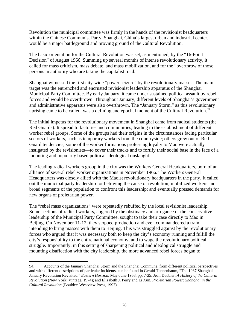Revolution the municipal committee was firmly in the hands of the revisionist headquarters within the Chinese Communist Party. Shanghai, China's largest urban and industrial center, would be a major battleground and proving ground of the Cultural Revolution.

The basic orientation for the Cultural Revolution was set, as mentioned, by the "16-Point Decision" of August 1966. Summing up several months of intense revolutionary activity, it called for mass criticism, mass debate, and mass mobilization, and for the "overthrow of those persons in authority who are taking the capitalist road."

Shanghai witnessed the first city-wide "power seizure" by the revolutionary masses. The main target was the entrenched and encrusted revisionist leadership apparatus of the Shanghai Municipal Party Committee. By early January, it came under sustained political assault by rebel forces and would be overthrown. Throughout January, different levels of Shanghai's government and administrative apparatus were also overthrown. The "January Storm," as this revolutionary uprising came to be called, was a defining and epochal moment of the Cultural Revolution.<sup>94</sup>

The initial impetus for the revolutionary movement in Shanghai came from radical students (the Red Guards). It spread to factories and communities, leading to the establishment of different worker rebel groups. Some of the groups had their origins in the circumstances facing particular sectors of workers, such as temporary workers from the countryside; others grew out of Red Guard tendencies; some of the worker formations professing loyalty to Mao were actually instigated by the revisionists—to cover their tracks and to fortify their social base in the face of a mounting and popularly based political-ideological onslaught.

The leading radical workers group in the city was the Workers General Headquarters, born of an alliance of several rebel worker organizations in November 1966. The Workers General Headquarters was closely allied with the Maoist revolutionary headquarters in the party. It called out the municipal party leadership for betraying the cause of revolution; mobilized workers and broad segments of the population to confront this leadership; and eventually pressed demands for new organs of proletarian power.

The "rebel mass organizations" were repeatedly rebuffed by the local revisionist leadership. Some sections of radical workers, angered by the obstinacy and arrogance of the conservative leadership of the Municipal Party Committee, sought to take their case directly to Mao in Beijing. On November 11-12, they stopped production and even commandeered a train, intending to bring masses with them to Beijing. This was struggled against by the revolutionary forces who argued that it was necessary both to keep the city's economy running and fulfill the city's responsibility to the entire national economy, and to wage the revolutionary political struggle. Importantly, in this setting of sharpening political and ideological struggle and mounting disaffection with the city leadership, the more advanced rebel forces began to

1

<sup>94.</sup> Accounts of the January Shanghai Storm and the Shanghai Commune, from different political perspectives and with different descriptions of particular incidents, can be found in Gerald Tannenbaum, "The 1967 Shanghai January Revolution Revisited," *Eastern Horizon*, May-June 1968, pp. 7-25; Jean Daubier, *A History of the Cultural Revolution* (New York: Vintage, 1974); and Elizabeth J. Perry and Li Xun, *Proletarian Power: Shanghai in the Cultural Revolution* (Boulder: Westview Press, 1997).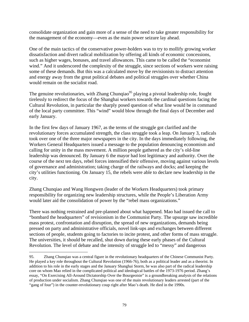consolidate organization and gain more of a sense of the need to take greater responsibility for the management of the economy—even as the main power seizure lay ahead.

One of the main tactics of the conservative power-holders was to try to mollify growing worker dissatisfaction and divert radical mobilization by offering all kinds of economic concessions, such as higher wages, bonuses, and travel allowances. This came to be called the "economist wind." And it underscored the complexity of the struggle, since sections of workers were raising some of these demands. But this was a calculated move by the revisionists to distract attention and energy away from the great political debates and political struggles over whether China would remain on the socialist road.

The genuine revolutionaries, with Zhang Chunqiao<sup>95</sup> playing a pivotal leadership role, fought tirelessly to redirect the focus of the Shanghai workers towards the cardinal questions facing the Cultural Revolution, in particular the sharply posed question of what line would be in command of the local party committee. This "wind" would blow through the final days of December and early January.

In the first few days of January 1967, as the terms of the struggle got clarified and the revolutionary forces accumulated strength, the class struggle took a leap. On January 3, radicals took over one of the three major newspapers in the city. In the days immediately following, the Workers General Headquarters issued a message to the population denouncing economism and calling for unity in the mass movement. A million people gathered as the city's old-line leadership was denounced. By January 6 the mayor had lost legitimacy and authority. Over the course of the next ten days, rebel forces intensified their offensive, moving against various levels of governance and administration; taking charge of the railways and docks; and keeping the city's utilities functioning. On January 15, the rebels were able to declare new leadership in the city.

Zhang Chunqiao and Wang Hongwen (leader of the Workers Headquarters) took primary responsibility for organizing new leadership structures, while the People's Liberation Army would later aid the consolidation of power by the "rebel mass organizations."

There was nothing restrained and pre-planned about what happened. Mao had issued the call to "bombard the headquarters" of revisionism in the Communist Party. The upsurge saw incredible mass protest, confrontation and disruption, the spread of new organizations, demands being pressed on party and administrative officials, novel link-ups and exchanges between different sections of people, students going to factories to incite protest, and other forms of mass struggle. The universities, it should be recalled, shut down during these early phases of the Cultural Revolution. The level of debate and the intensity of struggle led to "messy" and dangerous

<sup>95.</sup> Zhang Chunqiao was a central figure in the revolutionary headquarters of the Chinese Communist Party. He played a key role throughout the Cultural Revolution (1966-76), both as a political leader and as a theorist. In addition to his role in the early stages and the January Shanghai Storm, he was also part of the radical leadership core on whom Mao relied in the complicated political and ideological battles of the 1973-1976 period. Zhang's essay, "On Exercising All-Around Dictatorship Over the Bourgeoisie" is a groundbreaking analysis of the relations of production under socialism. Zhang Chunqiao was one of the main revolutionary leaders arrested (part of the "gang of four") in the counter-revolutionary coup right after Mao's death. He died in the 1990s.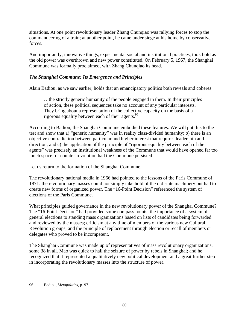situations. At one point revolutionary leader Zhang Chunqiao was rallying forces to stop the commandeering of a train; at another point, he came under siege at his home by conservative forces.

And importantly, innovative things, experimental social and institutional practices, took hold as the old power was overthrown and new power constituted. On February 5, 1967, the Shanghai Commune was formally proclaimed, with Zhang Chunqiao its head.

# *The Shanghai Commune: Its Emergence and Principles*

Alain Badiou, as we saw earlier, holds that an emancipatory politics both reveals and coheres

…the strictly generic humanity of the people engaged in them. In their principles of action, these political sequences take no account of any particular interests. They bring about a representation of the collective capacity on the basis of a rigorous equality between each of their agents.96

According to Badiou, the Shanghai Commune embodied these features. We will put this to the test and show that a) "generic humanity" was in reality class-divided humanity; b) there is an objective contradiction between particular and higher interest that requires leadership and direction; and c) the application of the principle of "rigorous equality between each of the agents" was precisely an institutional weakness of the Commune that would have opened far too much space for counter-revolution had the Commune persisted.

Let us return to the formation of the Shanghai Commune.

The revolutionary national media in 1966 had pointed to the lessons of the Paris Commune of 1871: the revolutionary masses could not simply take hold of the old state machinery but had to create new forms of organized power. The "16-Point Decision" referenced the system of elections of the Paris Commune.

What principles guided governance in the new revolutionary power of the Shanghai Commune? The "16-Point Decision" had provided some compass points: the importance of a system of general elections to standing mass organizations based on lists of candidates being forwarded and reviewed by the masses; criticism at any time of members of the various new Cultural Revolution groups, and the principle of replacement through election or recall of members or delegates who proved to be incompetent.

The Shanghai Commune was made up of representatives of mass revolutionary organizations, some 38 in all. Mao was quick to hail the seizure of power by rebels in Shanghai; and he recognized that it represented a qualitatively new political development and a great further step in incorporating the revolutionary masses into the structure of power.

 $\overline{a}$ 96. Badiou, *Metapolitics*, p. 97.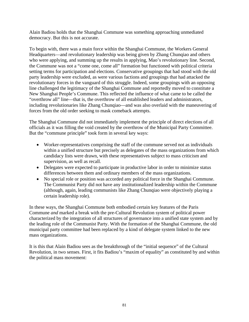Alain Badiou holds that the Shanghai Commune was something approaching unmediated democracy. But this is not accurate.

To begin with, there was a main force within the Shanghai Commune, the Workers General Headquarters—and revolutionary leadership was being given by Zhang Chunqiao and others who were applying, and summing up the results in applying, Mao's revolutionary line. Second, the Commune was not a "come one, come all" formation but functioned with political criteria setting terms for participation and elections. Conservative groupings that had stood with the old party leadership were excluded, as were various factions and groupings that had attacked the revolutionary forces in the vanguard of this struggle. Indeed, some groupings with an opposing line challenged the legitimacy of the Shanghai Commune and reportedly moved to constitute a New Shanghai People's Commune. This reflected the influence of what came to be called the "overthrow all" line—that is, the overthrow of all established leaders and administrators, including revolutionaries like Zhang Chunqiao—and was also overlaid with the maneuvering of forces from the old order seeking to mask comeback attempts.

The Shanghai Commune did not immediately implement the principle of direct elections of all officials as it was filling the void created by the overthrow of the Municipal Party Committee. But the "commune principle" took form in several key ways:

- Worker-representatives comprising the staff of the commune served not as individuals within a unified structure but precisely as delegates of the mass organizations from which candidacy lists were drawn, with these representatives subject to mass criticism and supervision, as well as recall.
- Delegates were expected to participate in productive labor in order to minimize status differences between them and ordinary members of the mass organizations.
- No special role or position was accorded any political force in the Shanghai Commune. The Communist Party did not have any institutionalized leadership within the Commune (although, again, leading communists like Zhang Chunqiao were objectively playing a certain leadership role).

In these ways, the Shanghai Commune both embodied certain key features of the Paris Commune *and* marked a break with the pre-Cultural Revolution system of political power characterized by the integration of all structures of governance into a unified state system and by the leading role of the Communist Party. With the formation of the Shanghai Commune, the old municipal party committee had been replaced by a kind of delegate system linked to the new mass organizations.

It is this that Alain Badiou sees as the breakthrough of the "initial sequence" of the Cultural Revolution, in two senses. First, it fits Badiou's "maxim of equality" as constituted by and within the political mass movement: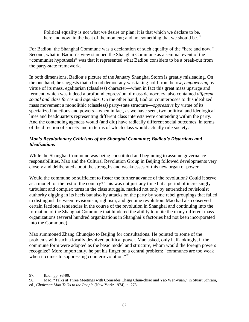Political equality is not what we desire or plan; it is that which we declare to be, here and now, in the heat of the moment; and not something that we should be.<sup>97</sup>

For Badiou, the Shanghai Commune was a declaration of such equality of the "here and now." Second, what in Badiou's view stamped the Shanghai Commune as a seminal event of the "communist hypothesis" was that it represented what Badiou considers to be a break-out from the party-state framework.

In both dimensions, Badiou's picture of the January Shanghai Storm is greatly misleading. On the one hand, he suggests that a broad democracy was taking hold from below, *empowering* by virtue of its mass, egalitarian (classless) character—when in fact this great mass upsurge and ferment, which was indeed a profound expression of mass democracy, also contained *different social and class forces and agendas.* On the other hand, Badiou counterposes to this idealized mass movement a monolithic (classless) party-state structure—*oppressive* by virtue of its specialized functions and powers—when in fact, as we have seen, two political and ideological lines and headquarters representing different class interests were contending within the party. And the contending agendas would (and did) have radically different social outcomes, in terms of the direction of society and in terms of which class would actually rule society.

# *Mao's Revolutionary Criticisms of the Shanghai Commune; Badiou's Distortions and Idealizations*

While the Shanghai Commune was being constituted and beginning to assume governance responsibilities, Mao and the Cultural Revolution Group in Beijing followed developments very closely and deliberated about the strengths and weaknesses of this new organ of power.

Would the commune be sufficient to foster the further advance of the revolution? Could it serve as a model for the rest of the country? This was not just any time but a period of increasingly turbulent and complex turns in the class struggle, marked not only by entrenched revisionist authority digging in its heels but also by attacks on the party by some rebel groupings that failed to distinguish between revisionism, rightism, and genuine revolution. Mao had also observed certain factional tendencies in the course of the revolution in Shanghai and continuing into the formation of the Shanghai Commune that hindered the ability to unite the many different mass organizations (several hundred organizations in Shanghai's factories had not been incorporated into the Commune).

Mao summoned Zhang Chunqiao to Beijing for consultations. He pointed to some of the problems with such a locally devolved political power. Mao asked, only half-jokingly, if the commune form were adopted as the basic model and structure, whom would the foreign powers recognize? More importantly, he put his finger on a central problem: "communes are too weak when it comes to suppressing counterrevolution."<sup>98</sup>

<sup>97.</sup> Ibid., pp. 98-99.

<sup>98.</sup> Mao, "Talks at Three Meetings with Comrades Chang Chun-chiao and Yao Wen-yuan," in Stuart Schram, ed., *Chairman Mao Talks to the People* (New York: 1974), p. 278.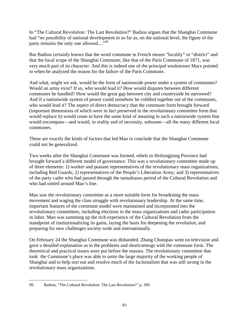In "The Cultural Revolution: The Last Revolution?" Badiou argues that the Shanghai Commune had "no possibility of national development in so far as, on the national level, the figure of the party remains the only one allowed....<sup>"99</sup>

But Badiou certainly knows that the word commune in French means "locality" or "district" and that the local scope of the Shanghai Commune, like that of the Paris Commune of 1871, was very much part of its character. And this is indeed one of the principal weaknesses Marx pointed to when he analyzed the reason for the failure of the Paris Commune.

And what, might we ask, would be the form of nationwide power under a system of communes? Would an army exist? If so, who would lead it? How would disputes between different communes be handled? How would the great gap between city and countryside be narrowed? And if a nationwide system of power could somehow be cobbled together out of the communes, who would lead it? The aspect of direct democracy that the commune form brought forward (important dimensions of which were in fact preserved in the revolutionary committee form that would replace it) would cease to have the same kind of meaning in such a nationwide system that would encompass—and would, in reality and of necessity, subsume—all the many different local communes.

These are exactly the kinds of factors that led Mao to conclude that the Shanghai Commune could not be generalized.

Two weeks after the Shanghai Commune was formed, rebels in Heilongjiang Province had brought forward a different model of governance. This was a revolutionary committee made up of three elements: 1) worker and peasant representatives of the revolutionary mass organizations, including Red Guards; 2) representatives of the People's Liberation Army; and 3) representatives of the party cadre who had passed through the tumultuous period of the Cultural Revolution and who had united around Mao's line.

Mao saw the revolutionary committee as a more suitable form for broadening the mass movement and waging the class struggle with revolutionary leadership. At the same time, important features of the commune model were maintained and incorporated into the revolutionary committees, including elections in the mass organizations and cadre participation in labor. Mao was summing up the rich experience of the Cultural Revolution from the standpoint of institutionalizing its gains, laying the basis for deepening the revolution, and preparing for new challenges society-wide and internationally.

On February 24 the Shanghai Commune was disbanded. Zhang Chunqiao went on television and gave a detailed explanation as to the problems and shortcomings with the commune form. The theoretical and practical issues were put before the masses. The revolutionary committee that took the Commune's place was able to unite the large majority of the working people of Shanghai and to help sort out and resolve much of the factionalism that was still strong in the revolutionary mass organizations.

 $\overline{a}$ 99. Badiou, "The Cultural Revolution: The Last Revolution?" p. 309.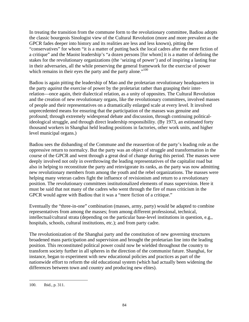In treating the transition from the commune form to the revolutionary committee, Badiou adopts the classic bourgeois Sinologist view of the Cultural Revolution (more and more prevalent as the GPCR fades deeper into history and its realities are less and less known), pitting the "conservatives" for whom "it is a matter of putting back the local cadres after the mere fiction of a critique" and the Maoist leadership's "a dozen persons [for whom] it is a matter of defining the stakes for the revolutionary organizations (the 'seizing of power') and of inspiring a lasting fear in their adversaries, all the while preserving the general framework for the exercise of power which remains in their eyes the party and the party alone."<sup>100</sup>

Badiou is again pitting the leadership of Mao and the proletarian revolutionary headquarters in the party *against* the exercise of power by the proletariat rather than grasping their interrelation—once again, their dialectical relation, as a unity of opposites. The Cultural Revolution and the creation of new revolutionary organs, like the revolutionary committees, involved masses of people and their representatives on a dramatically enlarged scale at every level. It involved unprecedented means for ensuring that the participation of the masses was genuine and profound; through extremely widespread debate and discussion, through continuing politicalideological struggle, and through direct leadership responsibility. (By 1973, an estimated forty thousand workers in Shanghai held leading positions in factories, other work units, and higher level municipal organs.)

Badiou sees the disbanding of the Commune and the reassertion of the party's leading role as the oppressive return to normalcy. But the party was an object of struggle and transformation in the course of the GPCR and went through a great deal of change during this period. The masses were deeply involved not only in overthrowing the leading representatives of the capitalist road but also in helping to reconstitute the party and reinvigorate its ranks, as the party was now admitting new revolutionary members from among the youth and the rebel organizations. The masses were helping many veteran cadres fight the influence of revisionism and return to a revolutionary position. The revolutionary committees institutionalized elements of mass supervision. Here it must be said that not many of the cadres who went through the fire of mass criticism in the GPCR would agree with Badiou that it was a "mere fiction of a critique."

Eventually the "three-in-one" combination (masses, army, party) would be adapted to combine representatives from among the masses; from among different professional, technical, intellectual/cultural strata (depending on the particular base-level institutions in question, e.g., hospitals, schools, cultural institutions, etc.); and from party cadre.

The revolutionization of the Shanghai party and the constitution of new governing structures broadened mass participation and supervision and brought the proletarian line into the leading position. This reconstituted political power could now be wielded throughout the country to transform society further in all spheres in the direction of the communist future. Shanghai, for instance, began to experiment with new educational policies and practices as part of the nationwide effort to reform the old educational system (which had actually been widening the differences between town and country and producing new elites).

1

<sup>100.</sup> Ibid., p. 311.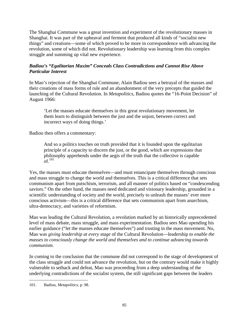The Shanghai Commune was a great invention and experiment of the revolutionary masses in Shanghai. It was part of the upheaval and ferment that produced all kinds of "socialist new things" and creations—some of which proved to be more in correspondence with advancing the revolution, some of which did not. Revolutionary leadership was learning from this complex struggle and summing up vital new experience.

# *Badiou's "Egalitarian Maxim" Conceals Class Contradictions and Cannot Rise Above Particular Interest*

In Mao's rejection of the Shanghai Commune, Alain Badiou sees a betrayal of the masses and their creations of mass forms of rule and an abandonment of the very precepts that guided the launching of the Cultural Revolution. In *Metapolitics*, Badiou quotes the "16-Point Decision" of August 1966:

'Let the masses educate themselves in this great revolutionary movement, let them learn to distinguish between the just and the unjust, between correct and incorrect ways of doing things.'

Badiou then offers a commentary:

And so a politics touches on truth provided that it is founded upon the egalitarian principle of a capacity to discern the just, or the good, which are expressions that philosophy apprehends under the aegis of the truth that the collective is capable  $of$ <sup>101</sup>

Yes, the masses must educate themselves—and must emancipate themselves through conscious and mass struggle to change the world and themselves. This is a critical difference that sets communism apart from putschism, terrorism, and all manner of politics based on "condescending saviors." On the other hand, the masses need dedicated and visionary leadership, grounded in a scientific understanding of society and the world, precisely to unleash the masses' ever more conscious activism—this is a critical difference that sets communism apart from anarchism, ultra-democracy, and varieties of reformism.

Mao was leading the Cultural Revolution, a revolution marked by an historically unprecedented level of mass debate, mass struggle, and mass experimentation. Badiou sees Mao upending his earlier guidance ("let the masses educate themselves") and trusting in the mass movement. No, Mao was *giving leadership at every stage* of the Cultural Revolution—leadership *to enable the masses to consciously change the world and themselves and to continue advancing towards communism.* 

In coming to the conclusion that the commune did not correspond to the stage of development of the class struggle and could not advance the revolution, but on the contrary would make it highly vulnerable to setback and defeat, Mao was proceeding from a deep understanding of the underlying contradictions of the socialist system, the still significant gaps between the leaders

 $\overline{a}$ 101. Badiou, *Metapolitics*, p. 98.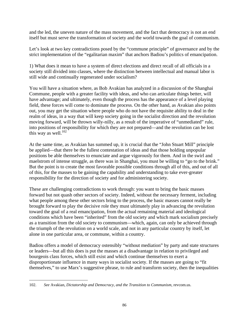and the led, the uneven nature of the mass movement, and the fact that democracy is not an end itself but must serve the transformation of society and the world towards the goal of communism.

Let's look at two key contradictions posed by the "commune principle" of governance and by the strict implementation of the "egalitarian maxim" that anchors Badiou's politics of emancipation.

1) What does it mean to have a system of direct elections and direct recall of all officials in a society still divided into classes, where the distinction between intellectual and manual labor is still wide and continually regenerated under socialism?

You will have a situation where, as Bob Avakian has analyzed in a discussion of the Shanghai Commune, people with a greater facility with ideas, and who can articulate things better, will have advantage; and ultimately, even though the process has the appearance of a level playing field, these forces will come to dominate the process. On the other hand, as Avakian also points out, you may get the situation where people who do not have the requisite ability to deal in the realm of ideas, in a way that will keep society going in the socialist direction and the revolution moving forward, will be thrown willy-nilly, as a result of the imperative of "unmediated" rule, into positions of responsibility for which they are not prepared—and the revolution can be lost this way as well. $102$ 

At the same time, as Avakian has summed up, it is crucial that the "John Stuart Mill" principle be applied—that there be the fullest contestation of ideas and that those holding unpopular positions be able themselves to enunciate and argue vigorously for them. And in the swirl and maelstrom of intense struggle, as there was in Shanghai, you must be willing to "go to the brink." But the point is to create the most favorable possible conditions through all of this, and out of all of this, for the masses to be gaining the capability and understanding to take ever-greater responsibility for the direction of society and for administering society.

These are challenging contradictions to work through: you want to bring the basic masses forward but not quash other sectors of society. Indeed, without the necessary ferment, including what people among these other sectors bring to the process, the basic masses cannot really be brought forward to play the decisive role they must ultimately play in advancing the revolution toward the goal of a real emancipation, from the actual remaining material and ideological conditions which have been "inherited" from the old society and which mark socialism precisely as a transition from the old society to communism—which, again, can only be achieved through the triumph of the revolution on a world scale, and not in any particular country by itself, let alone in one particular area, or commune, within a country.

Badiou offers a model of democracy ostensibly "without mediation" by party and state structures or leaders—but all this does is put the masses at a disadvantage in relation to privileged and bourgeois class forces, which still exist and which continue themselves to exert a disproportionate influence in many ways in socialist society. If the masses are going to "fit themselves," to use Marx's suggestive phrase, to rule and transform society, then the inequalities

 $\overline{a}$ 102. *See* Avakian, *Dictatorship and Democracy, and the Transition to Communism*, revcom.us.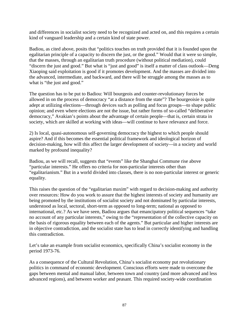and differences in socialist society need to be recognized and acted on, and this requires a certain kind of vanguard leadership and a certain kind of state power.

Badiou, as cited above, posits that "politics touches on truth provided that it is founded upon the egalitarian principle of a capacity to discern the just, or the good." Would that it were so simple, that the masses, through an egalitarian truth procedure (without political mediation), could "discern the just and good." But what is "just and good" is itself a matter of class outlook—Deng Xiaoping said exploitation is good if it promotes development. And the masses are divided into the advanced, intermediate, and backward, and there will be struggle among the masses as to what is "the just and good."

The question has to be put to Badiou: Will bourgeois and counter-revolutionary forces be allowed in on the process of democracy "at a distance from the state"? The bourgeoisie is quite adept at utilizing elections—through devices such as polling and focus groups—to shape public opinion; and even where elections are not the issue, but rather forms of so-called "deliberative democracy," Avakian's points about the advantage of certain people—that is, certain strata in society, which are skilled at working with ideas—will continue to have relevance and force.

2) Is local, quasi-autonomous self-governing democracy the highest to which people should aspire? And if this becomes the essential political framework and ideological horizon of decision-making, how will this affect the larger development of society—in a society and world marked by profound inequality?

Badiou, as we will recall, suggests that "events" like the Shanghai Commune rise above "particular interests." He offers no criteria for non-particular interests other than "egalitarianism." But in a world divided into classes, there is no non-particular interest or generic equality.

This raises the question of the "egalitarian maxim" with regard to decision-making and authority over resources: How do you work to assure that the highest interests of society and humanity are being promoted by the institutions of socialist society and not dominated by particular interests, understood as local, sectoral, short-term as opposed to long-term; national as opposed to international, etc.? As we have seen, Badiou argues that emancipatory political sequences "take no account of any particular interests," owing to the "representation of the collective capacity on the basis of rigorous equality between each of the agents." But particular and higher interests are in objective contradiction, and the socialist state has to lead in correctly identifying and handling this contradiction.

Let's take an example from socialist economics, specifically China's socialist economy in the period 1973-76.

As a consequence of the Cultural Revolution, China's socialist economy put revolutionary politics in command of economic development. Conscious efforts were made to overcome the gaps between mental and manual labor, between town and country (and more advanced and less advanced regions), and between worker and peasant. This required society-wide coordination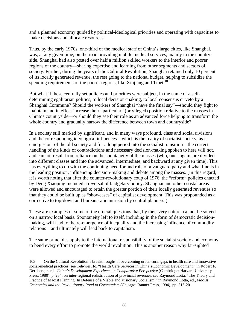and a planned economy guided by political-ideological priorities and operating with capacities to make decisions and allocate resources.

Thus, by the early 1970s, one-third of the medical staff of China's large cities, like Shanghai, was, at any given time, on the road providing mobile medical services, mainly in the countryside. Shanghai had also posted over half a million skilled workers to the interior and poorer regions of the country—sharing expertise and learning from other segments and sectors of society. Further, during the years of the Cultural Revolution, Shanghai retained only 10 percent of its locally generated revenue, the rest going to the national budget, helping to subsidize the spending requirements of the poorer regions, like Xinjiang and Tibet.<sup>103</sup>

But what if these centrally set policies and priorities were subject, in the name of a selfdetermining egalitarian politics, to local decision-making, to local consensus or veto by a Shanghai Commune? Should the workers of Shanghai "have the final say"—should they fight to maintain and in effect increase their "particular" (privileged) position relative to the masses in China's countryside—or should they see their role as an advanced force helping to transform the whole country and gradually narrow the difference between town and countryside?

In a society still marked by significant, and in many ways profound, class and social divisions and the corresponding ideological influences—which is the reality of socialist society, as it emerges out of the old society and for a long period into the socialist transition—the correct handling of the kinds of contradictions and necessary decision-making spoken to here will not, and cannot, result from reliance on the spontaneity of the masses (who, once again, are divided into different classes and into the advanced, intermediate, and backward at any given time). This has everything to do with the continuing need for and role of a vanguard party and what line is in the leading position, influencing decision-making and debate among the masses. (In this regard, it is worth noting that after the counter-revolutionary coup of 1976, the "reform" policies enacted by Deng Xiaoping included a reversal of budgetary policy. Shanghai and other coastal areas were allowed and encouraged to retain the greater portion of their locally generated revenues so that they could be built up as "showcases" of capitalist development. This was propounded as a corrective to top-down and bureaucratic intrusion by central planners!)

These are examples of some of the crucial questions that, by their very nature, cannot be solved on a narrow local basis. Spontaneity left to itself, including in the form of democratic decisionmaking, will lead to the re-emergence of inequality and the increasing influence of commodity relations—and ultimately will lead back to capitalism.

The same principles apply to the international responsibility of the socialist society and economy to bend every effort to promote the world revolution. This is another reason why far-sighted

<u>.</u>

<sup>103.</sup> On the Cultural Revolution's breakthroughs in overcoming urban-rural gaps in health care and innovative social-medical practices, see Teh-wei Ho, "Health Care Services in China's Economic Development," in Robert F. Dernberger, ed., *China's Development Experience in Comparative Perspective* (Cambridge: Harvard University Press, 1980), p. 234; on inter-regional redistribution of provincial revenues, *see* Raymond Lotta, "The Theory and Practice of Maoist Planning: In Defense of a Viable and Visionary Socialism," in Raymond Lotta, ed., *Maoist Economics and the Revolutionary Road to Communism* (Chicago: Banner Press, 1994), pp. 316-20.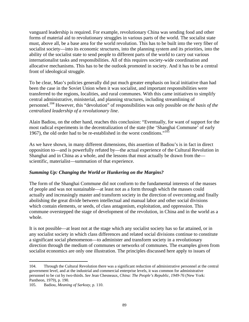vanguard leadership is required. For example, revolutionary China was sending food and other forms of material aid to revolutionary struggles in various parts of the world. The socialist state must, above all, be a base area for the world revolution. This has to be built into the very fiber of socialist society—into its economic structures, into the planning system and its priorities, into the ability of the socialist state to send people to different parts of the world to carry out various internationalist tasks and responsibilities. All of this requires society-wide coordination and allocative mechanisms. This has to be the outlook promoted in society. And it has to be a central front of ideological struggle.

To be clear, Mao's policies generally did put much greater emphasis on local initiative than had been the case in the Soviet Union when it was socialist, and important responsibilities were transferred to the regions, localities, and rural communes. With this came initiatives to simplify central administrative, ministerial, and planning structures, including streamlining of personnel.104 However, this "devolution" of responsibilities was only possible *on the basis of the centralized leadership of a revolutionary line*.

Alain Badiou, on the other hand, reaches this conclusion: "Eventually, for want of support for the most radical experiments in the decentralization of the state (the 'Shanghai Commune' of early 1967), the old order had to be re-established in the worst conditions."<sup>105</sup>

As we have shown, in many different dimensions, this assertion of Badiou's is in fact in direct opposition to—and is powerfully refuted by—the actual experience of the Cultural Revolution in Shanghai and in China as a whole, and the lessons that must actually be drawn from the scientific, materialist—summation of that experience.

## *Summing Up: Changing the World or Hunkering on the Margins?*

The form of the Shanghai Commune did not conform to the fundamental interests of the masses of people and was not sustainable—at least not as a form through which the masses could actually and increasingly master and transform society in the direction of overcoming and finally abolishing the great divide between intellectual and manual labor and other social divisions which contain elements, or seeds, of class antagonism, exploitation, and oppression. This commune overstepped the stage of development of the revolution, in China and in the world as a whole.

It is not possible—at least not at the stage which any socialist society has so far attained, or in any socialist society in which class differences and related social divisions continue to constitute a significant social phenomenon—to administer and transform society in a revolutionary direction through the medium of communes or networks of communes. The examples given from socialist economics are only one illustration. The principles discussed here apply to issues of

<sup>104.</sup> Through the Cultural Revolution there was a significant reduction of administrative personnel at the central government level, and at the industrial and commercial enterprise levels, it was common for administrative personnel to be cut by two-thirds. *See* Jean Chesneaux, *China: The People's Republic, 1949-76* (New York: Pantheon, 1979), p. 190.

<sup>105.</sup> Badiou, *Meaning of Sarkozy*, p. 110.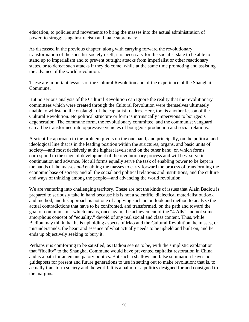education, to policies and movements to bring the masses into the actual administration of power, to struggles against racism and male supremacy.

As discussed in the previous chapter, along with carrying forward the revolutionary transformation of the socialist society itself, it is necessary for the socialist state to be able to stand up to imperialism and to prevent outright attacks from imperialist or other reactionary states, or to defeat such attacks if they do come, while at the same time promoting and assisting the advance of the world revolution.

These are important lessons of the Cultural Revolution and of the experience of the Shanghai Commune.

But no serious analysis of the Cultural Revolution can ignore the reality that the revolutionary committees which were created through the Cultural Revolution were themselves ultimately unable to withstand the onslaught of the capitalist roaders. Here, too, is another lesson of the Cultural Revolution. No political structure or form is intrinsically impervious to bourgeois degeneration. The commune form, the revolutionary committee, and the communist vanguard can all be transformed into oppressive vehicles of bourgeois production and social relations.

A scientific approach to the problem pivots on the one hand, and principally, on the political and ideological line that is in the leading position within the structures, organs, and basic units of society—and most decisively at the highest levels; and on the other hand, on which forms correspond to the stage of development of the revolutionary process and will best serve its continuation and advance. Not all forms equally serve the task of enabling power to be kept in the hands of the masses *and* enabling the masses to carry forward the process of transforming the economic base of society and all the social and political relations and institutions, and the culture and ways of thinking among the people—and advancing the world revolution.

We are venturing into challenging territory. These are not the kinds of issues that Alain Badiou is prepared to seriously take in hand because his is not a scientific, dialectical materialist outlook and method, and his approach is not one of applying such an outlook and method to analyze the actual contradictions that have to be confronted, and transformed, on the path and toward the goal of communism—which means, once again, the achievement of the "4 Alls" and not some amorphous concept of "equality," devoid of any real social and class content. Thus, while Badiou may think that he is upholding aspects of Mao and the Cultural Revolution, he misses, or misunderstands, the heart and essence of what actually needs to be upheld and built on, and he ends up objectively seeking to bury it.

Perhaps it is comforting to be satisfied, as Badiou seems to be, with the simplistic explanation that "fidelity" to the Shanghai Commune would have prevented capitalist restoration in China and is a path for an emancipatory politics. But such a shallow and false summation leaves no guideposts for present and future generations to use in setting out to make revolution; that is, to actually transform society and the world. It is a balm for a politics designed for and consigned to the margins.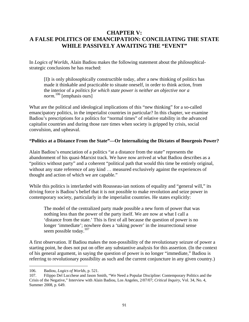# **CHAPTER V: A FALSE POLITICS OF EMANCIPATION: CONCILIATING THE STATE WHILE PASSIVELY AWAITING THE "EVENT"**

In *Logics of Worlds,* Alain Badiou makes the following statement about the philosophicalstrategic conclusions he has reached:

[I]t is only philosophically constructible today, after a new thinking of politics has made it thinkable and practicable to situate oneself, in order to think action, from the interior of a *politics for which state power is neither an objective nor a norm.* 106 [emphasis ours]

What are the political and ideological implications of this "new thinking" for a so-called emancipatory politics, in the imperialist countries in particular? In this chapter, we examine Badiou's prescriptions for a politics for "normal times" of relative stability in the advanced capitalist countries and during those rare times when society is gripped by crisis, social convulsion, and upheaval.

### **"Politics at a Distance From the State"—Or Internalizing the Dictates of Bourgeois Power?**

Alain Badiou's enunciation of a politics "at a distance from the state" represents the abandonment of his quasi-Marxist track. We have now arrived at what Badiou describes as a "politics without party" and a coherent "political path that would this time be entirely original, without any state reference of any kind ... measured exclusively against the experiences of thought and action of which we are capable."

While this politics is interlarded with Rousseau-ian notions of equality and "general will," its driving force is Badiou's belief that it is not possible to make revolution and seize power in contemporary society, particularly in the imperialist countries. He states explicitly:

The model of the centralized party made possible a new form of power that was nothing less than the power of the party itself. We are now at what I call a 'distance from the state.' This is first of all because the question of power is no longer 'immediate'; nowhere does a 'taking power' in the insurrectional sense seem possible today.<sup>107</sup>

A first observation. If Badiou makes the non-possibility of the revolutionary seizure of power a starting point, he does not put on offer any substantive analysis for this assertion. (In the context of his general argument, in saying the question of power is no longer "immediate," Badiou is referring to revolutionary possibility as such and the current conjuncture in any given country.)

<sup>1</sup> 106. Badiou, *Logics of Worlds*, p. 521.

<sup>107.</sup> Filippo Del Lucchese and Jason Smith, "We Need a Popular Discipline: Contemporary Politics and the Crisis of the Negative," Interview with Alain Badiou, Los Angeles, 2/07/07; *Critical Inquiry*, Vol. 34, No. 4, Summer 2008, p. 649.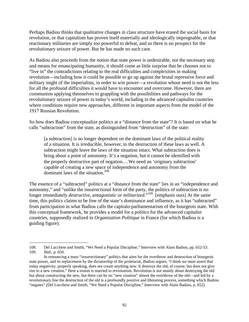Perhaps Badiou thinks that qualitative changes in class structure have erased the social basis for revolution, or that capitalism has proven itself materially and ideologically impregnable, or that reactionary militaries are simply too powerful to defeat, and so there is no prospect for the revolutionary seizure of power. But he has made no such case.

As Badiou also proceeds from the notion that state power is undesirable, not the necessary step and means for emancipating humanity, it should come as little surprise that he chooses not to "live in" the contradictions relating to the real difficulties and complexities in making revolution—including how it could be possible to go up against the brutal repressive force and military might of the imperialists, in order to win power—a revolution whose need is not the less for all the profound difficulties it would have to encounter and overcome. However, there are communists applying themselves to grappling with the possibilities and pathways for the revolutionary seizure of power in today's world, including in the advanced capitalist countries where conditions require new approaches, different in important aspects from the model of the 1917 Russian Revolution.

So how does Badiou conceptualize politics at a "distance from the state"? It is based on what he calls "subtraction" from the state, as distinguished from "destruction" of the state:

[a subtraction] is no longer dependent on the dominant laws of the political reality of a situation. It is irreducible, however, to the destruction of these laws as well. A subtraction might leave the laws of the situation intact. What subtraction does is bring about a point of autonomy. It's a negation, but it cannot be identified with the properly destructive part of negation.…We need an 'originary subtraction' capable of creating a new space of independence and autonomy from the dominant laws of the situation.<sup>108</sup>

The essence of a "subtracted" politics at a "distance from the state" lies in an "independence and autonomy," and "unlike the insurrectional form of the party, the politics of subtraction is no longer immediately *destructive, antagonistic or militarized*."<sup>109</sup> [emphasis ours] At the same time, this politics claims to be free of the state's dominance and influence, as it has "subtracted" from participation in what Badiou calls the capitalo-parliamentarism of the bourgeois state. With this conceptual framework, he provides a model for a politics for the advanced capitalist countries, supposedly realized in *Organization Politique* in France (for which Badiou is a guiding figure).

<sup>108.</sup> Del Lucchese and Smith, "We Need a Popular Discipline," Interview with Alain Badiou, pp. 652-53. 109. Ibid., p. 650.

In renouncing a mass "insurrectionary" politics that aims for the overthrow and destruction of bourgeois state power, and its replacement by the dictatorship of the proletariat, Badiou argues, "I think we must assert that today negativity, properly speaking, does not create anything new. It destroys the old, of course, but does not give rise to a new creation." Here a truism is married to revisionism. Revolution is not mainly about destroying the old but about constructing the new, but there can be no "new creation" absent the overthrow of the old—and led by a revolutionary line the destruction of the old is a profoundly positive and liberating process, something which Badiou "negates" (Del Lucchese and Smith, "We Need a Popular Discipline," Interview with Alain Badiou, p. 652).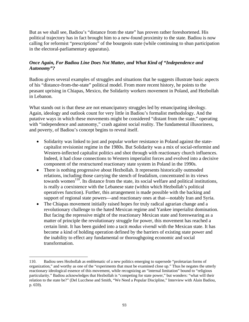But as we shall see, Badiou's "distance from the state" has proven rather foreshortened. His political trajectory has in fact brought him to a new-found proximity to the state. Badiou is now calling for reformist "prescriptions" of the bourgeois state (while continuing to shun participation in the electoral-parliamentary apparatus).

## *Once Again, For Badiou Line Does Not Matter, and What Kind of "Independence and Autonomy"?*

Badiou gives several examples of struggles and situations that he suggests illustrate basic aspects of his "distance-from-the-state" political model. From more recent history, he points to the peasant uprising in Chiapas, Mexico, the Solidarity workers movement in Poland, and Hezbollah in Lebanon.

What stands out is that these are not emancipatory struggles led by emancipating ideology. Again, ideology and outlook count for very little in Badiou's formalist methodology. And the putative ways in which these movements might be considered "distant from the state," operating with "independence and autonomy," crash against social reality. The fundamental illusoriness, and poverty, of Badiou's concept begins to reveal itself.

- Solidarity was linked to just and popular worker resistance in Poland against the statecapitalist revisionist regime in the 1980s. But Solidarity was a mix of social-reformist and Western-inflected capitalist politics and shot through with reactionary church influences. Indeed, it had close connections to Western imperialist forces and evolved into a decisive component of the restructured reactionary state system in Poland in the 1990s.
- There is nothing progressive about Hezbollah. It represents historically outmoded relations, including those carrying the stench of feudalism, concentrated in its views towards women<sup>110</sup>. Its distance from the state, its social welfare and political institutions, is really a coexistence with the Lebanese state (within which Hezbollah's political operatives function). Further, this arrangement is made possible with the backing and support of regional state powers—and reactionary ones at that—notably Iran and Syria.
- The Chiapas movement initially raised hopes for truly radical agrarian change and a revolutionary challenge to the hated Mexican regime and Yankee imperialist domination. But facing the repressive might of the reactionary Mexican state and foreswearing as a matter of principle the revolutionary struggle for power, this movement has reached a certain limit. It has been guided into a tacit *modus vivendi* with the Mexican state. It has become a kind of holding operation defined by the barriers of existing state power and the inability to effect any fundamental or thoroughgoing economic and social transformation.

<sup>110.</sup> Badiou sees Hezbollah as emblematic of a new politics emerging to supersede "proletarian forms of organization," and worthy as one of the "experiments that must be examined close up." Thus he negates the utterly reactionary ideological essence of this movement, while recognizing an "internal limitation" bound to "religious particularity." Badiou acknowledges that Hezbollah is "competing for state power," but wonders: "what will their relation to the state be?" (Del Lucchese and Smith, "We Need a Popular Discipline," Interview with Alain Badiou, p. 659).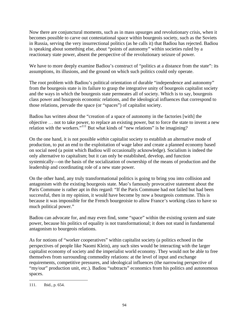Now there are conjunctural moments, such as in mass upsurges and revolutionary crisis, when it becomes possible to carve out contestational space within bourgeois society, such as the Soviets in Russia, serving the very insurrectional politics (as he calls it) that Badiou has rejected. Badiou is speaking about something else, about "points of autonomy" within societies ruled by a reactionary state power, absent the perspective of the revolutionary seizure of power.

We have to more deeply examine Badiou's construct of "politics at a distance from the state": its assumptions, its illusions, and the ground on which such politics could only operate.

The root problem with Badiou's political orientation of durable "independence and autonomy" from the bourgeois state is its failure to grasp the integrative unity of bourgeois capitalist society and the ways in which the bourgeois state permeates all of society. Which is to say, bourgeois class power and bourgeois economic relations, and the ideological influences that correspond to those relations, pervade the space (or "spaces") of capitalist society.

Badiou has written about the "creation of a space of autonomy in the factories [with] the objective … not to take power, to replace an existing power, but to force the state to invent a new relation with the workers."<sup>111</sup> But what kinds of "new relations" is he imagining?

On the one hand, it is not possible *within* capitalist society to establish an alternative mode of production, to put an end to the exploitation of wage labor and create a planned economy based on social need (a point which Badiou will occasionally acknowledge). Socialism is indeed the only alternative to capitalism; but it can only be established, develop, and function systemically—on the basis of the socialization of ownership of the means of production and the leadership and coordinating role of a new state power.

On the other hand, any truly transformational politics is going to bring you into collision and antagonism with the existing bourgeois state. Mao's famously provocative statement about the Paris Commune is rather apt in this regard: "If the Paris Commune had not failed but had been successful, then in my opinion, it would have become by now a bourgeois commune. This is because it was impossible for the French bourgeoisie to allow France's working class to have so much political power."

Badiou can advocate for, and may even find, some "space" within the existing system and state power, because his politics of equality is not transformational; it does not stand in fundamental antagonism to bourgeois relations.

As for notions of "worker cooperatives" within capitalist society (a politics echoed in the perspectives of people like Naomi Klein), any such sites would be interacting with the larger capitalist economy of society and the imperialist world economy. They would not be able to free themselves from surrounding commodity relations: at the level of input and exchange requirements, competitive pressures, and ideological influences (the narrowing perspective of "my/our" production unit, etc.). Badiou "subtracts" economics from his politics and autonomous spaces.

 $\overline{a}$ 111. Ibid., p. 654.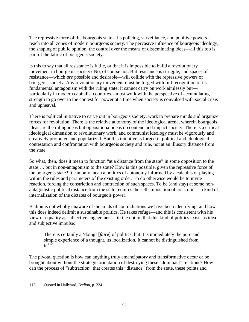The repressive force of the bourgeois state—its policing, surveillance, and punitive powers reach into all zones of modern bourgeois society. The pervasive influence of bourgeois ideology, the shaping of public opinion, the control over the means of disseminating ideas—all this too is part of the fabric of bourgeois society.

Is this to say that all resistance is futile, or that it is impossible to build a revolutionary movement in bourgeois society? No, of course not. But resistance is struggle, and spaces of resistance—which *are* possible and desirable—will collide with the repressive powers of bourgeois society. Any revolutionary movement must be forged with full recognition of its fundamental antagonism with the ruling state; it cannot carry on work aimlessly but particularly in modern capitalist countries—must work with the perspective of accumulating strength to go over to the contest for power at a time when society is convulsed with social crisis and upheaval.

There is political initiative to carve out in bourgeois society, work to prepare minds and organize forces for revolution. There is the relative autonomy of the ideological arena, wherein bourgeois ideas are the ruling ideas but oppositional ideas do contend and impact society. There is a critical ideological dimension to revolutionary work, and communist ideology must be vigorously and creatively promoted and popularized. But this initiative is forged in political and ideological contestation and confrontation with bourgeois society and rule, not at an illusory distance from the state.

So what, then, does it mean to function "at a distance from the state" in some opposition to the state … but in non-antagonism to the state? How is this possible, given the repressive force of the bourgeois state? It can only mean a politics of autonomy informed by a calculus of playing within the rules and parameters of the existing order. To do otherwise would be to invite reaction, forcing the constriction and contraction of such spaces. To be (and stay) at some nonantagonistic political distance from the state requires the self-imposition of constraint—a kind of internalization of the dictates of bourgeois power.

Badiou is not wholly unaware of the kinds of contradictions we have been identifying, and how this does indeed delimit a sustainable politics. He takes refuge—and this is consistent with his view of equality as subjective engagement—in the notion that this kind of politics exists as idea and subjective impulse:

There is certainly a 'doing' [*faire*] of politics, but it is immediately the pure and simple experience of a thought, its localization. It cannot be distinguished from  $it.<sup>112</sup>$ 

The pivotal question is how can anything truly emancipatory and transformative occur or be brought about without the strategic orientation of destroying these "dominant" relations? How can the process of "subtraction" that creates this "distance" from the state, these points and

 $\overline{a}$ 112. Quoted in Hallward, *Badiou*, p. 224.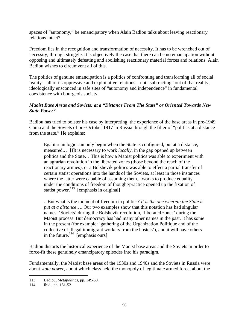spaces of "autonomy," be emancipatory when Alain Badiou talks about leaving reactionary relations intact?

Freedom lies in the recognition and transformation of necessity. It has to be wrenched out of necessity, through struggle. It is objectively the case that there can be no emancipation without opposing and ultimately defeating and abolishing reactionary material forces and relations. Alain Badiou wishes to circumvent all of this.

The politics of genuine emancipation is a politics of confronting and transforming all of social reality—all of its oppressive and exploitative relations—not "subtracting" out of that reality, ideologically ensconced in safe sites of "autonomy and independence" in fundamental coexistence with bourgeois society.

## *Maoist Base Areas and Soviets: at a "Distance From The State" or Oriented Towards New State Power?*

Badiou has tried to bolster his case by interpreting the experience of the base areas in pre-1949 China and the Soviets of pre-October 1917 in Russia through the filter of "politics at a distance from the state." He explains:

Egalitarian logic can only begin when the State is configured, put at a distance, measured.… [I]t is necessary to work *locally*, in the gap opened up between politics and the State… This is how a Maoist politics was able to experiment with an agrarian revolution in the liberated zones (those beyond the reach of the reactionary armies), or a Bolshevik politics was able to effect a partial transfer of certain statist operations into the hands of the Soviets, at least in those instances where the latter were capable of assuming them....works to produce equality under the conditions of freedom of thought/practice opened up the fixation of statist power. $^{113}$  [emphasis in original]

...But what is the moment of freedom in politics? *It is the one wherein the State is put at a distance*…. Our two examples show that this notation has had singular names: 'Soviets' during the Bolshevik revolution, 'liberated zones' during the Maoist process. But democracy has had many other names in the past. It has some in the present (for example: 'gathering of the Organization Politique and of the collective of illegal immigrant workers from the hostels'), and it will have others in the future. $114$  [emphasis ours]

Badiou distorts the historical experience of the Maoist base areas and the Soviets in order to force-fit these genuinely emancipatory episodes into his paradigm.

Fundamentally, the Maoist base areas of the 1930s and 1940s and the Soviets in Russia were about *state power*, about which class held the monopoly of legitimate armed force, about the

 $\overline{a}$ 113. Badiou, *Metapolitics*, pp. 149-50.

<sup>114.</sup> Ibid., pp. 151-52.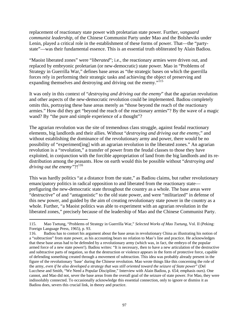replacement of reactionary state power with proletarian state power. Further, *vanguard communist leadership*, of the Chinese Communist Party under Mao and the Bolsheviks under Lenin, played a critical role in the establishment of these forms of power. That—the "partystate"—was their fundamental essence. This is an essential truth obliterated by Alain Badiou.

"Maoist liberated zones" were "*liberated*"; i.e., the reactionary armies were driven out, and replaced by embryonic proletarian (or new-democratic) state power. Mao in "Problems of Strategy in Guerrilla War," defines base areas as "the strategic bases on which the guerrilla forces rely in performing their strategic tasks and achieving the object of preserving and expanding themselves and destroying and driving out the enemy."<sup>115</sup>

It was only in this context of "*destroying and driving out the enemy*" that the agrarian revolution and other aspects of the new-democratic revolution could be implemented. Badiou completely omits this, portraying these base areas merely as "those beyond the reach of the reactionary armies." How did they get "beyond the reach of the reactionary armies"? By the wave of a magic wand? By "the pure and simple experience of a thought"?

The agrarian revolution was the site of tremendous class struggle, against feudal reactionary elements, big landlords and their allies. Without "*destroying and driving out the enemy*," and without establishing the dominance of the revolutionary army and power, there would be no possibility of "experiment[ing] with an agrarian revolution in the liberated zones." An agrarian revolution is a "revolution," a transfer of power from the feudal classes to those they have exploited, in conjunction with the forcible appropriation of land from the big landlords and its redistribution among the peasants. How on earth would this be possible without "*destroying and driving out the enemy*"?!<sup>116</sup>

This was hardly politics "at a distance from the state," as Badiou claims, but rather revolutionary emancipatory politics in radical opposition to and liberated from the reactionary state prefiguring the new-democratic state throughout the country as a whole. The base areas were "destructive" of and "antagonistic" to the old state power, and were "militarized" in defense of this new power, and guided by the aim of creating revolutionary state power in the country as a whole. Further, "a Maoist politics was able to experiment with an agrarian revolution in the liberated zones," precisely because of the leadership of Mao and the Chinese Communist Party.

1

<sup>115.</sup> Mao Tsetung, "Problems of Strategy in Guerrilla War," *Selected Works of Mao Tsetung*, Vol. II (Peking: Foreign Language Press, 1965), p. 93.

<sup>116.</sup> Badiou has to contort his argument about the base areas in revolutionary China as illustrating his notion of a "subtraction" from state power, as his accounting bears no relation to Mao's line and practice. He acknowledges that these base areas had to be defended by a revolutionary army (which was, in fact, the embryo of the popular armed force of a new state power!). Badiou writes: "It is necessary, then to have a new articulation of the destructive and subtractive parts of negation, so that the destruction or violence appears in the form of protective force, capable of defending something created through a movement of subtraction. This idea was probably already present in the figure of the revolutionary 'base' during the Chinese revolution. Mao wrote things like this concerning the role of the army, *even if he also developed a strategy that was still oriented toward the seizure of State power*" (Del Lucchese and Smith, "We Need a Popular Discipline," Interview with Alain Badiou, p. 654; emphasis ours). One cannot, and Mao did not, sever the base areas from the overall goal of the seizure of state power. For Mao, they were indissolubly connected. To occasionally acknowledge this essential connection, only to ignore or dismiss it as Badiou does, severs this crucial link, in theory and practice.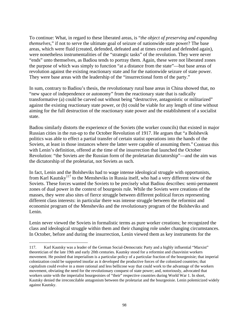To continue: What, in regard to these liberated areas, is "*the object of preserving and expanding themselves*," if not to serve the ultimate goal of seizure of nationwide state power? The base areas, which were fluid (created, defended, defeated and at times created and defended again), were nonetheless instrumentalities of the "strategic tasks" of the revolution. They were never "ends" unto themselves, as Badiou tends to portray them. Again, these were not liberated zones the purpose of which was simply to function "at a distance from the state"—but base areas of revolution against the existing reactionary state and for the nationwide seizure of state power. They were base areas with the leadership of the "insurrectional form of the party."

In sum, contrary to Badiou's thesis, the revolutionary rural base areas in China showed that, no "new space of independence or autonomy" from the reactionary state that is radically transformative (a) could be carved out without being "destructive, antagonistic or militarized" against the existing reactionary state power, or (b) could be viable for any length of time without aiming for the full destruction of the reactionary state power and the establishment of a socialist state.

Badiou similarly distorts the experience of the Soviets (the worker councils) that existed in major Russian cities in the run-up to the October Revolution of 1917. He argues that "a Bolshevik politics was able to effect a partial transfer of certain statist operations into the hands of the Soviets, at least in those instances where the latter were capable of assuming them."Contrast this with Lenin's definition, offered at the time of the insurrection that launched the October Revolution: "the Soviets are the Russian form of the proletarian dictatorship"—and the aim was the dictatorship of the proletariat, not Soviets as such.

In fact, Lenin and the Bolsheviks had to wage intense ideological struggle with opportunists, from Karl Kautsky<sup>117</sup> to the Mensheviks in Russia itself, who had a very different view of the Soviets. These forces wanted the Soviets to be precisely what Badiou describes: semi-permanent zones of dual power in the context of bourgeois rule. While the Soviets were creations of the masses, they were also sites of fierce struggle between different political forces representing different class interests: in particular there was intense struggle between the reformist and economist program of the Mensheviks and the revolutionary program of the Bolsheviks and Lenin.

Lenin never viewed the Soviets in formalistic terms as pure worker creations; he recognized the class and ideological struggle within them and their changing role under changing circumstances. In October, before and during the insurrection, Lenin viewed them as key instruments for the

<sup>117.</sup> Karl Kautsky was a leader of the German Social-Democratic Party and a highly influential "Marxist" theoretician of the late 19th and early 20th centuries. Kautsky stood for a reformist and chauvinist workers movement. He posited that imperialism is a particular policy of a particular fraction of the bourgeoisie; that imperial colonization could be supported insofar as it developed the productive forces of the colonized countries; that capitalism could evolve in a more rational and less bellicose way that could work to the advantage of the workers movement, obviating the need for the revolutionary conquest of state power; and, notoriously, advocated that workers unite with the imperialist bourgeoisies of "their" respective countries during World War 1. In short, Kautsky denied the irreconcilable antagonism between the proletariat and the bourgeoisie. Lenin polemicized widely against Kautsky.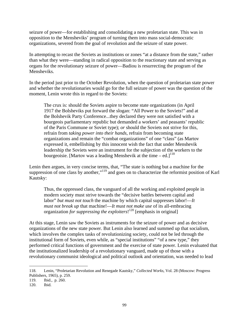seizure of power—for establishing and consolidating a new proletarian state. This was in opposition to the Mensheviks' program of turning them into mass social-democratic organizations, severed from the goal of revolution and the seizure of state power.

In attempting to recast the Soviets as institutions or zones "at a distance from the state," rather than what they were—standing in radical opposition to the reactionary state and serving as organs for the revolutionary seizure of power—Badiou is resurrecting the program of the Mensheviks.

In the period just prior to the October Revolution, when the question of proletarian state power and whether the revolutionaries would go for the full seizure of power was the question of the moment, Lenin wrote this in regard to the Soviets:

The crux is: should the Soviets aspire to become state organizations (in April 1917 the Bolsheviks put forward the slogan: "All Power to the Soviets!" and at the Bolshevik Party Conference...they declared they were not satisfied with a bourgeois parliamentary republic but demanded a workers' and peasants' republic of the Paris Commune or Soviet type); *or* should the Soviets not strive for this, refrain from *taking power into their hands*, refrain from becoming state organizations and remain the "combat organizations" of one "class" (as Martov expressed it, embellishing by this innocent wish the fact that under Menshevik leadership the Soviets were an instrument for the subjection of the workers to the bourgeoisie. [Martov was a leading Menshevik at the time – ed.]<sup>118</sup>

Lenin then argues, in very concise terms, that, "The state is nothing but a machine for the suppression of one class by another,"<sup>119</sup> and goes on to characterize the reformist position of Karl Kautsky:

Thus, the oppressed class, the vanguard of all the working and exploited people in modern society must strive towards the "decisive battles between capital and labor" *but must not touch* the machine by which capital suppresses labor!—*It must not break up* that machine!—*It must not make use* of its all-embracing organization *for suppressing the exploiters*! 120 [emphasis in original]

At this stage, Lenin saw the Soviets as instruments for the seizure of power and as decisive organizations of the new state power. But Lenin also learned and summed up that socialism, which involves the complex tasks of revolutionizing society, could not be led through the institutional form of Soviets, even while, as "special institutions" "of a new type," they performed critical functions of government and the exercise of state power. Lenin evaluated that the institutionalized leadership of a revolutionary vanguard, made up of those with a revolutionary communist ideological and political outlook and orientation, was needed to lead

<sup>118.</sup> Lenin, "Proletarian Revolution and Renegade Kautsky," *Collected Works*, Vol. 28 (Moscow: Progress Publishers, 1965), p. 259.

<sup>119.</sup> Ibid., p. 260.

<sup>120.</sup> Ibid.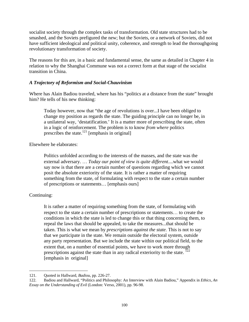socialist society through the complex tasks of transformation. Old state structures had to be smashed, and the Soviets prefigured the new; but the Soviets, or a network of Soviets, did not have sufficient ideological and political unity, coherence, and strength to lead the thoroughgoing revolutionary transformation of society.

The reasons for this are, in a basic and fundamental sense, the same as detailed in Chapter 4 in relation to why the Shanghai Commune was not a correct form at that stage of the socialist transition in China.

### *A Trajectory of Reformism and Social-Chauvinism*

Where has Alain Badiou traveled, where has his "politics at a distance from the state" brought him? He tells of his new thinking:

Today however, now that "the age of revolutions is over...I have been obliged to change my position as regards the state. The guiding principle can no longer be, in a unilateral way, 'destatification.' It is a matter more of prescribing the state, often in a logic of reinforcement. The problem is to know *from where* politics prescribes the state.<sup>121</sup> [emphasis in original]

Elsewhere he elaborates:

Politics unfolded according to the interests of the masses, and the state was the external adversary. … *Today our point of view is quite different*....what we would say now is that there are a certain number of questions regarding which we cannot posit the absolute exteriority of the state. It is rather a matter of requiring something from the state, of formulating with respect to the state a certain number of prescriptions or statements… [emphasis ours]

### Continuing:

 $\overline{a}$ 

It is rather a matter of requiring something from the state, of formulating with respect to the state a certain number of prescriptions or statements… to create the conditions in which the state is led to change this or that thing concerning them, to repeal the laws that should be appealed, to take the measures...that should be taken. This is what we mean by *prescriptions against the state*. Τhis is not to say that we participate in the state. We remain outside the electoral system, outside any party representation. But we include the state within our political field, to the extent that, on a number of essential points, we have to work more through prescriptions against the state than in any radical exteriority to the state. <sup>122</sup> [emphasis in original]

<sup>121.</sup> Quoted in Hallward, *Badiou*, pp. 226-27.

<sup>122.</sup> Badiou and Hallward, "Politics and Philosophy: An Interview with Alain Badiou," Appendix in *Ethics, An Essay on the Understanding of Evil* (London: Verso, 2001), pp. 96-98.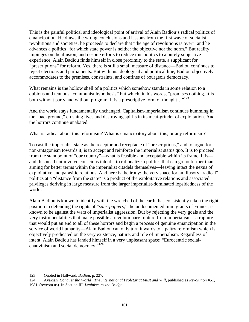This is the painful political and ideological point of arrival of Alain Badiou's radical politics of emancipation. He draws the wrong conclusions and lessons from the first wave of socialist revolutions and societies; he proceeds to declare that "the age of revolutions is over"; and he advances a politics "for which state power is neither the objective nor the norm." But reality impinges on the illusion, and despite efforts to reduce this politics to a purely subjective experience, Alain Badiou finds himself in close proximity to the state, a supplicant for "prescriptions" for reform. Yes, there is still a small measure of distance—Badiou continues to reject elections and parliaments. But with his ideological and political line, Badiou objectively accommodates to the premises, constraints, and confines of bourgeois democracy.

What remains is the hollow shell of a politics which somehow stands in some relation to a dubious and tenuous "communist hypothesis" but which, in his words, "promises nothing. It is both without party and without program. It is a prescriptive form of thought..."<sup>123</sup>

And the world stays fundamentally unchanged. Capitalism-imperialism continues humming in the "background," crushing lives and destroying spirits in its meat-grinder of exploitation. And the horrors continue unabated.

What is radical about this reformism? What is emancipatory about this, or any reformism?

To cast the imperialist state as the receptor and receptacle of "prescriptions," and to argue for non-antagonism towards it, is to accept and reinforce the imperialist status quo. It is to proceed from the standpoint of "our country"—what is feasible and acceptable within its frame. It is and this need not involve conscious intent—to rationalize a politics that can go no further than aiming for better terms within the imperialist citadels themselves—leaving intact the nexus of exploitative and parasitic relations. And here is the irony: the very space for an illusory "radical" politics at a "distance from the state" is a product of the exploitative relations and associated privileges deriving in large measure from the larger imperialist-dominated lopsidedness of the world.

Alain Badiou is known to identify with the wretched of the earth; has consistently taken the right position in defending the rights of "*sans-papiers,*" the undocumented immigrants of France; is known to be against the wars of imperialist aggression. But by rejecting the very goals and the very instrumentalities that make possible a revolutionary rupture from imperialism—a rupture that would put an end to all of these horrors and begin a process of genuine emancipation in the service of world humanity—Alain Badiou can only turn inwards to a paltry reformism which is objectively predicated on the very existence, nature, and role of imperialism. Regardless of intent, Alain Badiou has landed himself in a very unpleasant space: "Eurocentric socialchauvinism and social democracy."<sup>124</sup>

 $\overline{a}$ 123. Quoted in Hallward, *Badiou*, p. 227.

<sup>124.</sup> Avakian, *Conquer the World? The International Proletariat Must and Will*, published as *Revolution* #51,

<sup>1981. (</sup>revcom.us). In Section III, *Leninism as the Bridge*.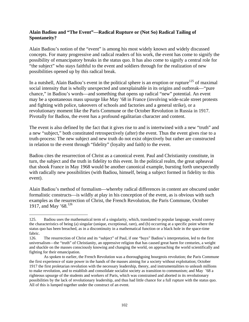## **Alain Badiou and "The Event"—Radical Rupture or (Not So) Radical Tailing of Spontaneity?**

Alain Badiou's notion of the "event" is among his most widely known and widely discussed concepts. For many progressive and radical readers of his work, the event has come to signify the possibility of emancipatory breaks in the status quo. It has also come to signify a central role for "the subject" who stays faithful to the event and soldiers through for the realization of new possibilities opened up by this radical break.

In a nutshell, Alain Badiou's event in the political sphere is an eruption or rupture<sup>125</sup> of maximal social intensity that is wholly unexpected and unexplainable in its origins and outbreak—"pure chance," in Badiou's words—and something that opens up radical "new" potential. An event may be a spontaneous mass upsurge like May '68 in France (involving wide-scale street protests and fighting with police, takeovers of schools and factories and a general strike), or a revolutionary moment like the Paris Commune or the October Revolution in Russia in 1917. Pivotally for Badiou, the event has a profound egalitarian character and content.

The event is also defined by the fact that it gives rise to and is intertwined with a new "truth" and a new "subject," both constituted retrospectively (after) the event. Thus the event gives rise to a truth-process: The new subject and new truth do not exist objectively but rather are constructed in relation to the event through "fidelity" (loyalty and faith) to the event.

Badiou cites the resurrection of Christ as a canonical event. Paul and Christianity constitute, in turn, the subject and the truth in fidelity to this event. In the political realm, the great upheaval that shook France in May 1968 would be another canonical example, bursting forth unexpectedly with radically new possibilities (with Badiou, himself, being a subject formed in fidelity to this event).

Alain Badiou's method of formalism—whereby radical differences in content are obscured under formalistic constructs—is wildly at play in his conception of the event, as is obvious with such examples as the resurrection of Christ, the French Revolution, the Paris Commune, October 1917, and May '68.<sup>126</sup>

 $\overline{a}$ 125. Badiou uses the mathematical term of a singularity, which, translated to popular language, would convey the characteristics of being (a) singular (unique, exceptional, rare), and (b) occurring at a specific point where the status quo has been breached, as in a discontinuity in a mathematical function or a black hole in the space-time fabric.

<sup>126.</sup> The resurrection of Christ and its "subject" of Paul, if one "buys" Badiou's interpretation, led to the first universalism—the "truth" of Christianity, an oppressive religion that has caused great harm for centuries, a weight and shackle on the masses consciously knowing and changing the world, on approaching the world scientifically and fighting for their emancipation.

As spoken to earlier, the French Revolution was a thoroughgoing bourgeois revolution; the Paris Commune the first experience of state power in the hands of the masses aiming for a society without exploitation; October 1917 the first proletarian revolution with the necessary leadership, theory, and instrumentalities to unleash millions to make revolution, and to establish and consolidate socialist society as transition to communism; and May '68 a righteous upsurge of the students and workers of Paris, which was constrained and aborted in its revolutionary possibilities by the lack of revolutionary leadership, and thus had little chance for a full rupture with the status quo. All of this is lumped together under the construct of an event.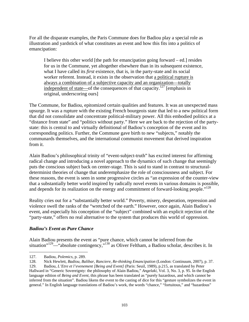For all the disparate examples, the Paris Commune does for Badiou play a special role as illustration and yardstick of what constitutes an event and how this fits into a politics of emancipation:

I believe this other world [the path for emancipation going forward – ed.] resides for us in the Commune, yet altogether elsewhere than in its subsequent existence, what I have called its *first* existence, that is, in the party-state and its social worker referent. Instead, it exists in the observation that a political rupture is always a combination of a subjective capacity and an organization—totally independent of state—of the consequences of that capacity.<sup>127</sup> [emphasis in original, underscoring ours]

The Commune, for Badiou, epitomized certain qualities and features. It was an unexpected mass upsurge. It was a rupture with the existing French bourgeois state that led to a new political form that did not consolidate and concentrate political-military power. All this embodied politics at a "distance from state" and "politics without party." Here we are back to the rejection of the partystate: this is central to and virtually definitional of Badiou's conception of the event and its corresponding politics. Further, the Commune gave birth to new "subjects," notably the communards themselves, and the international communist movement that derived inspiration from it.

Alain Badiou's philosophical trinity of "event-subject-truth" has excited interest for affirming radical change and introducing a novel approach to the dynamics of such change that seemingly puts the conscious subject back on center-stage. This is said to stand in contrast to structuraldeterminist theories of change that underemphasize the role of consciousness and subject. For these reasons, the event is seen in some progressive circles as "an expression of the counter-view that a substantially better world inspired by radically novel events in various domains is possible, and depends for its realization on the energy and commitment of forward-looking people."<sup>128</sup>

Reality cries out for a "substantially better world." Poverty, misery, desperation, repression and violence swell the ranks of the "wretched of the earth." However, once again, Alain Badiou's event, and especially his conception of the "subject" combined with an explicit rejection of the "party-state," offers no real alternative to the system that produces this world of oppression.

### *Badiou's Event as Pure Chance*

Alain Badiou presents the event as "pure chance, which cannot be inferred from the situation"<sup>129</sup>—"absolute contingency,"<sup>130</sup> as Oliver Feltham, a Badiou scholar, describes it. In

 $\overline{a}$ 127. Badiou, *Polemics*, p. 289.

<sup>128.</sup> Nick Hewlett, *Badiou, Balibar, Ranciere, Re-thinking Emancipation* (London: Continuum, 2007), p. 37.

<sup>129.</sup> Badiou, *L'Etre et l'evenement [Being and Event]* (Paris: Seuil, 1989), p.215, as translated by Peter Hallward in "Generic Sovereignty: the philosophy of Alain Badiou," *Angelaki*, Vol. 3, No. 3, p. 95. In the English language edition of *Being and Event*, this phrase has been translated as "purely hazardous, and which cannot be inferred from the situation". Badiou likens the event to the casting of dice for this "gesture symbolizes the event in general." In English language translations of Badiou's work, the words "chance," "fortuitous," and "hazardous"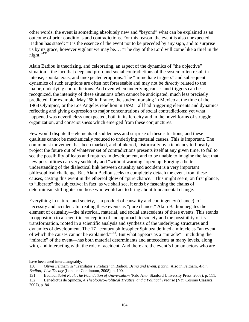other words, the event is something absolutely new and "beyond" what can be explained as an outcome of prior conditions and contradictions. For this reason, the event is also unexpected. Badiou has stated: "it is the essence of the event not to be preceded by any sign, and to surprise us by its grace, however vigilant we may be.… "The day of the Lord will come like a thief in the  $night.^{9131}$ 

Alain Badiou is theorizing, and celebrating, an aspect of the dynamics of "the objective" situation—the fact that deep and profound social contradictions of the system often result in intense, spontaneous, and unexpected eruptions. The "immediate triggers" and subsequent dynamics of such eruptions are often not foreseeable and may not be *directly* related to the major, underlying contradictions. And even when underlying causes and triggers can be recognized, the intensity of these situations often cannot be anticipated, much less precisely predicted. For example, May '68 in France, the student uprising in Mexico at the time of the 1968 Olympics, or the Los Angeles rebellion in 1992—all had triggering elements and dynamics reflecting and giving expression to major concentrations of social contradictions; yet what happened was nevertheless unexpected, both in its ferocity and in the novel forms of struggle, organization, and consciousness which emerged from these conjunctures.

Few would dispute the elements of suddenness and surprise of these situations; and these qualities cannot be mechanically reduced to underlying material causes. This is important. The communist movement has been marked, and blinkered, historically by a tendency to linearly project the future out of whatever set of contradictions presents itself at any given time, to fail to see the possibility of leaps and ruptures in development, and to be unable to imagine the fact that new possibilities can very suddenly and "without warning" open up. Forging a better understanding of the dialectical link between causality and accident is a very important philosophical challenge. But Alain Badiou seeks to completely detach the event from these causes, casting this event in the ethereal glow of "pure chance." This might seem, on first glance, to "liberate" the subjective; in fact, as we shall see, it ends by fastening the chains of determinism still tighter on those who would act to bring about fundamental change.

Everything in nature, and society, is a product of causality and contingency (chance), of necessity and accident. In treating these events as "pure chance," Alain Badiou negates the element of causality—the historical, material, and social antecedents of these events. This stands in opposition to a scientific conception of and approach to society and the possibility of its transformation, rooted in a scientific analysis and synthesis of the underlying structures and dynamics of development. The 17<sup>th</sup> century philosopher Spinoza defined a miracle as "an event of which the causes cannot be explained." $132$ . But what appears as a "miracle"—including the "miracle" of the event—has both material determinants and antecedents at many levels, along with, and interacting with, the role of accident. And there are the event's human actors who are

have been used interchangeably.

<sup>130.</sup> Oliver Feltham in "Translator's Preface" in Badiou, *Being and Event*, p xxvi; Also in Feltham, *Alain Badiou, Live Theory* (London: Continuum, 2008), p. 100.

<sup>131.</sup> Badiou, *Saint Paul, The Foundation of Universalism* (Palo Alto: Stanford University Press, 2003), p. 111.

<sup>132.</sup> Benedictus de Spinoza, *A Theologico-Political Treatise, and a Political Treatise* (NY: Cosimo Classics, 2007), p. 84.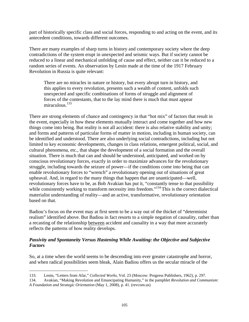part of historically specific class and social forces, responding to and acting on the event, and its antecedent conditions, towards different outcomes.

There are many examples of sharp turns in history and contemporary society where the deep contradictions of the system erupt in unexpected and seismic ways. But if society cannot be reduced to a linear and mechanical unfolding of cause and effect, neither can it be reduced to a random series of events. An observation by Lenin made at the time of the 1917 February Revolution in Russia is quite relevant:

There are no miracles in nature or history, but every abrupt turn in history, and this applies to every revolution, presents such a wealth of content, unfolds such unexpected and specific combinations of forms of struggle and alignment of forces of the contestants, that to the lay mind there is much that must appear miraculous.<sup>133</sup>

There are strong elements of chance and contingency in that "hot mix" of factors that result in the event, especially in how these elements mutually interact and come together and how new things come into being. But reality is not all accident: there is also relative stability and unity; and forms and patterns of particular forms of matter in motion, including in human society, can be identified and understood. There are also underlying social contradictions, including but not limited to key economic developments, changes in class relations, emergent political, social, and cultural phenomena, etc., that shape the development of a social formation and the overall situation. There is much that can and should be understood, anticipated, and worked on by conscious revolutionary forces, exactly in order to maximize advances for the revolutionary struggle, including towards the seizure of power—if the conditions come into being that can enable revolutionary forces to "wrench" a revolutionary opening out of situations of great upheaval. And, in regard to the many things that happen that are unanticipated—well, revolutionary forces have to be, as Bob Avakian has put it, "constantly tense to that possibility while consistently working to transform necessity into freedom."<sup>134</sup> This is the correct dialectical materialist understanding of reality—and an active, transformative, revolutionary orientation based on that.

Badiou's focus on the event may at first seem to be a way out of the thicket of "determinist realism" identified above. But Badiou in fact resorts to a simple negation of causality, rather than a recasting of the relationship between accident and causality in a way that more accurately reflects the patterns of how reality develops.

### *Passivity and Spontaneity Versus Hastening While Awaiting: the Objective and Subjective Factors*

So, at a time when the world seems to be descending into ever greater catastrophe and horror, and when radical possibilities seem bleak, Alain Badiou offers us the secular miracle of the

<u>.</u>

<sup>133.</sup> Lenin, "Letters from Afar," *Collected Works*, Vol. 23 (Moscow: Progress Publishers, 1962), p. 297.

<sup>134.</sup> Avakian, "Making Revolution and Emancipating Humanity," in the pamphlet *Revolution and Communism: A Foundation and Strategic Orientation* (May 1, 2008), p. 41. (revcom.us)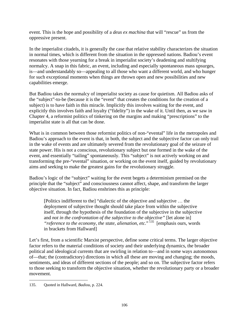event. This is the hope and possibility of a *deus ex machina* that will "rescue" us from the oppressive present.

In the imperialist citadels, it is generally the case that relative stability characterizes the situation in normal times, which is different from the situation in the oppressed nations. Badiou's event resonates with those yearning for a break in imperialist society's deadening and stultifying normalcy. A snap in this fabric, an event, including and especially spontaneous mass upsurges, is—and understandably so—appealing to all those who want a different world, and who hunger for such exceptional moments when things are thrown open and new possibilities and new capabilities emerge.

But Badiou takes the normalcy of imperialist society as cause for quietism. All Badiou asks of the "subject"-to-be (because it is the "event" that creates the conditions for the creation of a subject) is to have faith in this miracle. Implicitly this involves waiting for the event, and explicitly this involves faith and loyalty ("fidelity") in the wake of it. Until then, as we saw in Chapter 4, a reformist politics of tinkering on the margins and making "prescriptions" to the imperialist state is all that can be done.

What is in common between those reformist politics of non-"evental" life in the metropoles and Badiou's approach to the event is that, in both, the subject and the subjective factor can only trail in the wake of events and are ultimately severed from the revolutionary goal of the seizure of state power. His is not a conscious, revolutionary subject but one formed in the wake of the event, and essentially "tailing" spontaneously. This "subject" is not actively working on and transforming the pre-"evental" situation, or working on the event itself, guided by revolutionary aims and seeking to make the greatest gains for the revolutionary struggle.

Badiou's logic of the "subject" waiting for the event begets a determinism premised on the principle that the "subject" and consciousness cannot affect, shape, and transform the larger objective situation. In fact, Badiou enshrines this as principle:

[Politics indifferent to the] "dialectic of the objective and subjective … the deployment of subjective thought should take place from within the subjective itself, through the hypothesis of the foundation of the subjective in the subjective and *not in the confrontation of the subjective to the objective"* [let alone in] *"reference to the economy, the state, alienation, etc.*" 135 [emphasis ours, words in brackets from Hallward]

Let's first, from a scientific Marxist perspective, define some critical terms. The larger objective factor refers to the material conditions of society and their underlying dynamics, the broader political and ideological currents that are swirling in relation to—and in some ways autonomous of—that; the (contradictory) directions in which all these are moving and changing; the moods, sentiments, and ideas of different sections of the people; and so on. The subjective factor refers to those seeking to transform the objective situation, whether the revolutionary party or a broader movement.

 $\overline{a}$ 135. Quoted in Hallward, *Badiou*, p. 224.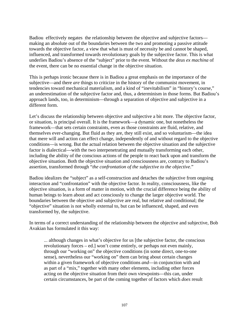Badiou effectively negates the relationship between the objective and subjective factors making an absolute out of the boundaries between the two and promoting a passive attitude towards the objective factor, a view that what is must of necessity be and cannot be shaped, influenced, and transformed towards revolutionary goals by the subjective factor. This is what underlies Badiou's absence of the "subject" prior to the event. Without the *deus ex machina* of the event, there can be no essential change in the objective situation.

This is perhaps ironic because there is in Badiou a great emphasis on the importance of the subjective—and there *are* things to criticize in the history of the communist movement, in tendencies toward mechanical materialism, and a kind of "inevitabilism" in "history's course," an underestimation of the subjective factor and, thus, a determinism in those forms. But Badiou's approach lands, too, in determinism—through a separation of objective and subjective in a different form.

Let's discuss the relationship between objective and subjective a bit more. The objective factor, or situation, is principal overall. It is the framework—a dynamic one, but nonetheless the framework—that sets certain constraints, even as those constraints are fluid, relative, and themselves ever-changing. But fluid as they are, they still exist, and so voluntarism—the idea that mere will and action can effect change, independently of and without regard to the objective conditions—is wrong. But the actual relation between the objective situation and the subjective factor is dialectical—with the two interpenetrating and mutually transforming each other, including the ability of the conscious actions of the people to react back upon and transform the objective situation. Both the objective situation and consciousness are, contrary to Badiou's assertion, transformed through "*the confrontation of the subjective to the objective*."

Badiou idealizes the "subject" as a self-construction and detaches the subjective from ongoing interaction and "confrontation" with the objective factor. In reality, consciousness, like the objective situation, is a form of matter in motion, with the crucial difference being the ability of human beings to learn about and act consciously to change the larger objective world. The boundaries between the objective and subjective are real, but relative and conditional; the "objective" situation is not wholly external to, but can be influenced, shaped, and even transformed by, the subjective.

In terms of a correct understanding of the relationship between the objective and subjective, Bob Avakian has formulated it this way:

... although changes in what's objective for us [the subjective factor, the conscious revolutionary forces – ed.] won't come entirely, or perhaps not even mainly, through our "working on" the objective conditions (in some direct, one-to-one sense), nevertheless our "working on" them can bring about certain changes within a given framework of objective conditions *and*—in conjunction with and as part of a "mix," together with many other elements, including other forces acting on the objective situation from their own viewpoints—this can, under certain circumstances, be part of the coming together of factors which *does* result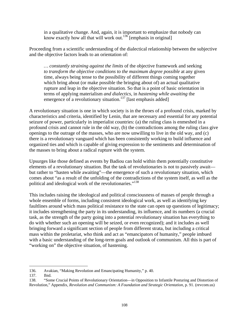in a qualitative change. And, again, it is important to emphasize that nobody can know exactly how all that will work out.<sup>136</sup> [emphasis in original]

Proceeding from a scientific understanding of the dialectical relationship between the subjective and the objective factors leads to an orientation of:

*… constantly straining against the limits* of the objective framework and seeking *to transform the objective conditions to the maximum degree possible* at any given time, always being tense to the possibility of different things coming together which bring about (or make possible the bringing about of) an actual qualitative rupture and leap in the objective situation. So that is a point of basic orientation in terms of applying materialism *and dialectics*, in *hastening while awaiting* the emergence of a revolutionary situation.<sup>137</sup> [last emphasis added]

A revolutionary situation is one in which society is in the throes of a profound crisis, marked by characteristics and criteria, identified by Lenin, that are necessary and essential for any potential seizure of power, particularly in imperialist countries: (a) the ruling class is enmeshed in a profound crisis and cannot rule in the old way, (b) the contradictions among the ruling class give openings to the outrage of the masses, who are now unwilling to live in the old way, and (c) there is a revolutionary vanguard which has been consistently working to build influence and organized ties and which is capable of giving expression to the sentiments and determination of the masses to bring about a radical rupture with the system.

Upsurges like those defined as events by Badiou can hold within them potentially constitutive elements of a revolutionary situation. But the task of revolutionaries is not to passively await but rather to "hasten while awaiting"—the emergence of such a revolutionary situation, which comes about "as a result of the unfolding of the contradictions of the system itself, as well as the political and ideological work of the revolutionaries."<sup>138</sup>

This includes raising the ideological and political consciousness of masses of people through a whole ensemble of forms, including consistent ideological work, as well as identifying key faultlines around which mass political resistance to the state can open up questions of legitimacy; it includes strengthening the party in its understanding, its influence, and its numbers (a crucial task, as the strength of the party going into a potential revolutionary situation has everything to do with whether such an opening will be seized, or even recognized); and it includes as well bringing forward a significant section of people from different strata, but including a critical mass within the proletariat, who think and act as "emancipators of humanity," people imbued with a basic understanding of the long-term goals and outlook of communism. All this is part of "working on" the objective situation, of hastening.

<sup>136.</sup> Avakian, "Making Revolution and Emancipating Humanity," p. 40.

<sup>137.</sup> Ibid.

<sup>138. &</sup>quot;Some Crucial Points of Revolutionary Orientation—in Opposition to Infantile Posturing and Distortion of Revolution," Appendix, *Revolution and Communism: A Foundation and Strategic Orientation*, p. 91. (revcom.us)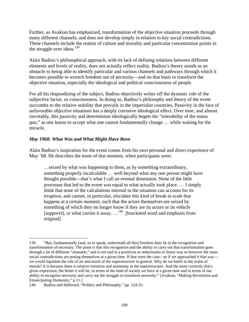Further, as Avakian has emphasized, transformation of the objective situation proceeds through many different channels, and does not develop simply in relation to key social contradictions. These channels include the realms of culture and morality and particular concentration points in the struggle over ideas.<sup>139</sup>

Alain Badiou's philosophical approach, with its lack of defining relations between different elements and levels of reality, does not actually reflect reality. Badiou's theory stands as an obstacle to being able to identify particular and various channels and pathways through which it becomes possible to wrench freedom out of necessity—and on that basis to transform the objective situation, especially the ideological and political consciousness of people.

For all his rhapsodizing of the subject, Badiou objectively writes off the dynamic role of the subjective factor, or consciousness. In doing so, Badiou's philosophy and theory of the event succumbs to the relative stability that prevails in the imperialist countries. Passivity in the face of unfavorable objective situations has a deeply corrosive ideological effect. Over time, and almost inevitably, this passivity and determinism ideologically begets the "tolerability of the status quo," as one learns to accept what one cannot fundamentally change … while waiting for the miracle.

## *May 1968: What Was and What Might Have Been*

Alain Badiou's inspiration for the event comes from his own personal and direct experience of May '68. He describes the tenor of that moment, when participants were:

…seized by what was happening to them, as by something extraordinary, something properly incalculable … well beyond what any one person might have thought possible—that's what I call an evental dimension. None of the little processes that led to the event was equal to what actually took place. … I simply think that none of the calculations internal to the situation can account for its irruption, and cannot, in particular, elucidate this kind of break in scale that happens at a certain moment, such that the actors themselves are seized by something of which they no longer know if they are its actors or its vehicle [*supports*], or what carries it away. …<sup>140</sup> [bracketed word and emphasis from original]

<sup>139. &</sup>quot;But, fundamentally (and, so to speak, underneath all this) freedom does lie in the recognition and transformation of necessity. The point is that this recognition and the ability to carry out that transformation goes through a lot of different "channels," and is not tied in a positivist or reductionist or linear way to however the main social contradictions are posing themselves at a given time. If that were the case—or if we approached it that way we would liquidate the role of art and much of the superstructure in general. Why do we battle in the realm of morals? It is because there is relative initiative and autonomy in the superstructure. And the more correctly that's given expression, the better it will be, in terms of the kind of society we have at a given time and in terms of our ability to recognize necessity and carry out the struggle to transform necessity." [Avakian, "Making Revolution and Emancipating Humanity," p.11.]

<sup>140.</sup> Badiou and Hallward, "Politics and Philosophy," pp. 124-25.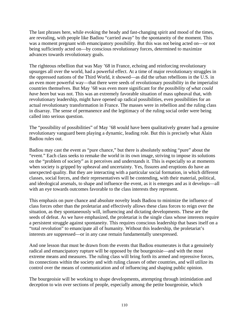The last phrases here, while evoking the heady and fast-changing spirit and mood of the times, are revealing, with people like Badiou "carried away" by the spontaneity of the moment. This was a moment pregnant with emancipatory possibility. But this was not being acted on—or not being sufficiently acted on—by conscious revolutionary forces, determined to maximize advances towards revolutionary goals.

The righteous rebellion that was May '68 in France, echoing and reinforcing revolutionary upsurges all over the world, had a powerful effect. At a time of major revolutionary struggles in the oppressed nations of the Third World, it showed—as did the urban rebellions in the U.S. in an even more powerful way—that there were seeds of revolutionary possibility in the imperialist countries themselves. But May '68 was even more significant for *the possibility of what could have been* but was not. This was an extremely favorable situation of mass upheaval that, with revolutionary leadership, might have opened up radical possibilities, even possibilities for an actual revolutionary transformation in France. The masses were in rebellion and the ruling class in disarray. The sense of permanence and the legitimacy of the ruling social order were being called into serious question.

The "possibility of possibilities" of May '68 would have been qualitatively greater had a genuine revolutionary vanguard been playing a dynamic, leading role. But this is precisely what Alain Badiou rules out.

Badiou may cast the event as "pure chance," but there is absolutely nothing "pure" about the "event." Each class seeks to remake the world in its own image, striving to impose its solutions on the "problem of society" as it perceives and understands it. This is especially so at moments when society is gripped by upheaval and uncertainty. Yes, fissures and eruptions do have an unexpected quality. But they are interacting with a particular social formation, in which different classes, social forces, and their representatives will be contending, with their material, political, and ideological arsenals, to shape and influence the event, as it is emerges and as it develops—all with an eye towards outcomes favorable to the class interests they represent.

This emphasis on pure chance and absolute novelty leads Badiou to minimize the influence of class forces other than the proletariat and effectively allows these class forces to reign over the situation, as they spontaneously will, influencing and dictating developments. These are the seeds of defeat. As we have emphasized, the proletariat is the single class whose interests require a persistent struggle against spontaneity. This requires conscious leadership that bases itself on a "total revolution" to emancipate all of humanity. Without this leadership, the proletariat's interests are suppressed—or in any case remain fundamentally unexpressed.

And one lesson that must be drawn from the events that Badiou enumerates is that a genuinely radical and emancipatory rupture will be opposed by the bourgeoisie—and with the most extreme means and measures. The ruling class will bring forth its armed and repressive forces, its connections within the society and with ruling classes of other countries, and will utilize its control over the means of communication and of influencing and shaping public opinion.

The bourgeoisie will be working to shape developments, attempting through intimidation and deception to win over sections of people, especially among the petite bourgeoisie, which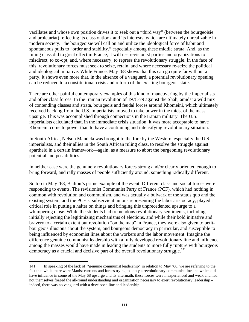vacillates and whose own position drives it to seek out a "third way" (between the bourgeoisie and proletariat) reflecting its class outlook and its interests, which are ultimately unrealizable in modern society. The bourgeoisie will call on and utilize the ideological force of habit and spontaneous pulls to "order and stability," especially among these middle strata. And, as the ruling class did to great effect in France, it will use revisionist parties and organizations to misdirect, to co-opt, and, where necessary, to repress the revolutionary struggle. In the face of this, revolutionary forces must seek to seize, retain, and where necessary re-seize the political and ideological initiative. While France, May '68 shows that this can go quite far without a party, it shows even more that, in the absence of a vanguard, a potential revolutionary opening can be reduced to a constitutional crisis and reform of the existing bourgeois state.

There are other painful contemporary examples of this kind of maneuvering by the imperialists and other class forces. In the Iranian revolution of 1978-79 against the Shah, amidst a wild mix of contending classes and strata, bourgeois and feudal forces around Khomeini, which ultimately received backing from the U.S. imperialists, moved to take power in the midst of the mass upsurge. This was accomplished through connections in the Iranian military. The U.S. imperialists calculated that, in the immediate crisis situation, it was more acceptable to have Khomeini come to power than to have a continuing and intensifying revolutionary situation.

In South Africa, Nelson Mandela was brought to the fore by the Western, especially the U.S. imperialists, and their allies in the South African ruling class, to resolve the struggle against apartheid in a certain framework—again, as a measure to abort the burgeoning revolutionary potential and possibilities.

In neither case were the genuinely revolutionary forces strong and/or clearly oriented enough to bring forward, and rally masses of people sufficiently around, something radically different.

So too in May '68, Badiou's prime example of the event. Different class and social forces were responding to events. The revisionist Communist Party of France (PCF), which had nothing in common with revolution and communism, and was actually a bulwark of the status quo and the existing system, and the PCF's subservient unions representing the labor aristocracy, played a critical role in putting a halter on things and bringing this unprecedented upsurge to a whimpering close. While the students had tremendous revolutionary sentiments, including initially rejecting the legitimizing mechanisms of elections, and while their bold initiative and bravery to a certain extent put revolution "on the map" in France, they were also given to petitbourgeois illusions about the system, and bourgeois democracy in particular, and susceptible to being influenced by economist lines about the workers and the labor movement. Imagine the difference genuine communist leadership with a fully developed revolutionary line and influence among the masses would have made in leading the students to more fully rupture with bourgeois democracy as a crucial and decisive part of the overall revolutionary struggle.<sup>141</sup>

<sup>141.</sup> In speaking of the lack of "genuine communist leadership" in relation to May '68, we are referring to the fact that while there were Maoist currents and forces trying to apply a revolutionary communist line and which did have influence in some of the May 68 upsurge and its aftermath, these forces were inexperienced and weak and had not themselves forged the all-round understanding and organization necessary to exert revolutionary leadership – indeed, there was no vanguard with a developed line and leadership.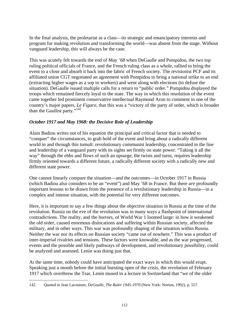In the final analysis, the proletariat as a class—its strategic and emancipatory interests and program for making revolution and transforming the world—was absent from the stage. Without vanguard leadership, this will always be the case.

This was acutely felt towards the end of May '68 when DeGaulle and Pompidou, the two top ruling political officials of France, and the French ruling class as a whole, rallied to bring the event to a close and absorb it back into the fabric of French society. The revisionist PCF and its affiliated union CGT negotiated an agreement with Pompidou to bring a national strike to an end (extracting higher wages as a sop to workers) and went along with elections (to defuse the situation). DeGaulle issued multiple calls for a return to "public order." Pompidou displayed the troops which remained fiercely loyal to the state. The way in which this resolution of the event came together led prominent conservative intellectual Raymond Aron to comment in one of the country's major papers, *Le Figaro,* that this was a "victory of the party of order, which is broader than the Gaullist party."142

## *October 1917 and May 1968: the Decisive Role of Leadership*

Alain Badiou writes out of his equation the principal and critical factor that is needed to "conquer" the circumstances, to grab hold of the event and bring about a radically different world in and through this tumult: revolutionary communist leadership, concentrated in the line and leadership of a vanguard party with its sights set firmly on state power. "Taking it all the way" through the ebbs and flows of such an upsurge, the twists and turns, requires leadership firmly oriented towards a different future, a radically different society with a radically new and different state power.

One cannot linearly compare the situation—and the outcomes—in October 1917 in Russia (which Badiou also considers to be an "event") and May '68 in France. But there *are* profoundly important lessons to be drawn from the presence of a revolutionary leadership in Russia—in a complex and intense situation, with the potential for very different outcomes.

Here, it is important to say a few things about the objective situation in Russia at the time of the revolution. Russia on the eve of the revolution was in many ways a flashpoint of international contradictions. The reality, and the horrors, of World War 1 loomed large: in how it weakened the old order, caused enormous dislocations and suffering within Russian society, affected the military, and in other ways. This war was profoundly shaping of the situation within Russia. Neither the war nor its effects on Russian society "came out of nowhere." This was a product of inter-imperial rivalries and tensions. These factors were knowable, and as the war progressed, events and the possible and likely pathways of development, and revolutionary possibility, could be analyzed and assessed. Lenin was doing just that.

At the same time, nobody could have anticipated the exact ways in which this would erupt. Speaking just a month before the initial bursting open of the crisis, the revolution of February 1917 which overthrew the Tsar, Lenin mused in a lecture in Switzerland that "we of the older

 $\overline{a}$ 142. Quoted in Jean Lacouture, *DeGaulle, The Ruler 1945-1970* (New York: Norton, 1992), p. 557.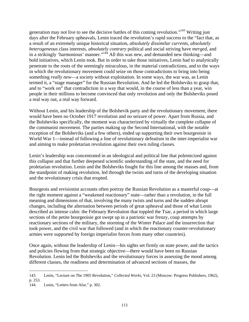generation may not live to see the decisive battles of this coming revolution."143 Writing just days after the February upheavals, Lenin traced the revolution's rapid success to the "fact that, as a result of an extremely unique historical situation, *absolutely dissimilar currents, absolutely heterogeneous* class interests, *absolutely contrary* political and social striving have *merged*, and in a strikingly 'harmonious' manner."<sup>144</sup> All this was new, and demanded new thinking—and bold initiatives, which Lenin took. But in order to take those initiatives, Lenin had to analytically penetrate to the roots of the seemingly miraculous, in the material contradictions, and to the ways in which the revolutionary movement could seize on those contradictions to bring into being something *really new*—a society without exploitation. In some ways, the war was, as Lenin termed it, a "stage manager" for the Russian Revolution. And he led the Bolsheviks to grasp that, and to "work on" that contradiction in a way that would, in the course of less than a year, win people in their millions to become convinced that only revolution and only the Bolsheviks posed a real way out, a real way forward.

Without Lenin, and his leadership of the Bolshevik party and the revolutionary movement, there would have been no October 1917 revolution and no seizure of power. Apart from Russia, and the Bolsheviks specifically, the moment was characterized by virtually the complete collapse of the communist movement. The parties making up the Second International, with the notable exception of the Bolsheviks (and a few others), ended up supporting their own bourgeoisie in World War 1—instead of following a line of revolutionary defeatism in the inter-imperialist war and aiming to make proletarian revolution against their own ruling classes.

Lenin's leadership was concentrated in an ideological and political line that polemicized against this collapse and that further deepened scientific understanding of the state, and the need for proletarian revolution. Lenin and the Bolsheviks fought for this line among the masses and, from the standpoint of making revolution, led through the twists and turns of the developing situation and the revolutionary crisis that erupted.

Bourgeois and revisionist accounts often portray the Russian Revolution as a masterful coup—at the right moment against a "weakened reactionary" state—rather than a revolution, in the full meaning and dimensions of that, involving the many twists and turns and the sudden abrupt changes, including the alternation between periods of great upheaval and those of what Lenin described as intense calm: the February Revolution that toppled the Tsar, a period in which large sections of the petite bourgeoisie got swept up in a patriotic war frenzy, coup attempts by reactionary sections of the military, the storming of the Winter Palace and the insurrection that took power, and the civil war that followed (and in which the reactionary counter-revolutionary armies were supported by foreign imperialist forces from many other countries).

Once again, without the leadership of Lenin—his sights set firmly on state power, and the tactics and policies flowing from that strategic objective—there would have been no Russian Revolution. Lenin led the Bolsheviks and the revolutionary forces in assessing the mood among different classes, the readiness and determination of advanced sections of masses, the

<sup>143.</sup> Lenin, "Lecture on The 1905 Revolution," *Collected Works*, Vol. 23 (Moscow: Progress Publishers, 1962), p. 253.

<sup>144.</sup> Lenin, "Letters from Afar," p. 302.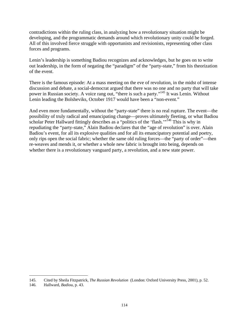contradictions within the ruling class, in analyzing how a revolutionary situation might be developing, and the programmatic demands around which revolutionary unity could be forged. All of this involved fierce struggle with opportunists and revisionists, representing other class forces and programs.

Lenin's leadership is something Badiou recognizes and acknowledges, but he goes on to write out leadership, in the form of negating the "paradigm" of the "party-state," from his theorization of the event.

There is the famous episode: At a mass meeting on the eve of revolution, in the midst of intense discussion and debate, a social-democrat argued that there was no one and no party that will take power in Russian society. A voice rang out, "there is such a party."<sup>145</sup> It was Lenin. Without Lenin leading the Bolsheviks, October 1917 would have been a "non-event."

And even more fundamentally, without the "party-state" there is no real rupture. The event—the possibility of truly radical and emancipating change—proves ultimately fleeting, or what Badiou scholar Peter Hallward fittingly describes as a "politics of the 'flash."<sup>146</sup> This is why in repudiating the "party-state," Alain Badiou declares that the "age of revolution" is over. Alain Badiou's event, for all its explosive qualities and for all its emancipatory potential and poetry, only rips open the social fabric; whether the same old ruling forces—the "party of order"—then re-weaves and mends it, or whether a whole new fabric is brought into being, depends on whether there is a revolutionary vanguard party, a revolution, and a new state power.

<sup>145.</sup> Cited by Sheila Fitzpatrick, *The Russian Revolution* (London: Oxford University Press, 2001), p. 52.

<sup>146.</sup> Hallward, *Badiou*, p. 43.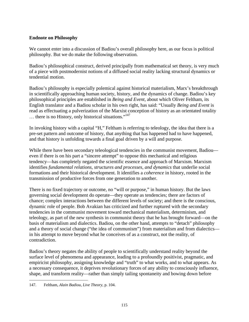## **Endnote on Philosophy**

We cannot enter into a discussion of Badiou's overall philosophy here, as our focus is political philosophy. But we do make the following observation.

Badiou's philosophical construct, derived principally from mathematical set theory, is very much of a piece with postmodernist notions of a diffused social reality lacking structural dynamics or tendential motion.

Badiou's philosophy is especially polemical against historical materialism, Marx's breakthrough in scientifically approaching human society, history, and the dynamics of change. Badiou's key philosophical principles are established in *Being and Event*, about which Oliver Feltham, its English translator and a Badiou scholar in his own right, has said: "Usually *Being and Event* is read as effectuating a pulverization of the Marxist conception of history as an orientated totality  $\ldots$  there is no History, only historical situations."<sup>147</sup>

In invoking history with a capital "H," Feltham is referring to teleology, the idea that there is a pre-set pattern and outcome of history, that anything that has happened had to have happened, and that history is unfolding towards a final goal driven by a will and purpose.

While there have been secondary teleological tendencies in the communist movement, Badiou even if there is on his part a "sincere attempt" to oppose this mechanical and religious tendency—has completely negated the scientific essence and approach of Marxism. Marxism identifies *fundamental relations, structures and processes, and dynamics* that underlie social formations and their historical development. It identifies a *coherence* in history, rooted in the transmission of productive forces from one generation to another.

There is no fixed trajectory or outcome, no "will or purpose," in human history. But the laws governing social development do operate—they operate as tendencies; there are factors of chance; complex interactions between the different levels of society; and there is the conscious, dynamic role of people. Bob Avakian has criticized and further ruptured with the secondary tendencies in the communist movement toward mechanical materialism, determinism, and teleology, as part of the new synthesis in communist theory that he has brought forward—on the basis of materialism and dialectics. Badiou, on the other hand, attempts to "detach" philosophy and a theory of social change ("the idea of communism") from materialism and from dialectics in his attempt to move beyond what he conceives of as a construct, not the reality, of contradiction.

Badiou's theory negates the ability of people to scientifically understand reality beyond the surface level of phenomena and appearance, leading to a profoundly positivist, pragmatic, and empiricist philosophy, assigning knowledge and "truth" to what works, and to what appears. As a necessary consequence, it deprives revolutionary forces of any ability to consciously influence, shape, and transform reality—rather than simply tailing spontaneity and bowing down before

 $\overline{a}$ 147. Feltham, *Alain Badiou, Live Theory*, p. 104.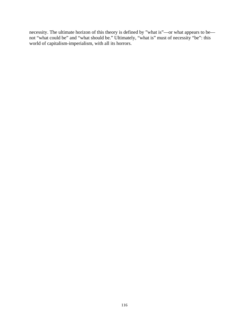necessity. The ultimate horizon of this theory is defined by "what is"—or what appears to be not "what could be" and "what should be." Ultimately, "what is" must of necessity "be": this world of capitalism-imperialism, with all its horrors.